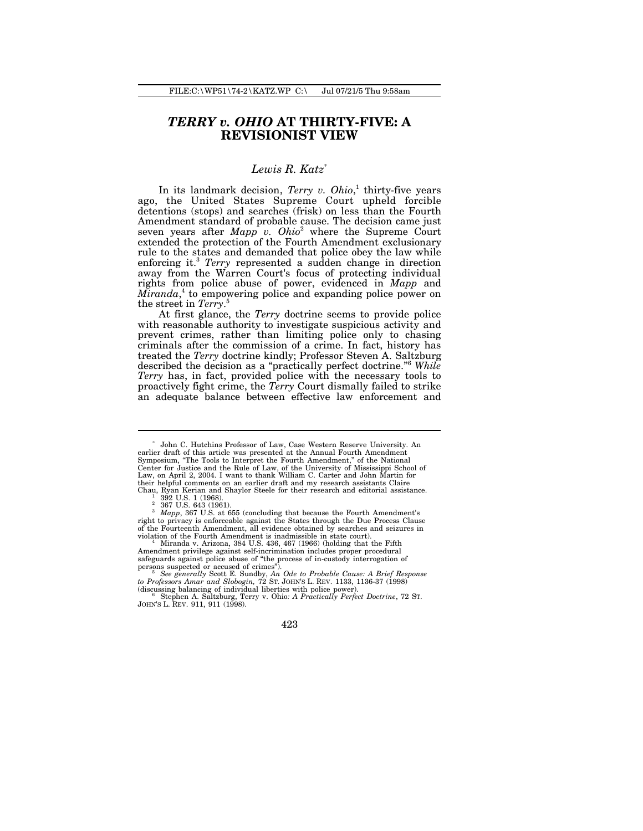# *TERRY v. OHIO* **AT THIRTY-FIVE: A REVISIONIST VIEW**

# *Lewis R. Katz*\*

In its landmark decision, *Terry v. Ohio*, 1 thirty-five years ago, the United States Supreme Court upheld forcible detentions (stops) and searches (frisk) on less than the Fourth Amendment standard of probable cause. The decision came just seven years after *Mapp v. Ohio*<sup>2</sup> where the Supreme Court extended the protection of the Fourth Amendment exclusionary rule to the states and demanded that police obey the law while enforcing it.<sup>3</sup> *Terry* represented a sudden change in direction away from the Warren Court's focus of protecting individual rights from police abuse of power, evidenced in *Mapp* and *Miranda*, 4 to empowering police and expanding police power on the street in *Terry*. 5

At first glance, the *Terry* doctrine seems to provide police with reasonable authority to investigate suspicious activity and prevent crimes, rather than limiting police only to chasing criminals after the commission of a crime. In fact, history has treated the *Terry* doctrine kindly; Professor Steven A. Saltzburg described the decision as a "practically perfect doctrine."<sup>6</sup> *While Terry* has, in fact, provided police with the necessary tools to proactively fight crime, the *Terry* Court dismally failed to strike an adequate balance between effective law enforcement and

<sup>\*</sup> John C. Hutchins Professor of Law, Case Western Reserve University. An earlier draft of this article was presented at the Annual Fourth Amendment Symposium, "The Tools to Interpret the Fourth Amendment," of the National Center for Justice and the Rule of Law, of the University of Mississippi School of Law, on April 2, 2004. I want to thank William C. Carter and John Martin for their helpful comments on an earlier draft and my research assistants Claire Chau, Ryan Kerian and Shaylor Steele for their research and editorial assistance.

 $^{1}$  392 U.S. 1 (1968).<br>2 367 U.S. 643 (1961).

<sup>&</sup>lt;sup>3</sup> *Mapp*, 367 U.S. at 655 (concluding that because the Fourth Amendment's right to privacy is enforceable against the States through the Due Process Clause of the Fourteenth Amendment, all evidence obtained by searches and seizures in violation of the Fourth Amendment is inadmissible in state court). <sup>4</sup> Miranda v. Arizona, 384 U.S. 436, 467 (1966) (holding that the Fifth

Amendment privilege against self-incrimination includes proper procedural safeguards against police abuse of "the process of in-custody interrogation of

persons suspected or accused of crimes").<br><sup>5</sup> See generally Scott E. Sundby, An Ode to Probable Cause: A Brief Response<br>to Professors Amar and Slobogin, 72 ST. JOHN'S L. REV. 1133, 1136-37 (1998)

<sup>(</sup>discussing balancing of individual liberties with police power). <sup>6</sup> Stephen A. Saltzburg, Terry v. Ohio*: A Practically Perfect Doctrine*, 72 ST. JOHN'S L. REV. 911, 911 (1998).

<sup>423</sup>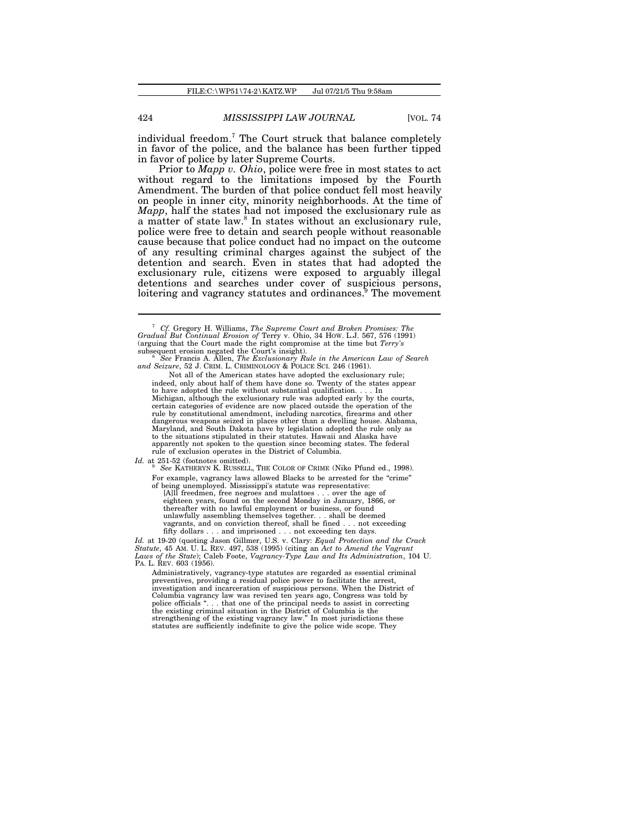individual freedom.<sup>7</sup> The Court struck that balance completely in favor of the police, and the balance has been further tipped in favor of police by later Supreme Courts.

Prior to *Mapp v. Ohio*, police were free in most states to act without regard to the limitations imposed by the Fourth Amendment. The burden of that police conduct fell most heavily on people in inner city, minority neighborhoods. At the time of *Mapp*, half the states had not imposed the exclusionary rule as a matter of state law.<sup>8</sup> In states without an exclusionary rule, police were free to detain and search people without reasonable cause because that police conduct had no impact on the outcome of any resulting criminal charges against the subject of the detention and search. Even in states that had adopted the exclusionary rule, citizens were exposed to arguably illegal detentions and searches under cover of suspicious persons, loitering and vagrancy statutes and ordinances.<sup>9</sup> The movement

Not all of the American states have adopted the exclusionary rule; indeed, only about half of them have done so. Twenty of the states appear to have adopted the rule without substantial qualification. . . . In Michigan, although the exclusionary rule was adopted early by the courts, certain categories of evidence are now placed outside the operation of the rule by constitutional amendment, including narcotics, firearms and other dangerous weapons seized in places other than a dwelling house. Alabama, Maryland, and South Dakota have by legislation adopted the rule only as to the situations stipulated in their statutes. Hawaii and Alaska have apparently not spoken to the question since becoming states. The federal rule of exclusion operates in the District of Columbia.

*Id.* at 251-52 (footnotes omitted). <sup>9</sup> *See* KATHERYN K. RUSSELL, THE COLOR OF CRIME (Niko Pfund ed., 1998). For example, vagrancy laws allowed Blacks to be arrested for the "crime" of being unemployed. Mississippi's statute was representative:

[A]ll freedmen, free negroes and mulattoes . . . over the age of eighteen years, found on the second Monday in January, 1866, or thereafter with no lawful employment or business, or found unlawfully assembling themselves together. . . shall be deemed vagrants, and on conviction thereof, shall be fined . . . not exceeding fifty dollars . . . and imprisoned . . . not exceeding ten days.

*Id.* at 19-20 (quoting Jason Gillmer, U.S. v. Clary: *Equal Protection and the Crack Statute*, 45 AM. U. L. REV. 497, 538 (1995) (citing an *Act to Amend the Vagrant Laws of the State*); Caleb Foote, *Vagrancy-Type Law and Its Administration*, 104 U. PA. L. REV. 603 (1956).

Administratively, vagrancy-type statutes are regarded as essential criminal preventives, providing a residual police power to facilitate the arrest, investigation and incarceration of suspicious persons. When the District of Columbia vagrancy law was revised ten years ago, Congress was told by police officials "... that one of the principal needs to assist in correctin the existing criminal situation in the District of Columbia is the strengthening of the existing vagrancy law." In most jurisdictions these statutes are sufficiently indefinite to give the police wide scope. They

<sup>7</sup> *Cf.* Gregory H. Williams, *The Supreme Court and Broken Promises: The Gradual But Continual Erosion of* Terry v. Ohio, 34 HOW. L.J. 567, 576 (1991) (arguing that the Court made the right compromise at the time but *Terry's* subsequent erosion negated the Court's insight).

<sup>&</sup>lt;sup>8</sup> See Francis A. Allen, *The Exclusionary Rule in the American Law of Search* and Seizure, 52 J. CRIM. L. CRIMINOLOGY & POLICE SCI. 246 (1961).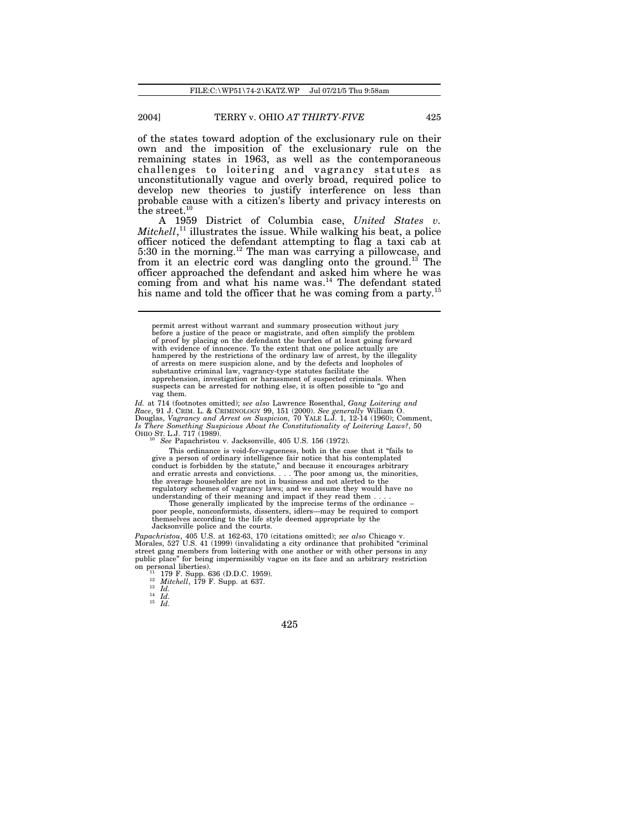of the states toward adoption of the exclusionary rule on their own and the imposition of the exclusionary rule on the remaining states in 1963, as well as the contemporaneous challenges to loitering and vagrancy statutes as unconstitutionally vague and overly broad, required police to develop new theories to justify interference on less than probable cause with a citizen's liberty and privacy interests on the street. $10$ 

A 1959 District of Columbia case, *United States v. Mitchell*, <sup>11</sup> illustrates the issue. While walking his beat, a police officer noticed the defendant attempting to flag a taxi cab at 5:30 in the morning.<sup>12</sup> The man was carrying a pillowcase, and from it an electric cord was dangling onto the ground.<sup>13</sup> The officer approached the defendant and asked him where he was coming from and what his name was. $14$  The defendant stated his name and told the officer that he was coming from a party.<sup>15</sup>

*Id.* at 714 (footnotes omitted); see also Lawrence Rosenthal, *Gang Loitering and*<br>*Race,* 91 J. CRIM. L. & CRIMINOLOGY 99, 151 (2000). See generally William O.<br>Douglas, *Vagrancy and Arrest on Suspicion, 70 YALE L.J. 1, Is There Something Suspicious About the Constitutionality of Loitering Laws?*, 50 OHIO ST. L.J. 717 (1989).

<sup>10</sup> *See* Papachristou v. Jacksonville, 405 U.S. 156 (1972).

This ordinance is void-for-vagueness, both in the case that it "fails to give a person of ordinary intelligence fair notice that his contemplated conduct is forbidden by the statute," and because it encourages arbitrary and erratic arrests and convictions. . . . The poor among us, the minorities, the average householder are not in business and not alerted to the regulatory schemes of vagrancy laws; and we assume they would have no understanding of their meaning and impact if they read them . . . . Those generally implicated by the imprecise terms of the ordinance –

poor people, nonconformists, dissenters, idlers—may be required to comport themselves according to the life style deemed appropriate by the Jacksonville police and the courts.

*Papachristou*, 405 U.S. at 162-63, 170 (citations omitted); *see also* Chicago v. Morales, 527 U.S. 41 (1999) (invalidating a city ordinance that prohibited "criminal street gang members from loitering with one another or with other persons in any public place" for being impermissibly vague on its face and an arbitrary restriction on personal liberties). <sup>11</sup> 179 F. Supp. 636 (D.D.C. 1959).

<sup>12</sup> *Mitchell*, 179 F. Supp. at 637.

<sup>13</sup> *Id.* <sup>14</sup> *Id.* <sup>15</sup> *Id.*

permit arrest without warrant and summary prosecution without jury before a justice of the peace or magistrate, and often simplify the problem of proof by placing on the defendant the burden of at least going forward with evidence of innocence. To the extent that one police actually are hampered by the restrictions of the ordinary law of arrest, by the illegality of arrests on mere suspicion alone, and by the defects and loopholes of substantive criminal law, vagrancy-type statutes facilitate the apprehension, investigation or harassment of suspected criminals. When suspects can be arrested for nothing else, it is often possible to "go and vag them.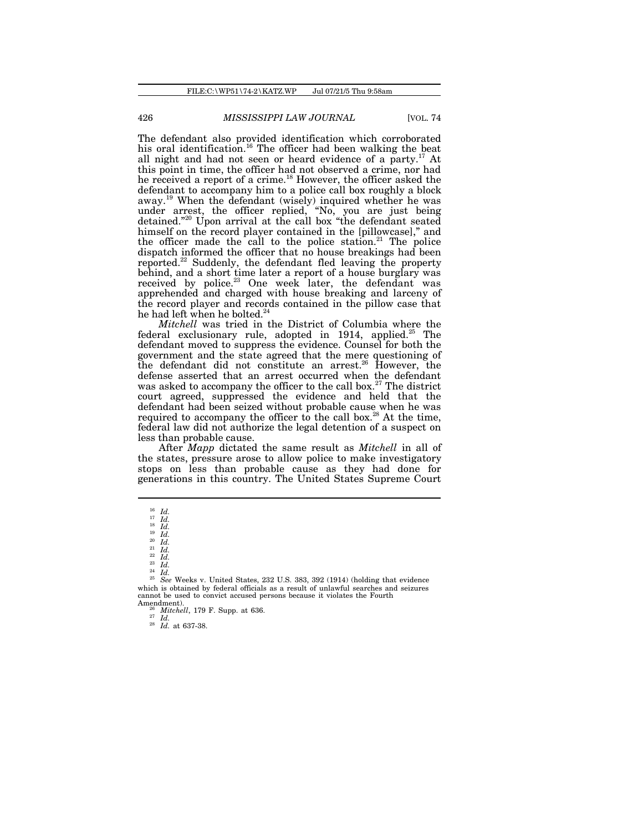The defendant also provided identification which corroborated his oral identification.<sup>16</sup> The officer had been walking the beat all night and had not seen or heard evidence of a party.<sup>17</sup> At this point in time, the officer had not observed a crime, nor had he received a report of a crime.<sup>18</sup> However, the officer asked the defendant to accompany him to a police call box roughly a block away.<sup>19</sup> When the defendant (wisely) inquired whether he was under arrest, the officer replied, "No, you are just being detained."<sup>20</sup> Upon arrival at the call box "the defendant seated himself on the record player contained in the [pillowcase]," and the officer made the call to the police station.<sup>21</sup> The police dispatch informed the officer that no house breakings had been reported.<sup>22</sup> Suddenly, the defendant fled leaving the property behind, and a short time later a report of a house burglary was received by police.<sup>23</sup> One week later, the defendant was apprehended and charged with house breaking and larceny of the record player and records contained in the pillow case that he had left when he bolted. $^{24}$ 

*Mitchell* was tried in the District of Columbia where the federal exclusionary rule, adopted in 1914, applied.<sup>25</sup> The defendant moved to suppress the evidence. Counsel for both the government and the state agreed that the mere questioning of the defendant did not constitute an arrest.<sup>26</sup> However, the defense asserted that an arrest occurred when the defendant was asked to accompany the officer to the call box.<sup>27</sup> The district court agreed, suppressed the evidence and held that the defendant had been seized without probable cause when he was required to accompany the officer to the call box.<sup>28</sup> At the time, federal law did not authorize the legal detention of a suspect on less than probable cause.

After *Mapp* dictated the same result as *Mitchell* in all of the states, pressure arose to allow police to make investigatory stops on less than probable cause as they had done for generations in this country. The United States Supreme Court

<sup>24</sup> *Id.*

<sup>25</sup> *See* Weeks v. United States, 232 U.S. 383, 392 (1914) (holding that evidence which is obtained by federal officials as a result of unlawful searches and seizures cannot be used to convict accused persons because it violates the Fourth Amendment).

<sup>26</sup> *Mitchell*, 179 F. Supp. at 636. <sup>27</sup> *Id.* <sup>28</sup> *Id.* at 637-38.

<sup>16</sup> *Id.* <sup>17</sup> *Id.* <sup>18</sup> *Id.* <sup>19</sup> *Id.* <sup>20</sup> *Id.* <sup>21</sup> *Id.* <sup>22</sup> *Id.* <sup>16</sup> *Id.*<br><sup>17</sup> *Id.*<br><sup>18</sup> *Id.*<br><sup>19</sup> *Id.*<br><sup>20</sup> *Id.*<br><sup>21</sup> *Id.*<br><sup>22</sup> *Id.*<br><sup>22</sup> *Id.*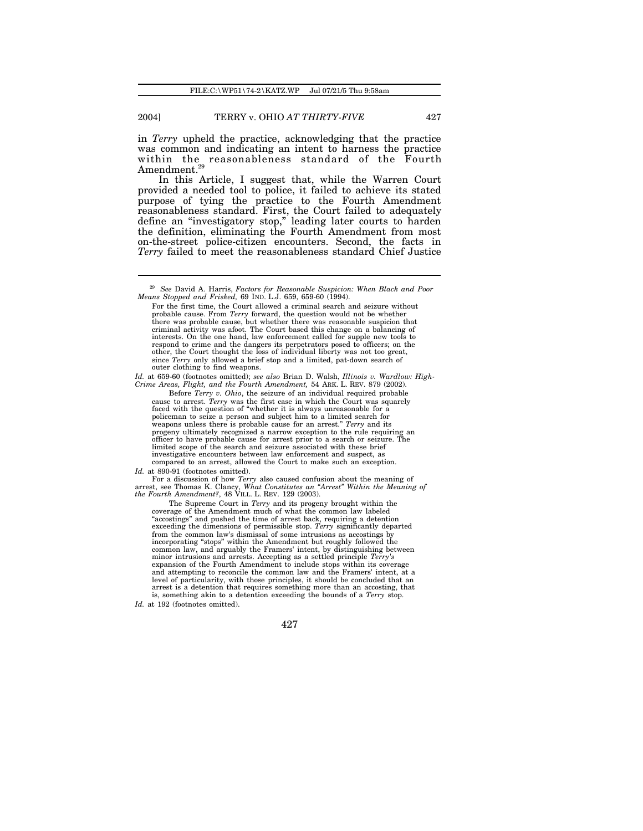in *Terry* upheld the practice, acknowledging that the practice was common and indicating an intent to harness the practice within the reasonableness standard of the Fourth  $\,$ Amendment. $^{29}$ 

In this Article, I suggest that, while the Warren Court provided a needed tool to police, it failed to achieve its stated purpose of tying the practice to the Fourth Amendment reasonableness standard. First, the Court failed to adequately define an "investigatory stop," leading later courts to harden the definition, eliminating the Fourth Amendment from most on-the-street police-citizen encounters. Second, the facts in *Terry* failed to meet the reasonableness standard Chief Justice

*Id.* at 659-60 (footnotes omitted); *see also* Brian D. Walsh, *Illinois v. Wardlow: High-Crime Areas, Flight, and the Fourth Amendment,* 54 ARK. L. REV. 879 (2002).

Before *Terry v. Ohio*, the seizure of an individual required probable cause to arrest. *Terry* was the first case in which the Court was squarely faced with the question of "whether it is always unreasonable for a policeman to seize a person and subject him to a limited search for weapons unless there is probable cause for an arrest." *Terry* and its progeny ultimately recognized a narrow exception to the rule requiring an officer to have probable cause for arrest prior to a search or seizure. The limited scope of the search and seizure associated with these brief investigative encounters between law enforcement and suspect, as compared to an arrest, allowed the Court to make such an exception.

*Id.* at 890-91 (footnotes omitted).

For a discussion of how *Terry* also caused confusion about the meaning of arrest, see Thomas K. Clancy, *What Constitutes an "Arrest" Within the Meaning of the Fourth Amendment?*, 48 VILL. L. REV. 129 (2003).

The Supreme Court in *Terry* and its progeny brought within the coverage of the Amendment much of what the common law labeled "accostings" and pushed the time of arrest back, requiring a detention exceeding the dimensions of permissible stop. *Terry* significantly departed from the common law's dismissal of some intrusions as accostings by incorporating "stops" within the Amendment but roughly followed the common law, and arguably the Framers' intent, by distinguishing between minor intrusions and arrests. Accepting as a settled principle *Terry's* expansion of the Fourth Amendment to include stops within its coverage and attempting to reconcile the common law and the Framers' intent, at a level of particularity, with those principles, it should be concluded that an arrest is a detention that requires something more than an accosting, that is, something akin to a detention exceeding the bounds of a *Terry* stop.

 $^{29}$  See David A. Harris, Factors for Reasonable Suspicion: When Black and Poor Means Stopped and Frisked, 69 IND. L.J. 659, 659-60 (1994).

For the first time, the Court allowed a criminal search and seizure without probable cause. From *Terry* forward, the question would not be whether there was probable cause, but whether there was reasonable suspicion that criminal activity was afoot. The Court based this change on a balancing of interests. On the one hand, law enforcement called for supple new tools to respond to crime and the dangers its perpetrators posed to officers; on the other, the Court thought the loss of individual liberty was not too great, since *Terry* only allowed a brief stop and a limited, pat-down search of outer clothing to find weapons.

*Id.* at 192 (footnotes omitted).

<sup>427</sup>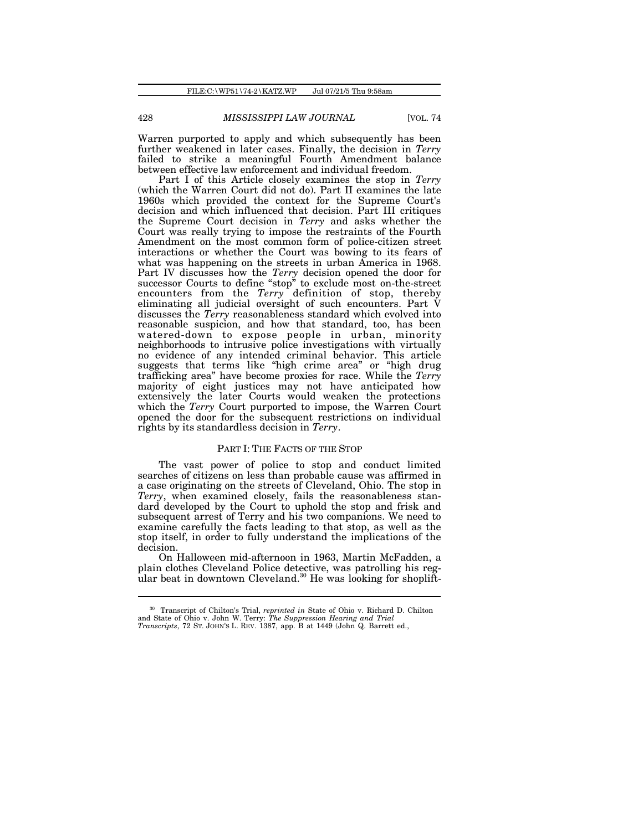Warren purported to apply and which subsequently has been further weakened in later cases. Finally, the decision in *Terry* failed to strike a meaningful Fourth Amendment balance between effective law enforcement and individual freedom.

Part I of this Article closely examines the stop in *Terry* (which the Warren Court did not do). Part II examines the late 1960s which provided the context for the Supreme Court's decision and which influenced that decision. Part III critiques the Supreme Court decision in *Terry* and asks whether the Court was really trying to impose the restraints of the Fourth Amendment on the most common form of police-citizen street interactions or whether the Court was bowing to its fears of what was happening on the streets in urban America in 1968. Part IV discusses how the *Terry* decision opened the door for successor Courts to define "stop" to exclude most on-the-street encounters from the *Terry* definition of stop, thereby eliminating all judicial oversight of such encounters. Part V discusses the *Terry* reasonableness standard which evolved into reasonable suspicion, and how that standard, too, has been watered-down to expose people in urban, minority neighborhoods to intrusive police investigations with virtually no evidence of any intended criminal behavior. This article suggests that terms like "high crime area" or "high drug trafficking area" have become proxies for race. While the *Terry* majority of eight justices may not have anticipated how extensively the later Courts would weaken the protections which the *Terry* Court purported to impose, the Warren Court opened the door for the subsequent restrictions on individual rights by its standardless decision in *Terry*.

### PART I: THE FACTS OF THE STOP

The vast power of police to stop and conduct limited searches of citizens on less than probable cause was affirmed in a case originating on the streets of Cleveland, Ohio. The stop in *Terry*, when examined closely, fails the reasonableness standard developed by the Court to uphold the stop and frisk and subsequent arrest of Terry and his two companions. We need to examine carefully the facts leading to that stop, as well as the stop itself, in order to fully understand the implications of the decision.

On Halloween mid-afternoon in 1963, Martin McFadden, a plain clothes Cleveland Police detective, was patrolling his regular beat in downtown Cleveland.<sup>30</sup> He was looking for shoplift-

<sup>30</sup> Transcript of Chilton's Trial, *reprinted in* State of Ohio v. Richard D. Chilton and State of Ohio v. John W. Terry: *The Suppression Hearing and Trial Transcripts*, 72 ST. JOHN'S L. REV. 1387, app. B at 1449 (John Q. Barrett ed.,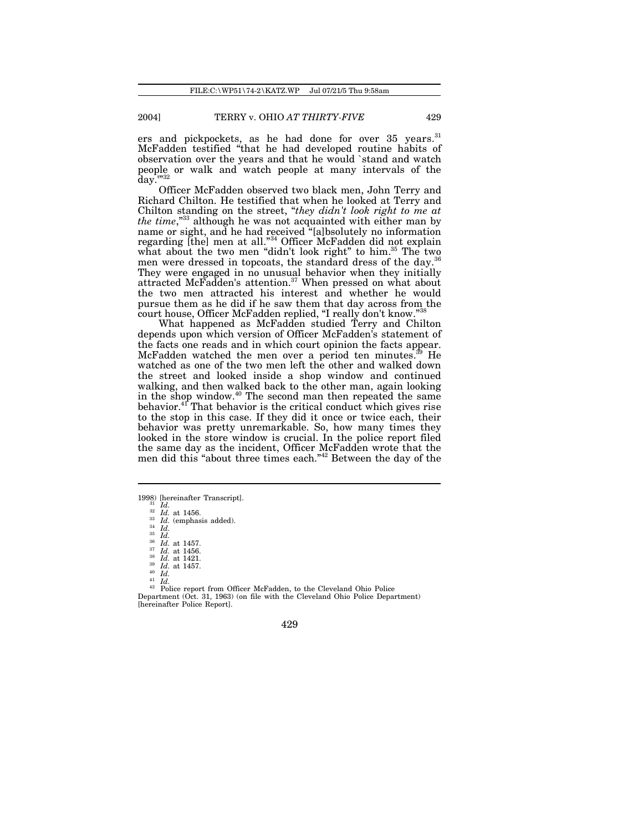ers and pickpockets, as he had done for over 35 years.<sup>31</sup> McFadden testified "that he had developed routine habits of observation over the years and that he would `stand and watch people or walk and watch people at many intervals of the day."32

Officer McFadden observed two black men, John Terry and Richard Chilton. He testified that when he looked at Terry and Chilton standing on the street, "*they didn't look right to me at the time*,"<sup>33</sup> although he was not acquainted with either man by name or sight, and he had received "[a]bsolutely no information regarding [the] men at all."<sup>34</sup> Officer McFadden did not explain what about the two men "didn't look right" to him.<sup>35</sup> The two men were dressed in topcoats, the standard dress of the day.<sup>36</sup> They were engaged in no unusual behavior when they initially attracted McFadden's attention.<sup>37</sup> When pressed on what about the two men attracted his interest and whether he would pursue them as he did if he saw them that day across from the court house, Officer McFadden replied, "I really don't know."<sup>38</sup>

What happened as McFadden studied Terry and Chilton depends upon which version of Officer McFadden's statement of the facts one reads and in which court opinion the facts appear. McFadden watched the men over a period ten minutes.<sup>39</sup> He watched as one of the two men left the other and walked down the street and looked inside a shop window and continued walking, and then walked back to the other man, again looking in the shop window.<sup>40</sup> The second man then repeated the same behavior.<sup>41</sup> That behavior is the critical conduct which gives rise to the stop in this case. If they did it once or twice each, their behavior was pretty unremarkable. So, how many times they looked in the store window is crucial. In the police report filed the same day as the incident, Officer McFadden wrote that the men did this "about three times each."<sup>42</sup> Between the day of the

1998) [hereinafter Transcript]. <sup>31</sup> *Id.*

 $rac{32}{33}$  *Id.* at 1456.  $rac{33}{34}$  *Id.* (emphasis added).

<sup>34</sup> *Id.* <sup>35</sup> *Id.*

 $rac{35}{36}$  *Id.* at 1457.<br> $rac{37}{37}$  *Id* at 1456

*Id.* at 1421.

<sup>39</sup> *Id.* at 1457. <sup>40</sup> *Id.*

<sup>41</sup> *Id.*

<sup>42</sup> Police report from Officer McFadden, to the Cleveland Ohio Police Department (Oct. 31, 1963) (on file with the Cleveland Ohio Police Department) [hereinafter Police Report].

 $rac{37}{38}$  *Id.* at 1456.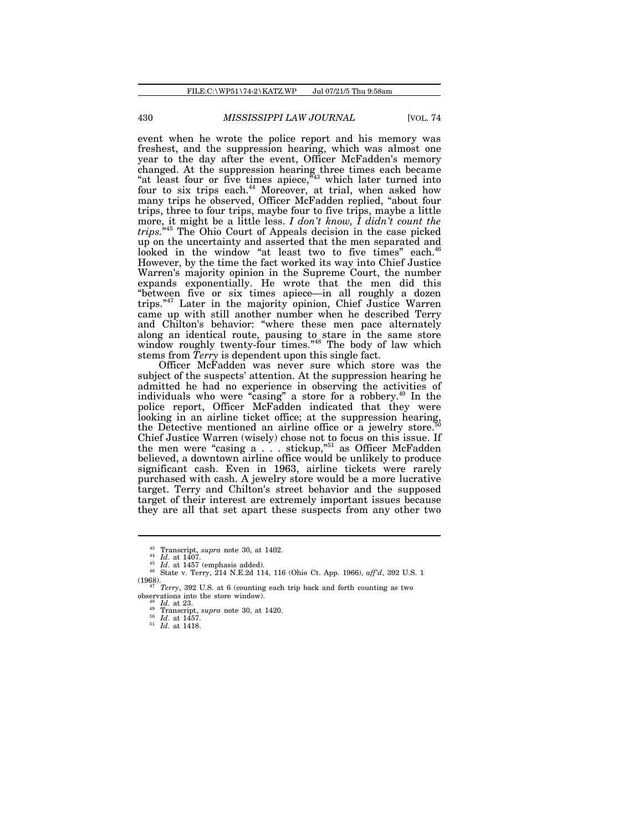event when he wrote the police report and his memory was freshest, and the suppression hearing, which was almost one year to the day after the event, Officer McFadden's memory changed. At the suppression hearing three times each became "at least four or five times apiece, $44 \text{ N}$ " which later turned into four to six trips each.<sup>44</sup> Moreover, at trial, when asked how many trips he observed, Officer McFadden replied, "about four trips, three to four trips, maybe four to five trips, maybe a little more, it might be a little less. *I don't know, I didn't count the trips.*" <sup>45</sup> The Ohio Court of Appeals decision in the case picked up on the uncertainty and asserted that the men separated and looked in the window "at least two to five times" each.<sup>46</sup> However, by the time the fact worked its way into Chief Justice Warren's majority opinion in the Supreme Court, the number expands exponentially. He wrote that the men did this "between five or six times apiece—in all roughly a dozen trips."<sup>47</sup> Later in the majority opinion, Chief Justice Warren came up with still another number when he described Terry and Chilton's behavior: "where these men pace alternately along an identical route, pausing to stare in the same store window roughly twenty-four times."<sup>48</sup> The body of law which stems from *Terry* is dependent upon this single fact.

Officer McFadden was never sure which store was the subject of the suspects' attention. At the suppression hearing he admitted he had no experience in observing the activities of individuals who were "casing" a store for a robbery.<sup>49</sup> In the police report, Officer McFadden indicated that they were looking in an airline ticket office; at the suppression hearing, the Detective mentioned an airline office or a jewelry store.<sup>5</sup> Chief Justice Warren (wisely) chose not to focus on this issue. If the men were "casing a . . . stickup,"<sup>51</sup> as Officer McFadden believed, a downtown airline office would be unlikely to produce significant cash. Even in 1963, airline tickets were rarely purchased with cash. A jewelry store would be a more lucrative target. Terry and Chilton's street behavior and the supposed target of their interest are extremely important issues because they are all that set apart these suspects from any other two

<sup>&</sup>lt;sup>43</sup> Transcript, *supra* note 30, at 1402.

*Id.* at 1407.

 $\frac{45 \text{ Id. at } 1457 \text{ (emphasis added)}}{166 \text{ H.}}$ 

<sup>46</sup> State v. Terry, 214 N.E.2d 114, 116 (Ohio Ct. App. 1966), *aff'd*, 392 U.S. 1 (1968). <sup>47</sup> *Terry*, 392 U.S. at 6 (counting each trip back and forth counting as two

observations into the store window).

*Id.* at 23.  $\frac{49}{10}$  Transcript, *supra* note 30, at 1420.

*Id.* at 1457.

<sup>51</sup> *Id.* at 1418.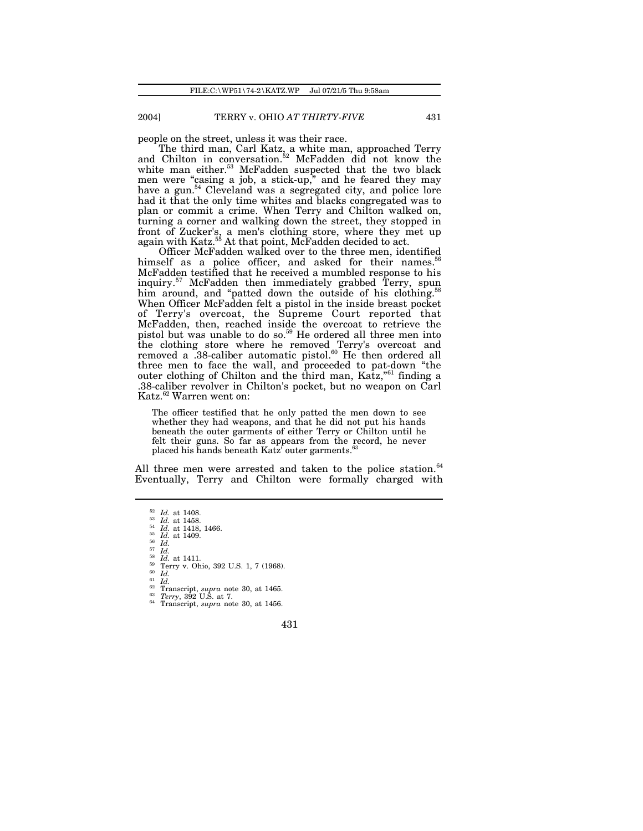people on the street, unless it was their race.

The third man, Carl Katz, a white man, approached Terry and Chilton in conversation.<sup>52</sup> McFadden did not know the white man either.<sup>53</sup> McFadden suspected that the two black men were "casing a job, a stick-up," and he feared they may have a gun.<sup>54</sup> Cleveland was a segregated city, and police lore had it that the only time whites and blacks congregated was to plan or commit a crime. When Terry and Chilton walked on, turning a corner and walking down the street, they stopped in front of Zucker's, a men's clothing store, where they met up again with Katz.<sup>55</sup> At that point, McFadden decided to act.

Officer McFadden walked over to the three men, identified himself as a police officer, and asked for their names.<sup>56</sup> McFadden testified that he received a mumbled response to his inquiry.<sup>57</sup> McFadden then immediately grabbed Terry, spun him around, and "patted down the outside of his clothing.<sup>5</sup> When Officer McFadden felt a pistol in the inside breast pocket of Terry's overcoat, the Supreme Court reported that McFadden, then, reached inside the overcoat to retrieve the pistol but was unable to do so.<sup>59</sup> He ordered all three men into the clothing store where he removed Terry's overcoat and removed a .38-caliber automatic pistol.<sup>60</sup> He then ordered all three men to face the wall, and proceeded to pat-down "the outer clothing of Chilton and the third man, Katz,"<sup>61</sup> finding a .38-caliber revolver in Chilton's pocket, but no weapon on Carl Katz.<sup>62</sup> Warren went on:

The officer testified that he only patted the men down to see whether they had weapons, and that he did not put his hands beneath the outer garments of either Terry or Chilton until he felt their guns. So far as appears from the record, he never placed his hands beneath Katz<sup>f</sup> outer garments.<sup>6</sup>

All three men were arrested and taken to the police station. $64$ Eventually, Terry and Chilton were formally charged with

<sup>57</sup> *Id.*

 $\frac{58}{59}$  *Id.* at 1411.<br> $\frac{59}{60}$  *Id* <sup>59</sup> Terry v. Ohio, 392 U.S. 1, 7 (1968). <sup>60</sup> *Id.*

 $rac{61}{62}$  *Id.*<br> $rac{7}{10}$ 

- <sup>62</sup> Transcript, *supra* note 30, at 1465. <sup>63</sup> *Terry*, 392 U.S. at 7.
- <sup>64</sup> Transcript, *supra* note 30, at 1456.

<sup>52</sup> *Id.* at 1408.

 $\frac{53}{54}$  *Id.* at 1458.<br><sup>54</sup> *Id.* at 1418.

<sup>54</sup> *Id.* at 1418, 1466. <sup>55</sup> *Id.* at 1409.

<sup>56</sup> *Id.*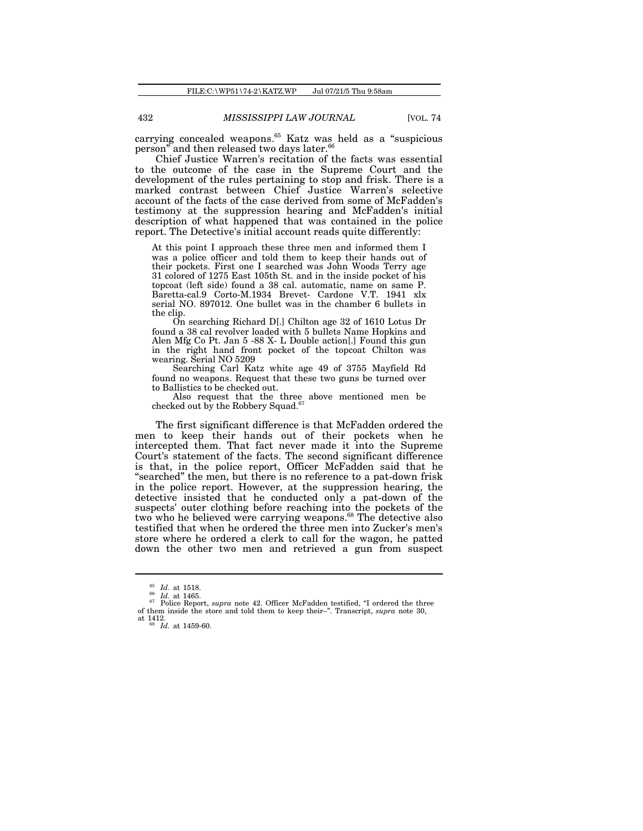carrying concealed weapons.<sup>65</sup> Katz was held as a "suspicious person" and then released two days later. $^{66}$ 

Chief Justice Warren's recitation of the facts was essential to the outcome of the case in the Supreme Court and the development of the rules pertaining to stop and frisk. There is a marked contrast between Chief Justice Warren's selective account of the facts of the case derived from some of McFadden's testimony at the suppression hearing and McFadden's initial description of what happened that was contained in the police report. The Detective's initial account reads quite differently:

At this point I approach these three men and informed them I was a police officer and told them to keep their hands out of their pockets. First one I searched was John Woods Terry age 31 colored of 1275 East 105th St. and in the inside pocket of his topcoat (left side) found a 38 cal. automatic, name on same P. Baretta-cal.9 Corto-M.1934 Brevet- Cardone V.T. 1941 xlx serial NO. 897012. One bullet was in the chamber 6 bullets in the clip.

On searching Richard D[.] Chilton age 32 of 1610 Lotus Dr found a 38 cal revolver loaded with 5 bullets Name Hopkins and Alen Mfg Co Pt. Jan 5 -88 X- L Double action[.] Found this gun in the right hand front pocket of the topcoat Chilton was wearing. Serial NO 5209

Searching Carl Katz white age 49 of 3755 Mayfield Rd found no weapons. Request that these two guns be turned over to Ballistics to be checked out.

Also request that the three above mentioned men be checked out by the Robbery Squad.<sup>6</sup>

The first significant difference is that McFadden ordered the men to keep their hands out of their pockets when he intercepted them. That fact never made it into the Supreme Court's statement of the facts. The second significant difference is that, in the police report, Officer McFadden said that he "searched" the men, but there is no reference to a pat-down frisk in the police report. However, at the suppression hearing, the detective insisted that he conducted only a pat-down of the suspects' outer clothing before reaching into the pockets of the two who he believed were carrying weapons.<sup>68</sup> The detective also testified that when he ordered the three men into Zucker's men's store where he ordered a clerk to call for the wagon, he patted down the other two men and retrieved a gun from suspect

<sup>65</sup> *Id.* at 1518.

<sup>66</sup> *Id.* at 1465.

<sup>&</sup>lt;sup>67</sup> Police Report, *supra* note 42. Officer McFadden testified, "I ordered the three of them inside the store and told them to keep their–". Transcript, *supra* note 30, at 1412. <sup>68</sup> *Id.* at 1459-60.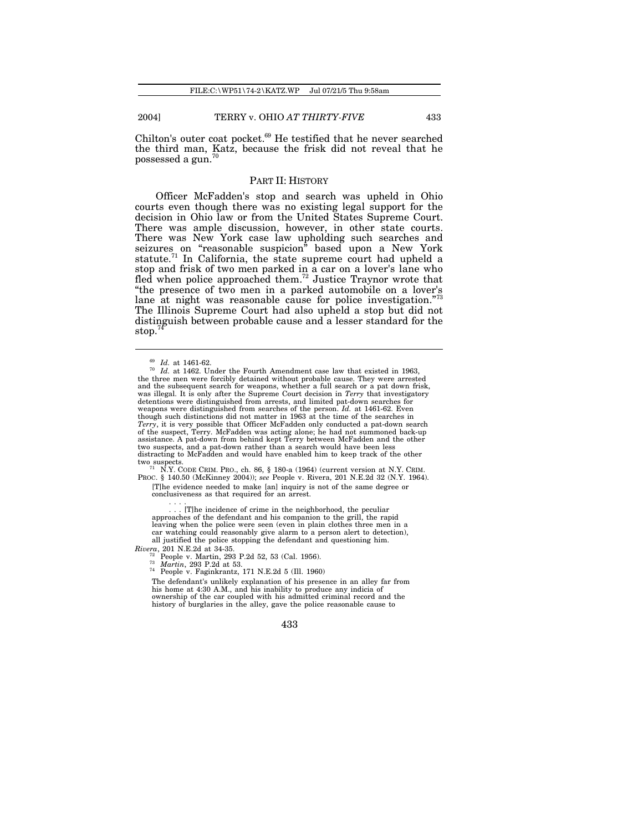Chilton's outer coat pocket.<sup>69</sup> He testified that he never searched the third man, Katz, because the frisk did not reveal that he  $_{\rm possessed}$  a gun. $^{70}$ 

### PART II: HISTORY

Officer McFadden's stop and search was upheld in Ohio courts even though there was no existing legal support for the decision in Ohio law or from the United States Supreme Court. There was ample discussion, however, in other state courts. There was New York case law upholding such searches and seizures on "reasonable suspicion" based upon a New York statute.<sup>71</sup> In California, the state supreme court had upheld a stop and frisk of two men parked in a car on a lover's lane who fled when police approached them.<sup>72</sup> Justice Traynor wrote that "the presence of two men in a parked automobile on a lover's lane at night was reasonable cause for police investigation."<sup>73</sup> The Illinois Supreme Court had also upheld a stop but did not distinguish between probable cause and a lesser standard for the stop. $7$ 

<sup>71</sup> N.Y. CODE CRIM. PRO., ch. 86, § 180-a (1964) (current version at N.Y. CRIM. PROC. § 140.50 (McKinney 2004)); *see* People v. Rivera, 201 N.E.2d 32 (N.Y. 1964). [T]he evidence needed to make [an] inquiry is not of the same degree or conclusiveness as that required for an arrest.

. . . .

. [T]he incidence of crime in the neighborhood, the peculiar approaches of the defendant and his companion to the grill, the rapid leaving when the police were seen (even in plain clothes three men in a car watching could reasonably give alarm to a person alert to detection), all justified the police stopping the defendant and questioning him.

*Rivera*, 201 N.E.2d at 34-35.

People v. Martin, 293 P.2d 52, 53 (Cal. 1956).

<sup>73</sup> *Martin*, 293 P.2d at 53.

<sup>74</sup> People v. Faginkrantz, 171 N.E.2d 5 (Ill. 1960) The defendant's unlikely explanation of his presence in an alley far from

his home at 4:30 A.M., and his inability to produce any indicia of ownership of the car coupled with his admitted criminal record and the history of burglaries in the alley, gave the police reasonable cause to

<sup>69</sup> *Id.* at 1461-62.

<sup>&</sup>lt;sup>70</sup> *Id.* at 1462. Under the Fourth Amendment case law that existed in 1963, the three men were forcibly detained without probable cause. They were arrested and the subsequent search for weapons, whether a full search or a pat down frisk, was illegal. It is only after the Supreme Court decision in *Terry* that investigatory detentions were distinguished from arrests, and limited pat-down searches for weapons were distinguished from searches of the person. *Id.* at 1461-62. Even though such distinctions did not matter in 1963 at the time of the searches in *Terry*, it is very possible that Officer McFadden only conducted a pat-down search of the suspect, Terry. McFadden was acting alone; he had not summoned back-up assistance. A pat-down from behind kept Terry between McFadden and the other two suspects, and a pat-down rather than a search would have been less distracting to McFadden and would have enabled him to keep track of the other two suspects.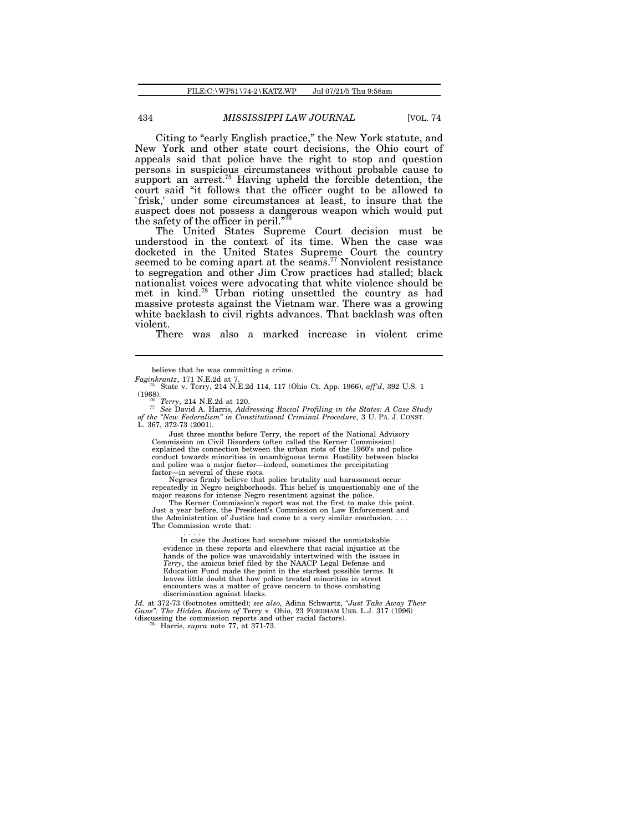Citing to "early English practice," the New York statute, and New York and other state court decisions, the Ohio court of appeals said that police have the right to stop and question persons in suspicious circumstances without probable cause to support an arrest.<sup>75</sup> Having upheld the forcible detention, the court said "it follows that the officer ought to be allowed to `frisk,' under some circumstances at least, to insure that the suspect does not possess a dangerous weapon which would put the safety of the officer in peril."<sup>7</sup>

The United States Supreme Court decision must be understood in the context of its time. When the case was docketed in the United States Supreme Court the country seemed to be coming apart at the seams.<sup>77</sup> Nonviolent resistance to segregation and other Jim Crow practices had stalled; black nationalist voices were advocating that white violence should be met in kind.<sup>78</sup> Urban rioting unsettled the country as had massive protests against the Vietnam war. There was a growing white backlash to civil rights advances. That backlash was often violent.

There was also a marked increase in violent crime

Just three months before Terry, the report of the National Advisory Commission on Civil Disorders (often called the Kerner Commission) explained the connection between the urban riots of the 1960's and police conduct towards minorities in unambiguous terms. Hostility between blacks and police was a major factor—indeed, sometimes the precipitating factor—in several of these riots. Negroes firmly believe that police brutality and harassment occur

repeatedly in Negro neighborhoods. This belief is unquestionably one of the major reasons for intense Negro resentment against the police.

The Kerner Commission's report was not the first to make this point. Just a year before, the President's Commission on Law Enforcement and the Administration of Justice had come to a very similar conclusion. . . . The Commission wrote that:

. . . . In case the Justices had somehow missed the unmistakable evidence in these reports and elsewhere that racial injustice at the hands of the police was unavoidably intertwined with the issues in *Terry*, the amicus brief filed by the NAACP Legal Defense and Education Fund made the point in the starkest possible terms. It leaves little doubt that how police treated minorities in street encounters was a matter of grave concern to those combating discrimination against blacks.

*Id.* at 372-73 (footnotes omitted); *see also,* Adina Schwartz, *"Just Take Away Their Guns": The Hidden Racism of* Terry v. Ohio, 23 FORDHAM URB. L.J. 317 (1996) (discussing the commission reports and other racial factors). <sup>78</sup> Harris, *supra* note 77, at 371-73.

believe that he was committing a crime. *Faginkrantz*, 171 N.E.2d at 7.

<sup>75</sup> State v. Terry, 214 N.E.2d 114, 117 (Ohio Ct. App. 1966), *aff'd*, 392 U.S. 1 (1968). <sup>76</sup> *Terry*, 214 N.E.2d at 120.

<sup>&</sup>lt;sup>77</sup> See David A. Harris, *Addressing Racial Profiling in the States: A Case Study of the "New Federalism" in Constitutional Criminal Procedure, 3 U. PA. J. CONST.* L. 367, 372-73 (2001).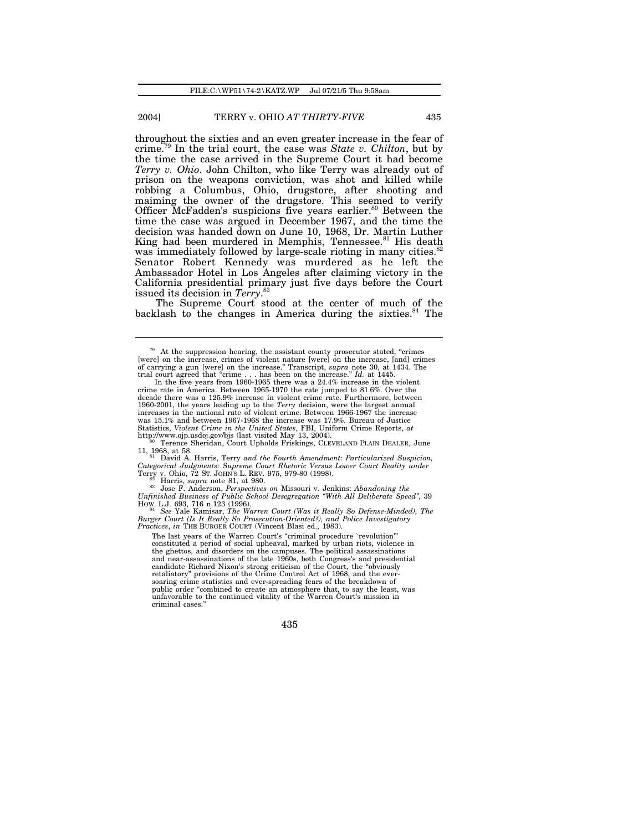throughout the sixties and an even greater increase in the fear of crime.<sup>79</sup> In the trial court, the case was *State v. Chilton*, but by the time the case arrived in the Supreme Court it had become *Terry v. Ohio*. John Chilton, who like Terry was already out of prison on the weapons conviction, was shot and killed while robbing a Columbus, Ohio, drugstore, after shooting and maiming the owner of the drugstore. This seemed to verify Officer McFadden's suspicions five years earlier.<sup>80</sup> Between the time the case was argued in December 1967, and the time the decision was handed down on June 10, 1968, Dr. Martin Luther King had been murdered in Memphis, Tennessee.<sup>81</sup> His death was immediately followed by large-scale rioting in many cities.<sup>82</sup> Senator Robert Kennedy was murdered as he left the Ambassador Hotel in Los Angeles after claiming victory in the California presidential primary just five days before the Court issued its decision in *Terry*. 83

The Supreme Court stood at the center of much of the backlash to the changes in America during the sixties.<sup>84</sup> The

11, 1968, at 58. <sup>81</sup> David A. Harris, Terry *and the Fourth Amendment: Particularized Suspicion, Categorical Judgments: Supreme Court Rhetoric Versus Lower Court Reality under* Terry v. Ohio, 72 ST. JOHN'S L. REV. 975, 979-80 (1998). <sup>82</sup> Harris, *supra* note 81, at 980.

<sup>83</sup> Jose F. Anderson, *Perspectives on Missouriv.* Jenkins: *Abandoning the Unfinished Business of Public School Desegregation "With All Deliberate Speed", 39* 

How. L.J. 693, 716 n.123 (1996).<br><sup>84</sup> See Yale Kamisar, *The Warren Court (Was it Really So Defense-Minded), The Burger Court (Is It Really So Prosecution-Oriented?), and Police Investigatory<br>Burger Court (Is It Really So* 

The last years of the Warren Court's "criminal procedure `revolution'" constituted a period of social upheaval, marked by urban riots, violence in the ghettos, and disorders on the campuses. The political assassinations and near-assassinations of the late 1960s, both Congress's and presidential candidate Richard Nixon's strong criticism of the Court, the "obviously retaliatory" provisions of the Crime Control Act of 1968, and the eversoaring crime statistics and ever-spreading fears of the breakdown of public order "combined to create an atmosphere that, to say the least, was unfavorable to the continued vitality of the Warren Court's mission in criminal cases."

<sup>79</sup> At the suppression hearing, the assistant county prosecutor stated, "crimes [were] on the increase, crimes of violent nature [were] on the increase, [and] crimes of carrying a gun [were] on the increase." Transcript, *supra* note 30, at 1434. The trial court agreed that "crime . . . has been on the increase." *Id.* at 1445.

In the five years from 1960-1965 there was a 24.4% increase in the violent crime rate in America. Between 1965-1970 the rate jumped to 81.6%. Over the decade there was a 125.9% increase in violent crime rate. Furthermore, between 1960-2001, the years leading up to the *Terry* decision, were the largest annual increases in the national rate of violent crime. Between 1966-1967 the increase was 15.1% and between 1967-1968 the increase was 17.9%. Bureau of Justice Statistics, *Violent Crime in the United States*, FBI, Uniform Crime Reports, *at*<br>http://www.ojp.usdoj.gov/bjs (last visited May 13, 2004).<br><sup>36</sup> Terence Sheridan, Court Upholds Friskings, CLEVELAND PLAIN DEALER, June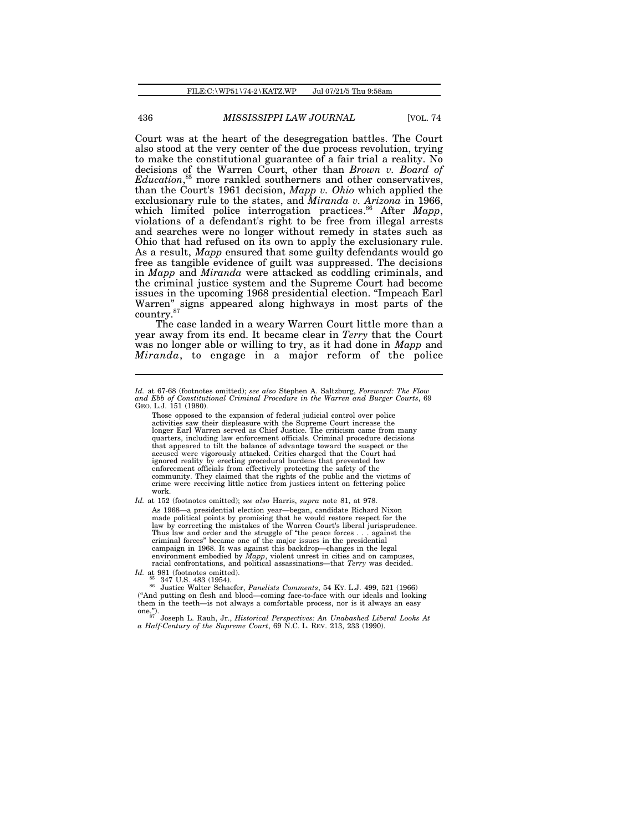Court was at the heart of the desegregation battles. The Court also stood at the very center of the due process revolution, trying to make the constitutional guarantee of a fair trial a reality. No decisions of the Warren Court, other than *Brown v. Board of Education*, <sup>85</sup> more rankled southerners and other conservatives, than the Court's 1961 decision, *Mapp v. Ohio* which applied the exclusionary rule to the states, and *Miranda v. Arizona* in 1966, which limited police interrogation practices.<sup>86</sup> After *Mapp*, violations of a defendant's right to be free from illegal arrests and searches were no longer without remedy in states such as Ohio that had refused on its own to apply the exclusionary rule. As a result, *Mapp* ensured that some guilty defendants would go free as tangible evidence of guilt was suppressed. The decisions in *Mapp* and *Miranda* were attacked as coddling criminals, and the criminal justice system and the Supreme Court had become issues in the upcoming 1968 presidential election. "Impeach Earl Warren" signs appeared along highways in most parts of the country.<sup>87</sup>

The case landed in a weary Warren Court little more than a year away from its end. It became clear in *Terry* that the Court was no longer able or willing to try, as it had done in *Mapp* and *Miranda*, to engage in a major reform of the police

*Id.* at 67-68 (footnotes omitted); *see also* Stephen A. Saltzburg, *Foreward: The Flow and Ebb of Constitutional Criminal Procedure in the Warren and Burger Courts*, 69 GEO. L.J. 151 (1980).

Those opposed to the expansion of federal judicial control over police activities saw their displeasure with the Supreme Court increase the longer Earl Warren served as Chief Justice. The criticism came from many quarters, including law enforcement officials. Criminal procedure decisions that appeared to tilt the balance of advantage toward the suspect or the accused were vigorously attacked. Critics charged that the Court had were vigorously attacked. Critics charged that the Court had ignored reality by erecting procedural burdens that prevented law enforcement officials from effectively protecting the safety of the community. They claimed that the rights of the public and the victims of crime were receiving little notice from justices intent on fettering police work.

*Id.* at 152 (footnotes omitted); *see also* Harris, *supra* note 81, at 978. As 1968—a presidential election year—began, candidate Richard Nixon made political points by promising that he would restore respect for the law by correcting the mistakes of the Warren Court's liberal jurispruder  $\bar{v}$  correcting the mistakes of the Warren Court's liberal jurisprudence. Thus law and order and the struggle of "the peace forces . . . against the criminal forces" became one of the major issues in the presidential campaign in 1968. It was against this backdrop—changes in the legal environment embodied by *Mapp*, violent unrest in cities and on campuses, racial confrontations, and political assassinations—that *Terry* was decided.

*Id.* at 981 (footnotes omitted). <sup>85</sup> 347 U.S. 483 (1954).

<sup>86</sup> Justice Walter Schaefer, *Panelists Comments*, 54 KY. L.J. 499, 521 (1966) ("And putting on flesh and blood—coming face-to-face with our ideals and looking them in the teeth—is not always a comfortable process, nor is it always an easy one.").

<sup>87</sup> Joseph L. Rauh, Jr., *Historical Perspectives: An Unabashed Liberal Looks At a Half-Century of the Supreme Court*, 69 N.C. L. REV. 213, 233 (1990).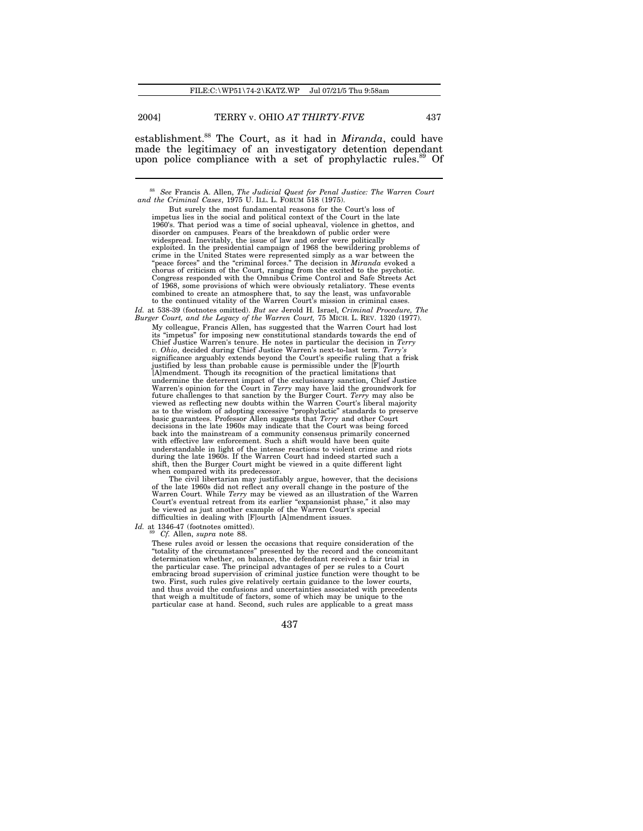establishment.<sup>88</sup> The Court, as it had in *Miranda*, could have made the legitimacy of an investigatory detention dependant upon police compliance with a set of prophylactic rules.<sup>89</sup> Of

when compared with its predecessor. The civil libertarian may justifiably argue, however, that the decisions of the late 1960s did not reflect any overall change in the posture of the Warren Court. While *Terry* may be viewed as an illustration of the Warren Court's eventual retreat from its earlier "expansionist phase," it also may be viewed as just another example of the Warren Court's special difficulties in dealing with [F]ourth [A]mendment issues.

*Id.* at 1346-47 (footnotes omitted). <sup>89</sup> *Cf.* Allen, *supra* note 88.

These rules avoid or lessen the occasions that require consideration of the "totality of the circumstances" presented by the record and the concomitant determination whether, on balance, the defendant received a fair trial in the particular case. The principal advantages of per se rules to a Court embracing broad supervision of criminal justice function were thought to be two. First, such rules give relatively certain guidance to the lower courts, and thus avoid the confusions and uncertainties associated with precedents that weigh a multitude of factors, some of which may be unique to the particular case at hand. Second, such rules are applicable to a great mass

<sup>&</sup>lt;sup>88</sup> See Francis A. Allen, *The Judicial Quest for Penal Justice: The Warren Court and the Criminal Cases*, 1975 U. ILL. L. FORUM 518 (1975).

But surely the most fundamental reasons for the Court's loss of impetus lies in the social and political context of the Court in the late 1960's. That period was a time of social upheaval, violence in ghettos, and disorder on campuses. Fears of the breakdown of public order were widespread. Inevitably, the issue of law and order were politically exploited. In the presidential campaign of 1968 the bewildering problems of crime in the United States were represented simply as a war between the "peace forces" and the "criminal forces." The decision in *Miranda* evoked a chorus of criticism of the Court, ranging from the excited to the psychotic. Congress responded with the Omnibus Crime Control and Safe Streets Act of 1968, some provisions of which were obviously retaliatory. These events combined to create an atmosphere that, to say the least, was unfavorable to the continued vitality of the Warren Court's mission in criminal cases. *Id.* at 538-39 (footnotes omitted). *But see* Jerold H. Israel, *Criminal Procedure, The*

*Burger Court, and the Legacy of the Warren Court,* 75 MICH. L. REV. 1320 (1977). My colleague, Francis Allen, has suggested that the Warren Court had lost its "impetus" for imposing new constitutional standards towards the end of Chief Justice Warren's tenure. He notes in particular the decision in *Terry v. Ohio*, decided during Chief Justice Warren's next-to-last term. *Terry's* significance arguably extends beyond the Court's specific ruling that a frisk justified by less than probable cause is permissible under the [F]ourth [A]mendment. Though its recognition of the practical limitations that undermine the deterrent impact of the exclusionary sanction, Chief Justice Warren's opinion for the Court in *Terry* may have laid the groundwork for future challenges to that sanction by the Burger Court. *Terry* may also be viewed as reflecting new doubts within the Warren Court's liberal majority<br>as to the wisdom of adopting excessive "prophylactic" standards to preserve<br>basic guarantees. Professor Allen suggests that *Terry* and other Court decisions in the late 1960s may indicate that the Court was being forced back into the mainstream of a community consensus primarily concerned with effective law enforcement. Such a shift would have been quite understandable in light of the intense reactions to violent crime and riots during the late 1960s. If the Warren Court had indeed started such a shift, then the Burger Court might be viewed in a quite different light

<sup>437</sup>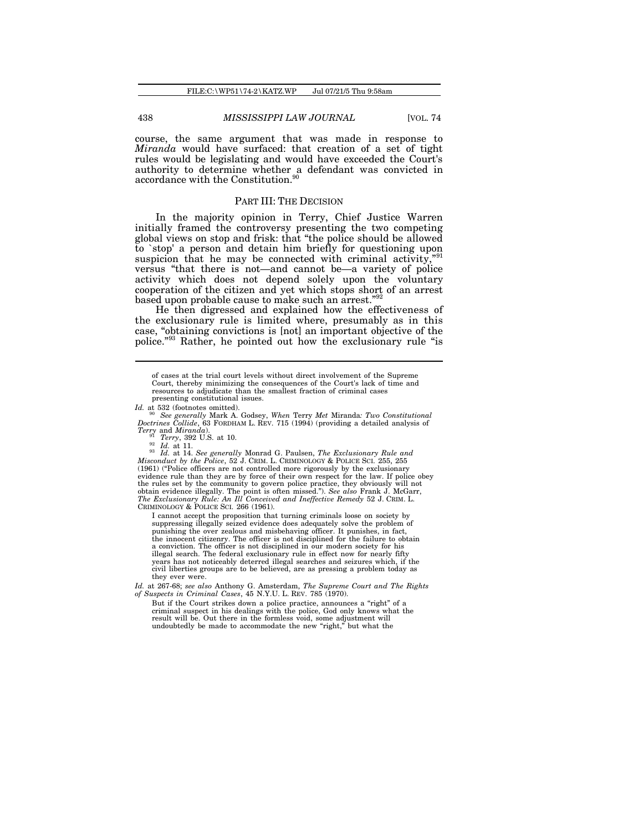course, the same argument that was made in response to *Miranda* would have surfaced: that creation of a set of tight rules would be legislating and would have exceeded the Court's authority to determine whether a defendant was convicted in accordance with the Constitution.<sup>90</sup>

### PART III: THE DECISION

In the majority opinion in Terry, Chief Justice Warren initially framed the controversy presenting the two competing global views on stop and frisk: that "the police should be allowed to `stop' a person and detain him briefly for questioning upon suspicion that he may be connected with criminal activity,"<sup>91</sup> versus "that there is not—and cannot be—a variety of police activity which does not depend solely upon the voluntary cooperation of the citizen and yet which stops short of an arrest based upon probable cause to make such an arrest."<sup>92</sup>

He then digressed and explained how the effectiveness of the exclusionary rule is limited where, presumably as in this case, "obtaining convictions is [not] an important objective of the police."<sup>93</sup> Rather, he pointed out how the exclusionary rule "is

<sup>90</sup> *See generally* Mark A. Godsey, *When* Terry *Met* Miranda*: Two Constitutional Doctrines Collide*, 63 FORDHAM L. REV. 715 (1994) (providing a detailed analysis of *Terry* and *Miranda*). <sup>91</sup> *Terry*, 392 U.S. at 10.

<sup>92</sup> *Id.* at 11.

<sup>93</sup> Id. at 14. See generally Monrad G. Paulsen, *The Exclusionary Rule and Misconduct by the Police*, 52 J. CRIM. L. CRIMINOLOGY & POLICE SCI. 255, 255 (1961) ("Police officers are not controlled more rigorously by the e evidence rule than they are by force of their own respect for the law. If police obey the rules set by the community to govern police practice, they obviously will not obtain evidence illegally. The point is often missed."). See also Frank J. McGarr,<br>The Exclusionary Rule: An Ill Conceived and Ineffective Remedy 52 J. CRIM. L. CRIMINOLOGY & POLICE SCI. 266 (1961).

I cannot accept the proposition that turning criminals loose on society by suppressing illegally seized evidence does adequately solve the problem of punishing the over zealous and misbehaving officer. It punishes, in fact the innocent citizenry. The officer is not disciplined for the failure to obtain a conviction. The officer is not disciplined in our modern society for his illegal search. The federal exclusionary rule in effect now for nearly fifty years has not noticeably deterred illegal searches and seizures which, if the civil liberties groups are to be believed, are as pressing a problem today as they ever were.

*Id.* at 267-68; *see also* Anthony G. Amsterdam, *The Supreme Court and The Rights of Suspects in Criminal Cases*, 45 N.Y.U. L. REV. 785 (1970).

But if the Court strikes down a police practice, announces a "right" of a criminal suspect in his dealings with the police, God only knows what the result will be. Out there in the formless void, some adjustment will undoubtedly be made to accommodate the new "right," but what the

of cases at the trial court levels without direct involvement of the Supreme Court, thereby minimizing the consequences of the Court's lack of time and resources to adjudicate than the smallest fraction of criminal cases presenting constitutional issues.

*Id.* at 532 (footnotes omitted).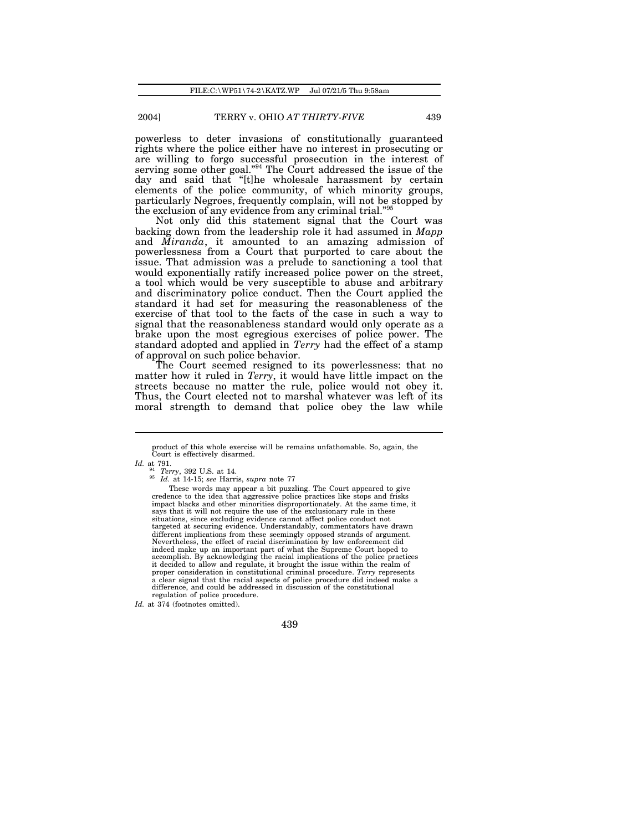powerless to deter invasions of constitutionally guaranteed rights where the police either have no interest in prosecuting or are willing to forgo successful prosecution in the interest of serving some other goal."<sup>94</sup> The Court addressed the issue of the day and said that "[t]he wholesale harassment by certain elements of the police community, of which minority groups, particularly Negroes, frequently complain, will not be stopped by the exclusion of any evidence from any criminal trial."

Not only did this statement signal that the Court was backing down from the leadership role it had assumed in *Mapp* and *Miranda*, it amounted to an amazing admission of powerlessness from a Court that purported to care about the issue. That admission was a prelude to sanctioning a tool that would exponentially ratify increased police power on the street, a tool which would be very susceptible to abuse and arbitrary and discriminatory police conduct. Then the Court applied the standard it had set for measuring the reasonableness of the exercise of that tool to the facts of the case in such a way to signal that the reasonableness standard would only operate as a brake upon the most egregious exercises of police power. The standard adopted and applied in *Terry* had the effect of a stamp of approval on such police behavior.

The Court seemed resigned to its powerlessness: that no matter how it ruled in *Terry*, it would have little impact on the streets because no matter the rule, police would not obey it. Thus, the Court elected not to marshal whatever was left of its moral strength to demand that police obey the law while

product of this whole exercise will be remains unfathomable. So, again, the Court is effectively disarmed.

*Id.* at 791. <sup>94</sup> *Terry*, 392 U.S. at 14.

<sup>95</sup> *Id.* at 14-15; *see* Harris, *supra* note 77

These words may appear a bit puzzling. The Court appeared to give credence to the idea that aggressive police practices like stops and frisks impact blacks and other minorities disproportionately. At the same time, it says that it will not require the use of the exclusionary rule in these situations, since excluding evidence cannot affect police conduct not targeted at securing evidence. Understandably, commentators have drawn different implications from these seemingly opposed strands of argument. Nevertheless, the effect of racial discrimination by law enforcement did indeed make up an important part of what the Supreme Court hoped to accomplish. By acknowledging the racial implications of the police practices it decided to allow and regulate, it brought the issue within the realm of proper consideration in constitutional criminal procedure. *Terry* represents a clear signal that the racial aspects of police procedure did indeed make a difference, and could be addressed in discussion of the constitutional regulation of police procedure.

*Id.* at 374 (footnotes omitted).

<sup>439</sup>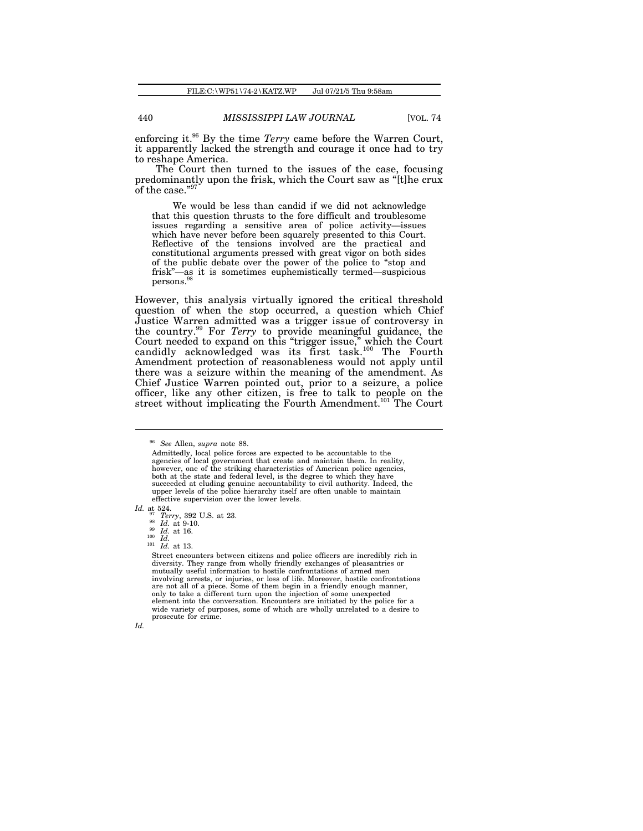enforcing it.<sup>96</sup> By the time *Terry* came before the Warren Court, it apparently lacked the strength and courage it once had to try to reshape America.

The Court then turned to the issues of the case, focusing predominantly upon the frisk, which the Court saw as "[t]he crux of the case."9

We would be less than candid if we did not acknowledge that this question thrusts to the fore difficult and troublesome issues regarding a sensitive area of police activity—issues which have never before been squarely presented to this Court. Reflective of the tensions involved are the practical and constitutional arguments pressed with great vigor on both sides of the public debate over the power of the police to "stop and frisk"—as it is sometimes euphemistically termed—suspicious persons.<sup>98</sup>

However, this analysis virtually ignored the critical threshold question of when the stop occurred, a question which Chief Justice Warren admitted was a trigger issue of controversy in the country.<sup>99</sup> For *Terry* to provide meaningful guidance, the Court needed to expand on this "trigger issue," which the Court candidly acknowledged was its first task.<sup>100</sup> The Fourth Amendment protection of reasonableness would not apply until there was a seizure within the meaning of the amendment. As Chief Justice Warren pointed out, prior to a seizure, a police officer, like any other citizen, is free to talk to people on the street without implicating the Fourth Amendment.<sup>101</sup> The Court

*Id.* at 524.

Street encounters between citizens and police officers are incredibly rich in diversity. They range from wholly friendly exchanges of pleasantries or mutually useful information to hostile confrontations of armed men involving arrests, or injuries, or loss of life. Moreover, hostile confrontations are not all of a piece. Some of them begin in a friendly enough manner, only to take a different turn upon the injection of some unexpected element into the conversation. Encounters are initiated by the police for a wide variety of purposes, some of which are wholly unrelated to a desire to prosecute for crime.



<sup>96</sup> *See* Allen, *supra* note 88.

Admittedly, local police forces are expected to be accountable to the agencies of local government that create and maintain them. In reality, however, one of the striking characteristics of American police agencies, both at the state and federal level, is the degree to which they have succeeded at eluding genuine accountability to civil authority. Indeed, the upper levels of the police hierarchy itself are often unable to maintain effective supervision over the lower levels.

<sup>97</sup> *Terry*, 392 U.S. at 23. <sup>98</sup> *Id.* at 9-10.

<sup>99</sup> *Id.* at 16. <sup>100</sup> *Id.*

<sup>101</sup> *Id.* at 13.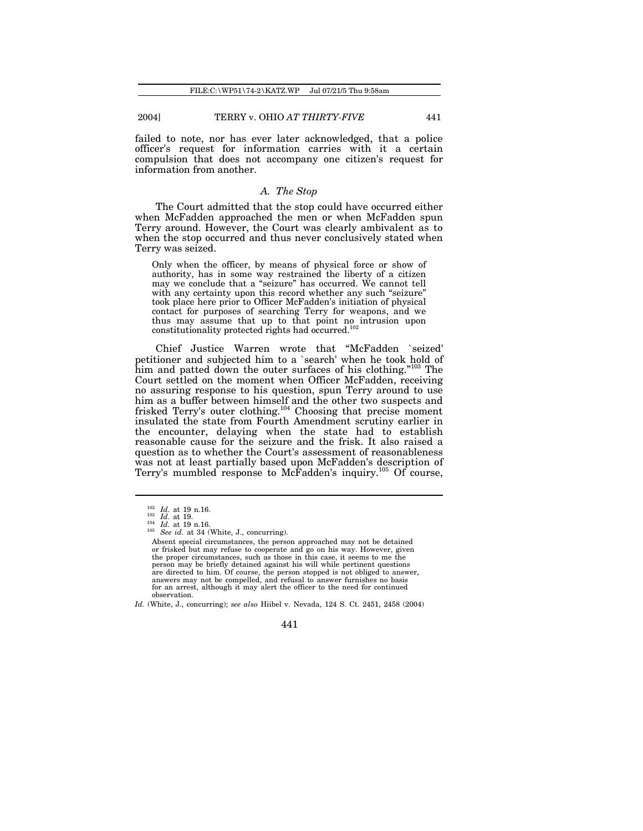failed to note, nor has ever later acknowledged, that a police officer's request for information carries with it a certain compulsion that does not accompany one citizen's request for information from another.

### *A. The Stop*

The Court admitted that the stop could have occurred either when McFadden approached the men or when McFadden spun Terry around. However, the Court was clearly ambivalent as to when the stop occurred and thus never conclusively stated when Terry was seized.

Only when the officer, by means of physical force or show of authority, has in some way restrained the liberty of a citizen may we conclude that a "seizure" has occurred. We cannot tell with any certainty upon this record whether any such "seizure" took place here prior to Officer McFadden's initiation of physical contact for purposes of searching Terry for weapons, and we thus may assume that up to that point no intrusion upon constitutionality protected rights had occurred.<sup>102</sup>

Chief Justice Warren wrote that "McFadden `seized' petitioner and subjected him to a `search' when he took hold of him and patted down the outer surfaces of his clothing."<sup>103</sup> The Court settled on the moment when Officer McFadden, receiving no assuring response to his question, spun Terry around to use him as a buffer between himself and the other two suspects and frisked Terry's outer clothing.<sup>104</sup> Choosing that precise moment insulated the state from Fourth Amendment scrutiny earlier in the encounter, delaying when the state had to establish reasonable cause for the seizure and the frisk. It also raised a question as to whether the Court's assessment of reasonableness was not at least partially based upon McFadden's description of Terry's mumbled response to McFadden's inquiry.<sup>105</sup> Of course,

<sup>102</sup> *Id.* at 19 n.16.

 $\frac{103}{104}$   $\frac{1}{14}$  at 19.

 $\frac{104}{105}$  *Id.* at 19 n.16. See *id.* at 34 (White, J., concurring).

Absent special circumstances, the person approached may not be detained or frisked but may refuse to cooperate and go on his way. However, given the proper circumstances, such as those in this case, it seems to me the person may be briefly detained against his will while pertinent questions are directed to him. Of course, the person stopped is not obliged to answer, answers may not be compelled, and refusal to answer furnishes no basis for an arrest, although it may alert the officer to the need for continued observation.

*Id.* (White, J., concurring); *see also* Hiibel v. Nevada, 124 S. Ct. 2451, 2458 (2004)

<sup>441</sup>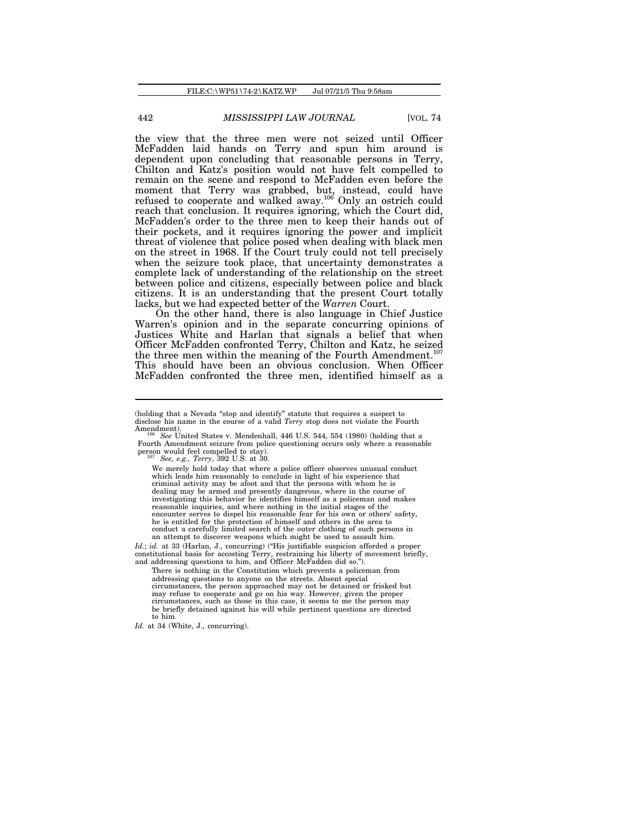the view that the three men were not seized until Officer McFadden laid hands on Terry and spun him around is dependent upon concluding that reasonable persons in Terry, Chilton and Katz's position would not have felt compelled to remain on the scene and respond to McFadden even before the moment that Terry was grabbed, but, instead, could have refused to cooperate and walked away.<sup>106</sup> Only an ostrich could reach that conclusion. It requires ignoring, which the Court did, McFadden's order to the three men to keep their hands out of their pockets, and it requires ignoring the power and implicit threat of violence that police posed when dealing with black men on the street in 1968. If the Court truly could not tell precisely when the seizure took place, that uncertainty demonstrates a complete lack of understanding of the relationship on the street between police and citizens, especially between police and black citizens. It is an understanding that the present Court totally lacks, but we had expected better of the *Warren* Court.

On the other hand, there is also language in Chief Justice Warren's opinion and in the separate concurring opinions of Justices White and Harlan that signals a belief that when Officer McFadden confronted Terry, Chilton and Katz, he seized the three men within the meaning of the Fourth Amendment.<sup>1</sup> This should have been an obvious conclusion. When Officer McFadden confronted the three men, identified himself as a

We merely hold today that where a police officer observes unusual conduct which leads him reasonably to conclude in light of his experience that criminal activity may be afoot and that the persons with whom he is dealing may be armed and presently dangerous, where in the course of investigating this behavior he identifies himself as a policeman and makes reasonable inquiries, and where nothing in the initial stages of the encounter serves to dispel his reasonable fear for his own or others' safety, he is entitled for the protection of himself and others in the area to conduct a carefully limited search of the outer clothing of such persons in an attempt to discover weapons which might be used to assault him.

*Id.*; *id.* at 33 (Harlan, J., concurring) ("His justifiable suspicion afforded a proper constitutional basis for accosting Terry, restraining his liberty of movement briefly, and addressing questions to him, and Officer McFadden did so.").

There is nothing in the Constitution which prevents a policeman from addressing questions to anyone on the streets. Absent special circumstances, the person approached may not be detained or frisked but may refuse to cooperate and go on his way. However, given the proper circumstances, such as those in this case, it seems to me the person may be briefly detained against his will while pertinent questions are directed to him.

*Id.* at 34 (White, J., concurring).

<sup>(</sup>holding that a Nevada "stop and identify" statute that requires a suspect to disclose his name in the course of a valid *Terry* stop does not violate the Fourth Amendment)

<sup>106</sup> *See* United States v. Mendenhall, 446 U.S. 544, 554 (1980) (holding that a Fourth Amendment seizure from police questioning occurs only where a reasonable person would feel compelled to stay). <sup>107</sup> *See, e.g., Terry*, 392 U.S. at 30.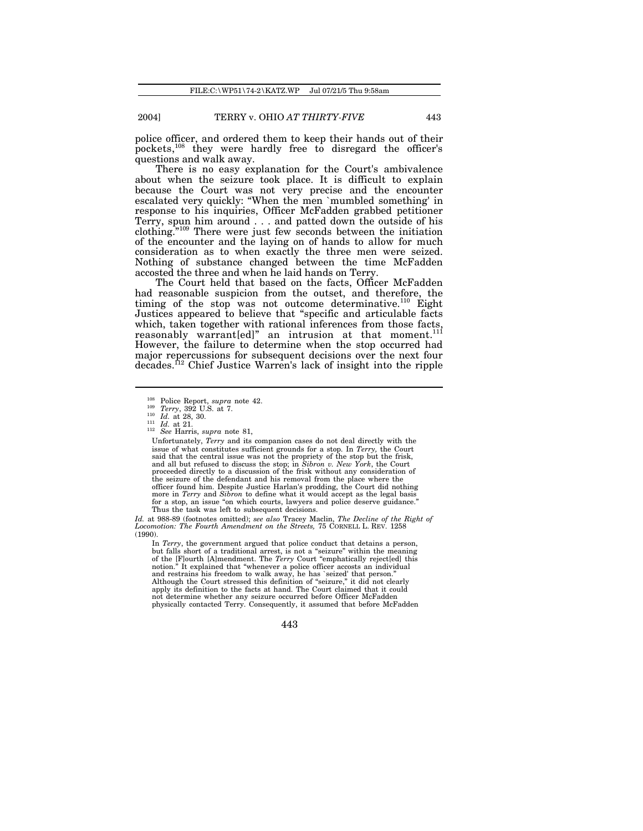police officer, and ordered them to keep their hands out of their pockets,<sup>108</sup> they were hardly free to disregard the officer's questions and walk away.

There is no easy explanation for the Court's ambivalence about when the seizure took place. It is difficult to explain because the Court was not very precise and the encounter escalated very quickly: "When the men `mumbled something' in response to his inquiries, Officer McFadden grabbed petitioner Terry, spun him around . . . and patted down the outside of his clothing."<sup>109</sup> There were just few seconds between the initiation of the encounter and the laying on of hands to allow for much consideration as to when exactly the three men were seized. Nothing of substance changed between the time McFadden accosted the three and when he laid hands on Terry.

The Court held that based on the facts, Officer McFadden had reasonable suspicion from the outset, and therefore, the timing of the stop was not outcome determinative.<sup>110</sup> Eight Justices appeared to believe that "specific and articulable facts which, taken together with rational inferences from those facts, reasonably warrant[ed]" an intrusion at that moment.<sup>111</sup> However, the failure to determine when the stop occurred had major repercussions for subsequent decisions over the next four decades.<sup>112</sup> Chief Justice Warren's lack of insight into the ripple

*Id.* at 988-89 (footnotes omitted); see also Tracey Maclin, *The Decline of the Right of*<br>Locomotion: *The Fourth Amendment on the Streets, 75 CO*RNELL L. REV. 1258 (1990).

In *Terry*, the government argued that police conduct that detains a person, but falls short of a traditional arrest, is not a "seizure" within the meaning of the [F]ourth [A]mendment. The *Terry* Court "emphatically reject[ed] this notion." It explained that "whenever a police officer accosts an individual and restrains his freedom to walk away, he has `seized' that person." Although the Court stressed this definition of "seizure," it did not clearly apply its definition to the facts at hand. The Court claimed that it could not determine whether any seizure occurred before Officer McFadden physically contacted Terry. Consequently, it assumed that before McFadden

<sup>108</sup> Police Report, *supra* note 42. <sup>109</sup> *Terry*, 392 U.S. at 7.

<sup>110</sup> *Id.* at 28, 30. <sup>111</sup> *Id.* at 21.

<sup>112</sup> *See* Harris, *supra* note 81,

Unfortunately, *Terry* and its companion cases do not deal directly with the issue of what constitutes sufficient grounds for a stop. In *Terry,* the Court said that the central issue was not the propriety of the stop but the frisk, and all but refused to discuss the stop; in *Sibron v. New York*, the Court proceeded directly to a discussion of the frisk without any consideration of the seizure of the defendant and his removal from the place where the officer found him. Despite Justice Harlan's prodding, the Court did nothing more in *Terry* and *Sibron* to define what it would accept as the legal basis for a stop, an issue "on which courts, lawyers and police deserve guidance." Thus the task was left to subsequent decisions.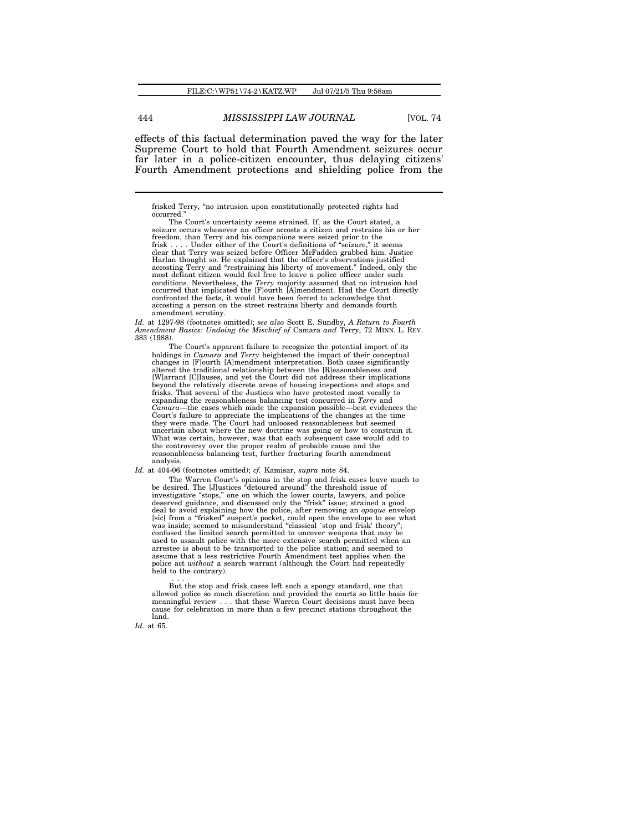effects of this factual determination paved the way for the later Supreme Court to hold that Fourth Amendment seizures occur far later in a police-citizen encounter, thus delaying citizens' Fourth Amendment protections and shielding police from the

frisked Terry, "no intrusion upon constitutionally protected rights had occurred.

The Court's uncertainty seems strained. If, as the Court stated, a seizure occurs whenever an officer accosts a citizen and restrains his or her freedom, than Terry and his companions were seized prior to the frisk . . . . Under either of the Court's definitions of "seizure," it seems clear that Terry was seized before Officer McFadden grabbed him. Justice Harlan thought so. He explained that the officer's observations justified accosting Terry and "restraining his liberty of movement." Indeed, only the most defiant citizen would feel free to leave a police officer under such conditions. Nevertheless, the *Terry* majority assumed that no intrusion had occurred that implicated the [F]ourth [A]mendment. Had the Court directly confronted the facts, it would have been forced to acknowledge that accosting a person on the street restrains liberty and demands fourth amendment scrutiny.

Id. at 1297-98 (footnotes omitted); see also Scott E. Sundby, A Return to Fourth<br>Amendment Basics: Undoing the Mischief of Camara and Terry, 72 MINN. L. REV. 383 (1988).

The Court's apparent failure to recognize the potential import of its holdings in *Camara* and *Terry* heightened the impact of their conceptual changes in [F]ourth [A]mendment interpretation. Both cases significantly altered the traditional relationship between the [R]easonableness and [W]arrant [C]lauses, and yet the Court did not address their implications beyond the relatively discrete areas of housing inspections and stops and frisks. That several of the Justices who have protested most vocally to expanding the reasonableness balancing test concurred in *Terry* and *Camara*—the cases which made the expansion possible—best evidences the Court's failure to appreciate the implications of the changes at the time they were made. The Court had unloosed reasonableness but seemed uncertain about where the new doctrine was going or how to constrain it. What was certain, however, was that each subsequent case would add to the controversy over the proper realm of probable cause and the reasonableness balancing test, further fracturing fourth amendment analysis.

*Id.* at 404-06 (footnotes omitted); *cf.* Kamisar, *supra* note 84.

The Warren Court's opinions in the stop and frisk cases leave much to be desired. The [J]ustices "detoured around" the threshold issue of investigative "stops," one on which the lower courts, lawyers, and police deserved guidance, and discussed only the "frisk" issue; strained a good deal to avoid explaining how the police, after removing an *opaque* envelop [sic] from a "frisked" suspect's pocket, could open the envelope to see what was inside; seemed to misunderstand "classical `stop and frisk' theory"; confused the limited search permitted to uncover weapons that may be used to assault police with the more extensive search permitted when an arrestee is about to be transported to the police station; and seemed to assume that a less restrictive Fourth Amendment test applies when the police act *without* a search warrant (although the Court had repeatedly held to the contrary).

. . . But the stop and frisk cases left such a spongy standard, one that allowed police so much discretion and provided the courts so little basis for meaningful review . . . that these Warren Court decisions must have been cause for celebration in more than a few precinct stations throughout the land.

*Id.* at 65.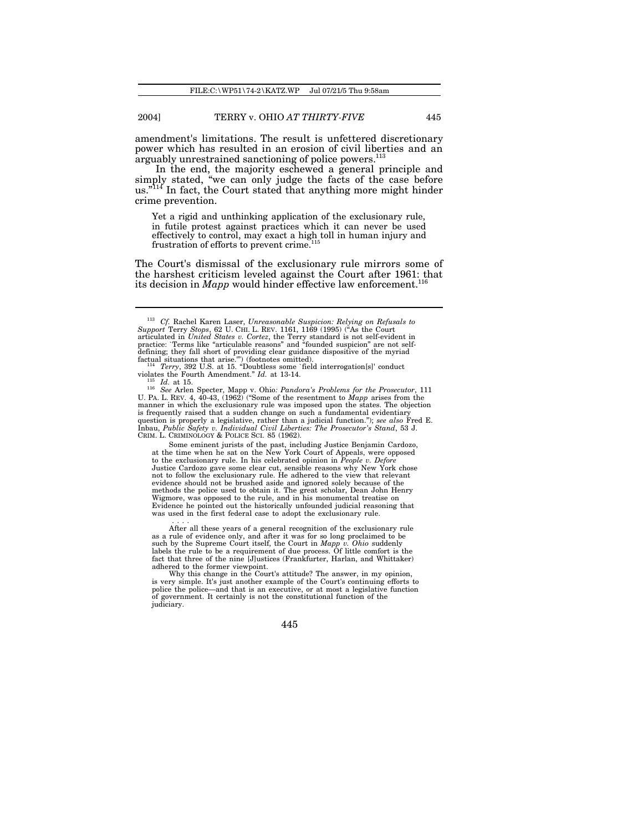amendment's limitations. The result is unfettered discretionary power which has resulted in an erosion of civil liberties and an arguably unrestrained sanctioning of police powers.<sup>113</sup>

In the end, the majority eschewed a general principle and simply stated, "we can only judge the facts of the case before us."<sup>114</sup> In fact, the Court stated that anything more might hinder crime prevention.

Yet a rigid and unthinking application of the exclusionary rule, in futile protest against practices which it can never be used effectively to control, may exact a high toll in human injury and frustration of efforts to prevent crime.<sup>1</sup>

The Court's dismissal of the exclusionary rule mirrors some of the harshest criticism leveled against the Court after 1961: that its decision in *Mapp* would hinder effective law enforcement.<sup>116</sup>

<sup>113</sup> *Cf.* Rachel Karen Laser, *Unreasonable Suspicion: Relying on Refusals to Support* Terry *Stops*, 62 U. CHI. L. REV. 1161, 1169 (1995) ("As the Court articulated in *United States v. Cortez*, the Terry standard is not self-evident in practice: `Terms like "articulable reasons" and "founded suspicion" are not selfdefining; they fall short of providing clear guidance dispositive of the myriad situations that arise."" (footnotes omitted).<br>  $^{114}$  Terry, 392 U.S. at 15. "Doubtless some `field interrogation[s]' conduct violates the F

*Id.* at 15.

<sup>116</sup> *See* Arlen Specter, Mapp v. Ohio*: Pandora's Problems for the Prosecutor*, 111 U. PA. L. REV. 4, 40-43, (1962) ("Some of the resentment to *Mapp* arises from the manner in which the exclusionary rule was imposed upon the states. The objection is frequently raised that a sudden change on such a fundamental evidentiary question is properly a legislative, rather than a judicial function."); *see also* Fred E. Inbau, *Public Safety v. Individual Civil Liberties: The Prosecutor's Stand*, 53 J. CRIM. L. CRIMINOLOGY & POLICE SCI. 85 (1962).

Some eminent jurists of the past, including Justice Benjamin Cardozo, at the time when he sat on the New York Court of Appeals, were opposed to the exclusionary rule. In his celebrated opinion in *People v. Defore* Justice Cardozo gave some clear cut, sensible reasons why New York chose not to follow the exclusionary rule. He adhered to the view that relevant evidence should not be brushed aside and ignored solely because of the methods the police used to obtain it. The great scholar, Dean John Henry Wigmore, was opposed to the rule, and in his monumental treatise on Evidence he pointed out the historically unfounded judicial reasoning that was used in the first federal case to adopt the exclusionary rule.

After all these years of a general recognition of the exclusionary rule<br>as a rule of evidence only, and after it was for so long proclaimed to be<br>such by the Supreme Court itself, the Court in *Mapp v. Ohio* suddenly<br>labe fact that three of the nine [J]ustices (Frankfurter, Harlan, and Whittaker) adhered to the former viewpoint. Why this change in the Court's attitude? The answer, in my opinion,

is very simple. It's just another example of the Court's continuing efforts to police the police—and that is an executive, or at most a legislative function of government. It certainly is not the constitutional function of the judiciary.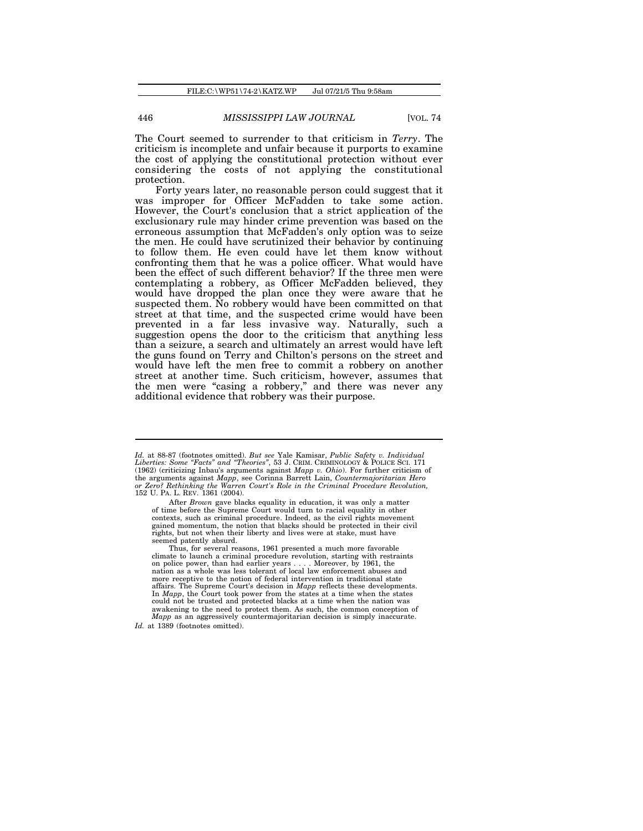The Court seemed to surrender to that criticism in *Terry*. The criticism is incomplete and unfair because it purports to examine the cost of applying the constitutional protection without ever considering the costs of not applying the constitutional protection.

Forty years later, no reasonable person could suggest that it was improper for Officer McFadden to take some action. However, the Court's conclusion that a strict application of the exclusionary rule may hinder crime prevention was based on the erroneous assumption that McFadden's only option was to seize the men. He could have scrutinized their behavior by continuing to follow them. He even could have let them know without confronting them that he was a police officer. What would have been the effect of such different behavior? If the three men were contemplating a robbery, as Officer McFadden believed, they would have dropped the plan once they were aware that he suspected them. No robbery would have been committed on that street at that time, and the suspected crime would have been prevented in a far less invasive way. Naturally, such a suggestion opens the door to the criticism that anything less than a seizure, a search and ultimately an arrest would have left the guns found on Terry and Chilton's persons on the street and would have left the men free to commit a robbery on another street at another time. Such criticism, however, assumes that the men were "casing a robbery," and there was never any additional evidence that robbery was their purpose.

Id. at 88-87 (footnotes omitted). But see Yale Kamisar, Public Safety v. Individual<br>Liberties: Some "Facts" and "Theories", 53 J. CRIM. CRIMINOLOGY & POLICE SCI. 171 (1962) (criticizing Inbau's arguments against *Mapp v. Ohio*). For further criticism of the arguments against Mapp, see Corinna Barrett Lain, Countermajoritarian Hero<br>or Zero? Rethinking the Warren Court's Role in the Criminal Procedure Revolution, 152 U. PA. L. REV. 1361 (2004).

After *Brown* gave blacks equality in education, it was only a matter of time before the Supreme Court would turn to racial equality in other contexts, such as criminal procedure. Indeed, as the civil rights movement gained momentum, the notion that blacks should be protected in their civil rights, but not when their liberty and lives were at stake, must have seemed patently absurd.

Thus, for several reasons, 1961 presented a much more favorable climate to launch a criminal procedure revolution, starting with restraints on police power, than had earlier years . . . . Moreover, by 1961, the nation as a whole was less tolerant of local law enforcement abuses and more receptive to the notion of federal intervention in traditional state affairs. The Supreme Court's decision in *Mapp* reflects these developments. In *Mapp*, the Court took power from the states at a time when the states could not be trusted and protected blacks at a time when the nation was awakening to the need to protect them. As such, the common conception of *Mapp* as an aggressively countermajoritarian decision is simply inaccurate.

*Id.* at 1389 (footnotes omitted).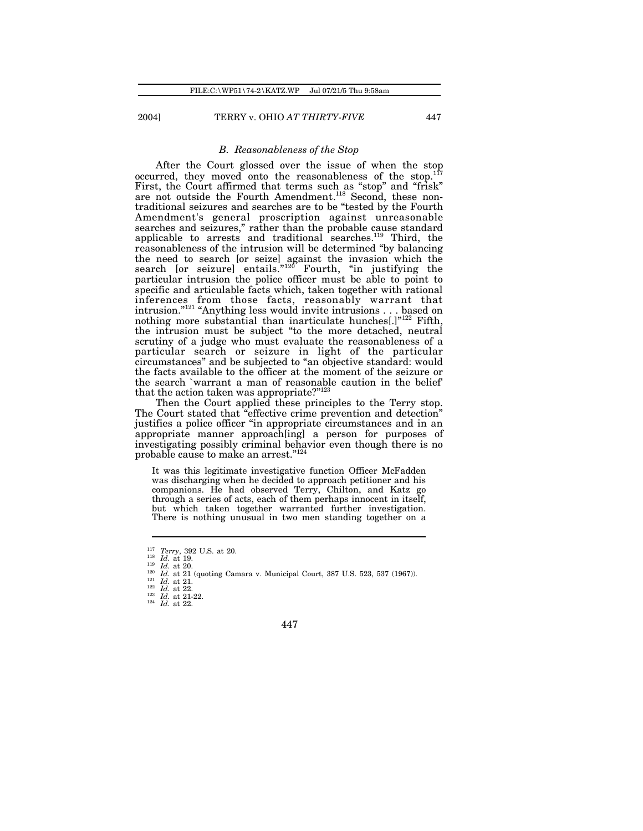### *B. Reasonableness of the Stop*

After the Court glossed over the issue of when the stop occurred, they moved onto the reasonableness of the stop.<sup>117</sup> First, the Court affirmed that terms such as "stop" and "frisk" are not outside the Fourth Amendment.<sup>118</sup> Second, these nontraditional seizures and searches are to be "tested by the Fourth Amendment's general proscription against unreasonable searches and seizures," rather than the probable cause standard applicable to arrests and traditional searches.<sup>119</sup> Third, the reasonableness of the intrusion will be determined "by balancing the need to search [or seize] against the invasion which the search [or seizure] entails."<sup>120</sup> Fourth, "in justifying the particular intrusion the police officer must be able to point to specific and articulable facts which, taken together with rational inferences from those facts, reasonably warrant that intrusion."<sup>121</sup> "Anything less would invite intrusions . . . based on nothing more substantial than inarticulate hunches[.]"<sup>122</sup> Fifth, the intrusion must be subject "to the more detached, neutral scrutiny of a judge who must evaluate the reasonableness of a particular search or seizure in light of the particular circumstances" and be subjected to "an objective standard: would the facts available to the officer at the moment of the seizure or the search `warrant a man of reasonable caution in the belief' that the action taken was appropriate?"<sup>123</sup>

Then the Court applied these principles to the Terry stop. The Court stated that "effective crime prevention and detection" justifies a police officer "in appropriate circumstances and in an appropriate manner approach[ing] a person for purposes of investigating possibly criminal behavior even though there is no probable cause to make an arrest."<sup>124</sup>

It was this legitimate investigative function Officer McFadden was discharging when he decided to approach petitioner and his companions. He had observed Terry, Chilton, and Katz go through a series of acts, each of them perhaps innocent in itself, but which taken together warranted further investigation. There is nothing unusual in two men standing together on a

 $\frac{118}{119}$  *Id.* at 19. *Id.* at 20.

 $\frac{121}{122}$  *Id.* at 21.

<sup>122</sup> *Id.* at 22. <sup>123</sup> *Id.* at 21-22.

<sup>124</sup> *Id.* at 22.

 $\frac{117}{118}$  *Terry*, 392 U.S. at 20.

<sup>&</sup>lt;sup>120</sup> *Id.* at 21 (quoting Camara v. Municipal Court, 387 U.S. 523, 537 (1967)).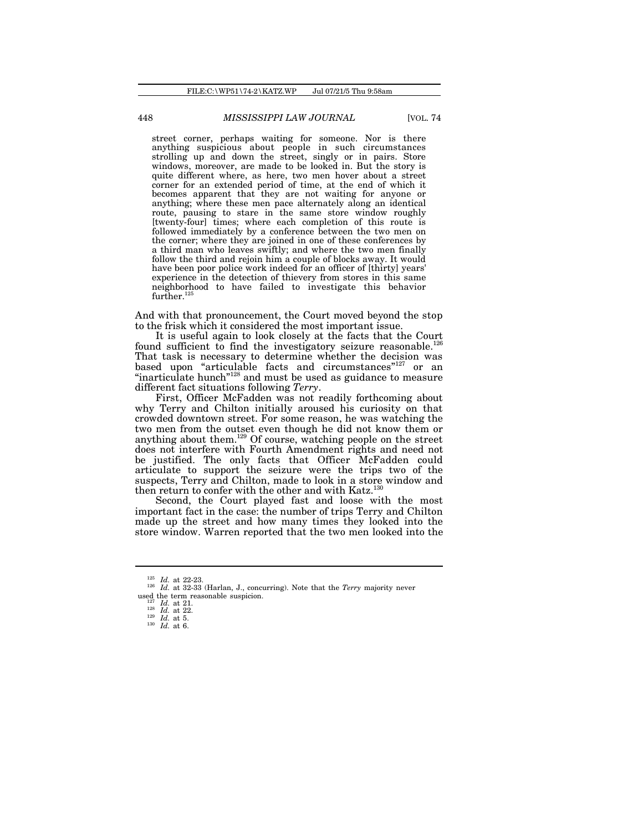street corner, perhaps waiting for someone. Nor is there anything suspicious about people in such circumstances strolling up and down the street, singly or in pairs. Store windows, moreover, are made to be looked in. But the story is quite different where, as here, two men hover about a street corner for an extended period of time, at the end of which it becomes apparent that they are not waiting for anyone or anything; where these men pace alternately along an identical route, pausing to stare in the same store window roughly [twenty-four] times; where each completion of this route is followed immediately by a conference between the two men on the corner; where they are joined in one of these conferences by a third man who leaves swiftly; and where the two men finally follow the third and rejoin him a couple of blocks away. It would have been poor police work indeed for an officer of [thirty] years' experience in the detection of thievery from stores in this same neighborhood to have failed to investigate this behavior further.<sup>125</sup>

And with that pronouncement, the Court moved beyond the stop to the frisk which it considered the most important issue.

It is useful again to look closely at the facts that the Court found sufficient to find the investigatory seizure reasonable.<sup>126</sup> That task is necessary to determine whether the decision was based upon "articulable facts and circumstances"<sup>127</sup> or an "inarticulate hunch"<sup>128</sup> and must be used as guidance to measure different fact situations following *Terry*.

First, Officer McFadden was not readily forthcoming about why Terry and Chilton initially aroused his curiosity on that crowded downtown street. For some reason, he was watching the two men from the outset even though he did not know them or anything about them.<sup>129</sup> Of course, watching people on the street does not interfere with Fourth Amendment rights and need not be justified. The only facts that Officer McFadden could articulate to support the seizure were the trips two of the suspects, Terry and Chilton, made to look in a store window and then return to confer with the other and with Katz.<sup>130</sup>

Second, the Court played fast and loose with the most important fact in the case: the number of trips Terry and Chilton made up the street and how many times they looked into the store window. Warren reported that the two men looked into the

<sup>125</sup> *Id.* at 22-23.

<sup>126</sup> *Id.* at 32-33 (Harlan, J., concurring). Note that the *Terry* majority never used the term reasonable suspicion.

*Id.* at 21.

<sup>128</sup> *Id.* at 22.

<sup>129</sup> *Id.* at 5.

<sup>130</sup> *Id.* at 6.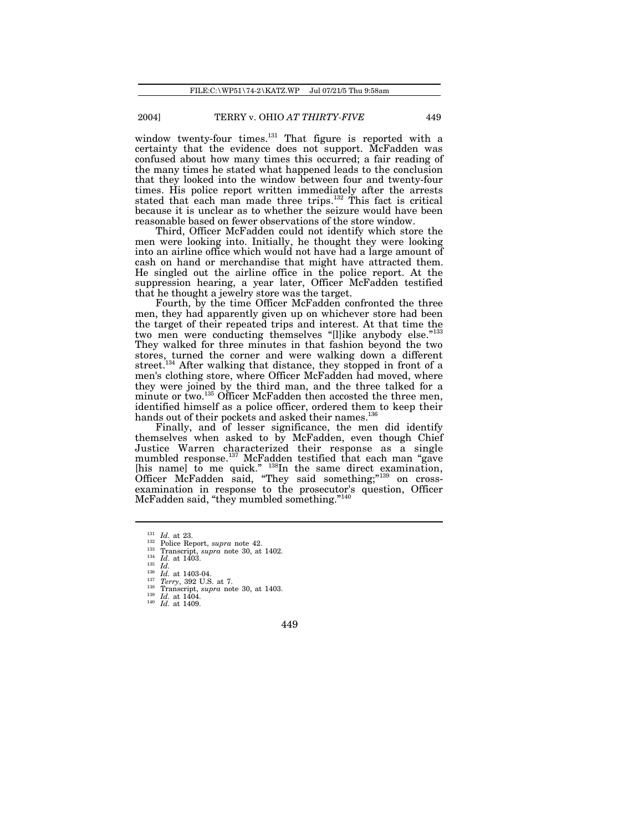window twenty-four times.<sup>131</sup> That figure is reported with a certainty that the evidence does not support. McFadden was confused about how many times this occurred; a fair reading of the many times he stated what happened leads to the conclusion that they looked into the window between four and twenty-four times. His police report written immediately after the arrests stated that each man made three trips.<sup>132</sup> This fact is critical because it is unclear as to whether the seizure would have been reasonable based on fewer observations of the store window.

Third, Officer McFadden could not identify which store the men were looking into. Initially, he thought they were looking into an airline office which would not have had a large amount of cash on hand or merchandise that might have attracted them. He singled out the airline office in the police report. At the suppression hearing, a year later, Officer McFadden testified that he thought a jewelry store was the target.

Fourth, by the time Officer McFadden confronted the three men, they had apparently given up on whichever store had been the target of their repeated trips and interest. At that time the two men were conducting themselves "[l]ike anybody else."133 They walked for three minutes in that fashion beyond the two stores, turned the corner and were walking down a different street.<sup>134</sup> After walking that distance, they stopped in front of a men's clothing store, where Officer McFadden had moved, where they were joined by the third man, and the three talked for a minute or two.<sup>135</sup> Officer McFadden then accosted the three men, identified himself as a police officer, ordered them to keep their hands out of their pockets and asked their names.<sup>136</sup>

Finally, and of lesser significance, the men did identify themselves when asked to by McFadden, even though Chief Justice Warren characterized their response as a single mumbled response.<sup>137</sup> McFadden testified that each man "gave [his name] to me quick." <sup>138</sup>In the same direct examination, Officer McFadden said, "They said something;"<sup>139</sup> on crossexamination in response to the prosecutor's question, Officer McFadden said, "they mumbled something."<sup>140</sup>

<sup>140</sup> *Id.* at 1409.

 $\frac{131}{132}$  *Id.* at 23.

<sup>132</sup> Police Report, *supra* note 42. <sup>133</sup> Transcript, *supra* note 30, at 1402.

 $\frac{134}{135}$  *Id.* at 1403.

<sup>135</sup> *Id.*

 $\frac{136}{137}$   $\frac{Id}{T_{\text{c}}}\$  at 1403-04.

<sup>137</sup> *Terry*, 392 U.S. at 7.

<sup>138</sup> Transcript, *supra* note 30, at 1403. <sup>139</sup> *Id.* at 1404.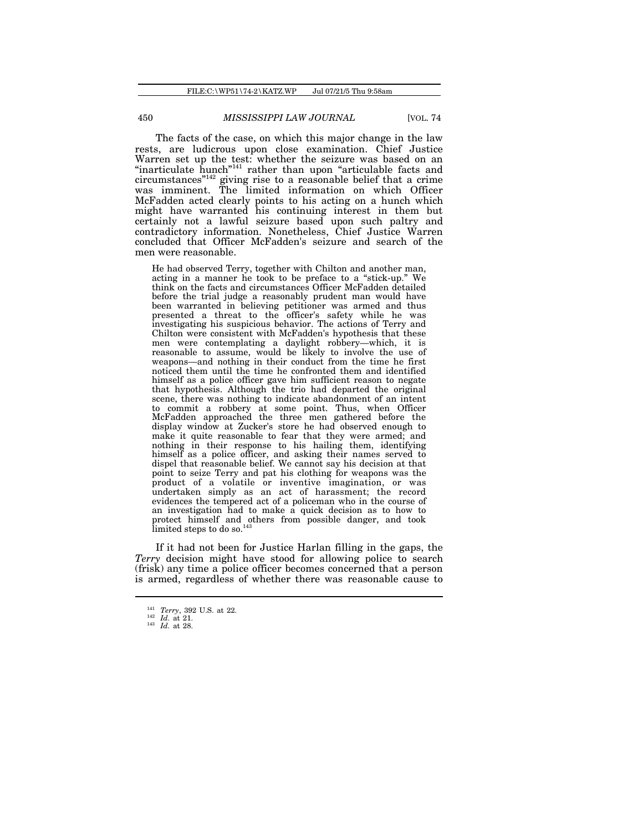The facts of the case, on which this major change in the law rests, are ludicrous upon close examination. Chief Justice Warren set up the test: whether the seizure was based on an "inarticulate hunch"<sup>141</sup> rather than upon "articulable facts and circumstances"<sup>142</sup> giving rise to a reasonable belief that a crime was imminent. The limited information on which Officer McFadden acted clearly points to his acting on a hunch which might have warranted his continuing interest in them but certainly not a lawful seizure based upon such paltry and contradictory information. Nonetheless, Chief Justice Warren concluded that Officer McFadden's seizure and search of the men were reasonable.

He had observed Terry, together with Chilton and another man, acting in a manner he took to be preface to a "stick-up." We think on the facts and circumstances Officer McFadden detailed before the trial judge a reasonably prudent man would have been warranted in believing petitioner was armed and thus presented a threat to the officer's safety while he was investigating his suspicious behavior. The actions of Terry and Chilton were consistent with McFadden's hypothesis that these men were contemplating a daylight robbery—which, it is reasonable to assume, would be likely to involve the use of weapons—and nothing in their conduct from the time he first noticed them until the time he confronted them and identified himself as a police officer gave him sufficient reason to negate that hypothesis. Although the trio had departed the original scene, there was nothing to indicate abandonment of an intent to commit a robbery at some point. Thus, when Officer McFadden approached the three men gathered before the display window at Zucker's store he had observed enough to make it quite reasonable to fear that they were armed; and nothing in their response to his hailing them, identifying himself as a police officer, and asking their names served to dispel that reasonable belief. We cannot say his decision at that point to seize Terry and pat his clothing for weapons was the product of a volatile or inventive imagination, or was undertaken simply as an act of harassment; the record evidences the tempered act of a policeman who in the course of an investigation had to make a quick decision as to how to protect himself and others from possible danger, and took  $\tilde{\text{limited}}$  steps to do so.<sup>143</sup>

If it had not been for Justice Harlan filling in the gaps, the *Terry* decision might have stood for allowing police to search (frisk) any time a police officer becomes concerned that a person is armed, regardless of whether there was reasonable cause to

<sup>141</sup> *Terry*, 392 U.S. at 22. <sup>142</sup> *Id.* at 21.

<sup>143</sup> *Id.* at 28.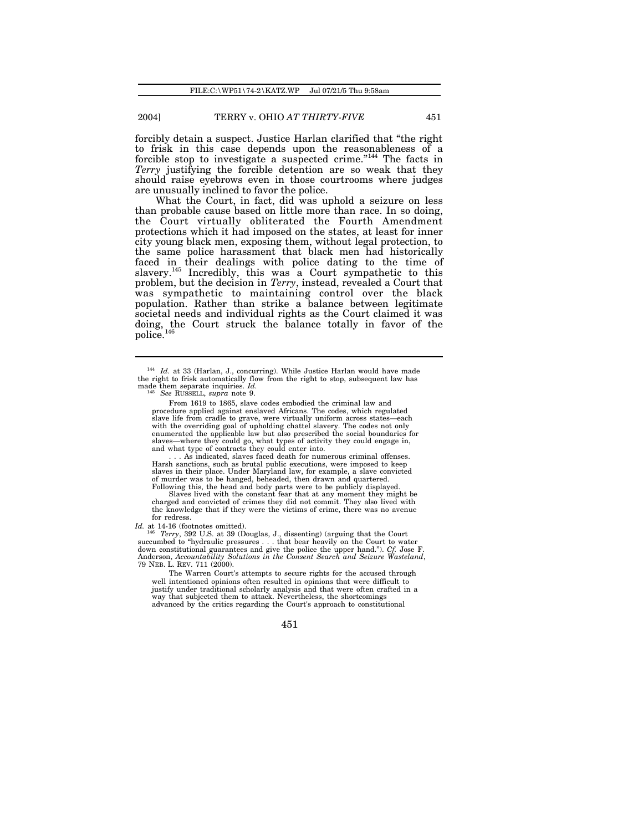forcibly detain a suspect. Justice Harlan clarified that "the right to frisk in this case depends upon the reasonableness of a forcible stop to investigate a suspected crime."<sup>144</sup> The facts in *Terry* justifying the forcible detention are so weak that they should raise eyebrows even in those courtrooms where judges are unusually inclined to favor the police.

What the Court, in fact, did was uphold a seizure on less than probable cause based on little more than race. In so doing, the Court virtually obliterated the Fourth Amendment protections which it had imposed on the states, at least for inner city young black men, exposing them, without legal protection, to the same police harassment that black men had historically faced in their dealings with police dating to the time of slavery.<sup>145</sup> Incredibly, this was a Court sympathetic to this problem, but the decision in *Terry*, instead, revealed a Court that was sympathetic to maintaining control over the black population. Rather than strike a balance between legitimate societal needs and individual rights as the Court claimed it was doing, the Court struck the balance totally in favor of the police.<sup>146</sup>

. . . As indicated, slaves faced death for numerous criminal offenses. Harsh sanctions, such as brutal public executions, were imposed to keep slaves in their place. Under Maryland law, for example, a slave convicted of murder was to be hanged, beheaded, then drawn and quartered. Following this, the head and body parts were to be publicly displayed.

Slaves lived with the constant fear that at any moment they might be charged and convicted of crimes they did not commit. They also lived with the knowledge that if they were the victims of crime, there was no avenue for redress.

Id. at 14-16 (footnotes omitted).

<sup>146</sup> *Terry*, 392 U.S. at 39 (Douglas, J., dissenting) (arguing that the Court succumbed to "hydraulic pressures . . . that bear heavily on the Court to water down constitutional guarantees and give the police the upper hand."). *Cf.* Jose F. Anderson, *Accountability Solutions in the Consent Search and Seizure Wasteland*, 79 NEB. L. REV. 711 (2000).

The Warren Court's attempts to secure rights for the accused through well intentioned opinions often resulted in opinions that were difficult to justify under traditional scholarly analysis and that were often crafted in a way that subjected them to attack. Nevertheless, the shortcomings advanced by the critics regarding the Court's approach to constitutional

<sup>&</sup>lt;sup>144</sup> *Id.* at 33 (Harlan, J., concurring). While Justice Harlan would have made the right to frisk automatically flow from the right to stop, subsequent law has made them separate inquiries. *Id.* <sup>145</sup> *See* RUSSELL, *supra* note 9.

From 1619 to 1865, slave codes embodied the criminal law and procedure applied against enslaved Africans. The codes, which regulated slave life from cradle to grave, were virtually uniform across states—each with the overriding goal of upholding chattel slavery. The codes not only enumerated the applicable law but also prescribed the social boundaries for slaves—where they could go, what types of activity they could engage in, and what type of contracts they could enter into.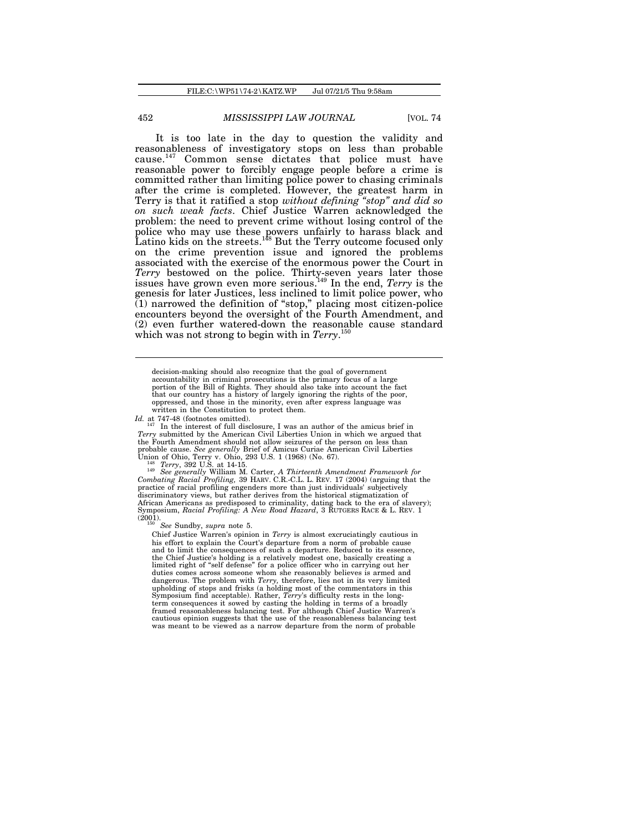It is too late in the day to question the validity and reasonableness of investigatory stops on less than probable cause.<sup>147</sup> Common sense dictates that police must have reasonable power to forcibly engage people before a crime is committed rather than limiting police power to chasing criminals after the crime is completed. However, the greatest harm in Terry is that it ratified a stop *without defining "stop" and did so on such weak facts*. Chief Justice Warren acknowledged the problem: the need to prevent crime without losing control of the police who may use these powers unfairly to harass black and Latino kids on the streets.<sup>148</sup> But the Terry outcome focused only on the crime prevention issue and ignored the problems associated with the exercise of the enormous power the Court in *Terry* bestowed on the police. Thirty-seven years later those issues have grown even more serious.<sup>149</sup> In the end, *Terry* is the genesis for later Justices, less inclined to limit police power, who (1) narrowed the definition of "stop," placing most citizen-police encounters beyond the oversight of the Fourth Amendment, and (2) even further watered-down the reasonable cause standard which was not strong to begin with in *Terry*. 150

decision-making should also recognize that the goal of government accountability in criminal prosecutions is the primary focus of a large portion of the Bill of Rights. They should also take into account the fact that our country has a history of largely ignoring the rights of the poor, oppressed, and those in the minority, even after express language was written in the Constitution to protect them.

*Id.* at 747-48 (footnotes omitted).<br><sup>147</sup> In the interest of full disclosure, I was an author of the amicus brief in *Terry* submitted by the American Civil Liberties Union in which we argued that the Fourth Amendment should not allow seizures of the person on less than probable cause. *See generally* Brief of Amicus Curiae American Civil Liberties

Union of Ohio, Terry v. Ohio, 293 U.S. 1 (1968) (No. 67).<br><sup>148</sup> *Terry*, 392 U.S. at 14-15.<br><sup>149</sup> *See generally* William M. Carter, *A Thirteenth Amendment Framework for*<br>*Combating Racial Profiling*, 39 HARV. C.R.-C.L. L practice of racial profiling engenders more than just individuals' subjectively discriminatory views, but rather derives from the historical stigmatization of African Americans as predisposed to criminality, dating back to the era of slavery); Symposium, *Racial Profiling: A New Road Hazard*, 3 RUTGERS RACE & L. REV. 1  $(2001)$ .

<sup>150</sup> *See* Sundby, *supra* note 5.

Chief Justice Warren's opinion in *Terry* is almost excruciatingly cautious in his effort to explain the Court's departure from a norm of probable cause and to limit the consequences of such a departure. Reduced to its essence, the Chief Justice's holding is a relatively modest one, basically creating a limited right of "self defense" for a police officer who in carrying out her duties comes across someone whom she reasonably believes is armed and dangerous. The problem with *Terry*, therefore, lies not in its very limited upholding of stops and frisks (a holding most of the commentators in this Symposium find acceptable). Rather, *Terry's* difficulty rests in the l term consequences it sowed by casting the holding in terms of a broadly framed reasonableness balancing test. For although Chief Justice Warren's cautious opinion suggests that the use of the reasonableness balancing test was meant to be viewed as a narrow departure from the norm of probable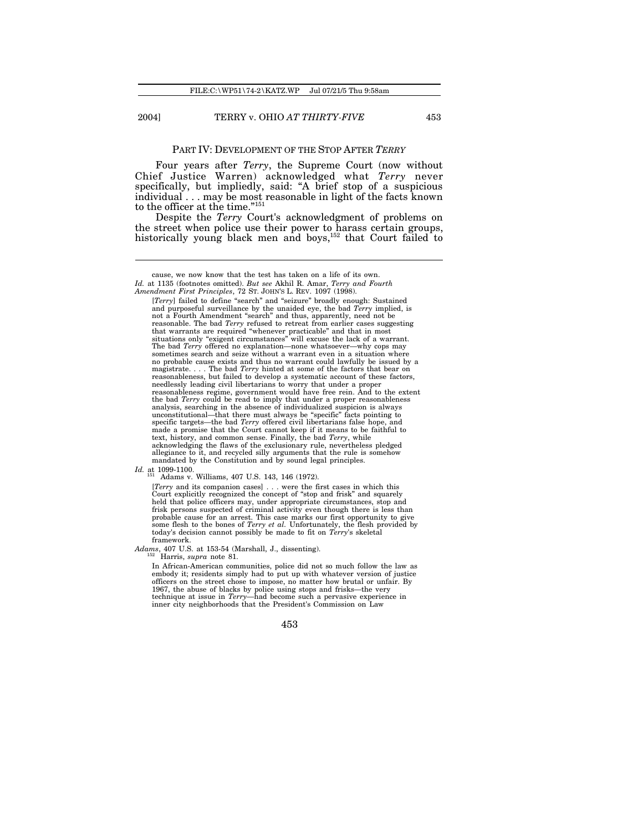### PART IV: DEVELOPMENT OF THE STOP AFTER *TERRY*

Four years after *Terry*, the Supreme Court (now without Chief Justice Warren) acknowledged what *Terry* never specifically, but impliedly, said: "A brief stop of a suspicious individual . . . may be most reasonable in light of the facts known to the officer at the time."<sup>151</sup>

Despite the *Terry* Court's acknowledgment of problems on the street when police use their power to harass certain groups, historically young black men and boys,<sup>152</sup> that Court failed to

[*Terry*] failed to define "search" and "seizure" broadly enough: Sustained and purposeful surveillance by the unaided eye, the bad *Terry* implied, is not a Fourth Amendment "search" and thus, apparently, need not be reasonable. The bad *Terry* refused to retreat from earlier cases suggesting that warrants are required "whenever practicable" and that in most situations only "exigent circumstances" will excuse the lack of a warrant. The bad *Terry* offered no explanation—none whatsoever—why cops may sometimes search and seize without a warrant even in a situation where no probable cause exists and thus no warrant could lawfully be issued by a magistrate. . . . The bad *Terry* hinted at some of the factors that bear on reasonableness, but failed to develop a systematic account of these factors, needlessly leading civil libertarians to worry that under a proper reasonableness regime, government would have free rein. And to the extent the bad *Terry* could be read to imply that under a proper reasonableness analysis, searching in the absence of individualized suspicion is always<br>unconstitutional—that there must always be "specific" facts pointing to<br>specific targets—the bad Terry offered civil libertarians false hope, and<br>mad text, history, and common sense. Finally, the bad *Terry*, while acknowledging the flaws of the exclusionary rule, nevertheless pledged allegiance to it, and recycled silly arguments that the rule is somehow mandated by the Constitution and by sound legal principles.

*Id.* at 1099-1100.

[Terry and its companion cases] . . . were the first cases in which this Court explicitly recognized the concept of "stop and frisk" and squarely held that police officers may, under appropriate circumstances, stop and frisk persons suspected of criminal activity even though there is less than<br>probable cause for an arrest. This case marks our first opportunity to give<br>some flesh to the bones of *Terry et al.* Unfortunately, the flesh pr framework.

*Adams*, 407 U.S. at 153-54 (Marshall, J., dissenting).

<sup>152</sup> Harris, *supra* note 81.

In African-American communities, police did not so much follow the law as embody it; residents simply had to put up with whatever version of justice officers on the street chose to impose, no matter how brutal or unfair. By 1967, the abuse of blacks by police using stops and frisks—the very technique at issue in *Terry*—had become such a pervasive experience in inner city neighborhoods that the President's Commission on Law

cause, we now know that the test has taken on a life of its own. *Id.* at 1135 (footnotes omitted). *But see* Akhil R. Amar, *Terry and Fourth Amendment First Principles*, 72 ST. JOHN'S L. REV. 1097 (1998).

Adams v. Williams, 407 U.S. 143, 146 (1972).

<sup>453</sup>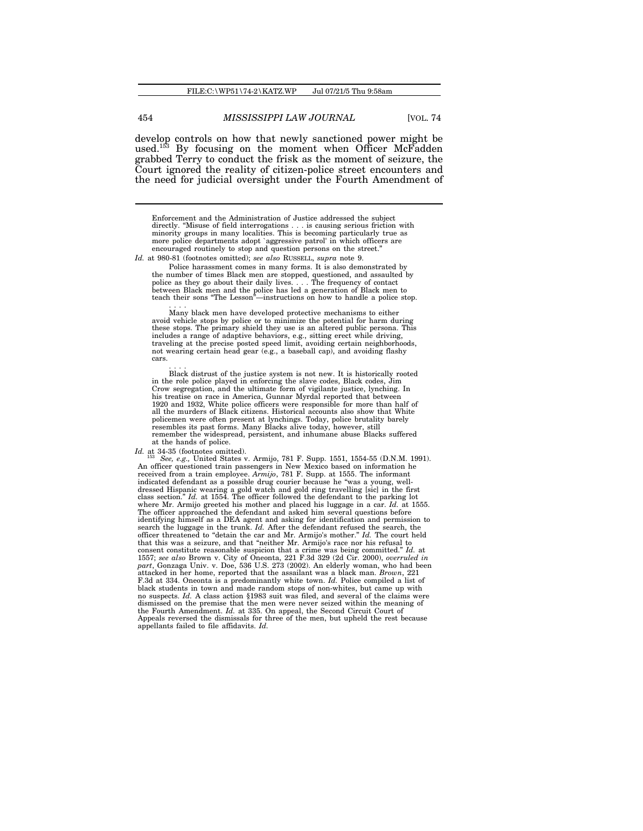develop controls on how that newly sanctioned power might be used.<sup>153</sup> By focusing on the moment when Officer McFadden grabbed Terry to conduct the frisk as the moment of seizure, the Court ignored the reality of citizen-police street encounters and the need for judicial oversight under the Fourth Amendment of

Enforcement and the Administration of Justice addressed the subject directly. "Misuse of field interrogations . . . is causing serious friction with minority groups in many localities. This is becoming particularly true as more police departments adopt `aggressive patrol' in which officers encouraged routinely to stop and question persons on the street."

*Id.* at 980-81 (footnotes omitted); *see also* RUSSELL, *supra* note 9.

Police harassment comes in many forms. It is also demonstrated by the number of times Black men are stopped, questioned, and assaulted by police as they go about their daily lives. . . . The frequency of contact between Black men and the police has led a generation of Black men to teach their sons "The Lesson"—instructions on how to handle a police stop.

. . . . Many black men have developed protective mechanisms to either avoid vehicle stops by police or to minimize the potential for harm during<br>these stops. The primary shield they use is an altered public persona. This<br>includes a range of adaptive behaviors, e.g., sitting erect while drivi not wearing certain head gear (e.g., a baseball cap), and avoiding flashy cars.

. . . . Black distrust of the justice system is not new. It is historically rooted in the role police played in enforcing the slave codes, Black codes, Jim Crow segregation, and the ultimate form of vigilante justice, lynching. In his treatise on race in America, Gunnar Myrdal reported that between 1920 and 1932, White police officers were responsible for more than half of<br>all the murders of Black citizens. Historical accounts also show that White<br>policemen were often present at lynchings. Today, police brutality bar at the hands of police.

*Id.* at 34-35 (footnotes omitted).

<sup>153</sup> *See, e.g.,* United States v. Armijo, 781 F. Supp. 1551, 1554-55 (D.N.M. 1991). An officer questioned train passengers in New Mexico based on information he received from a train employee. *Armijo*, 781 F. Supp. at 1555. The informant indicated defendant as a possible drug courier because he "was a young, welldressed Hispanic wearing a gold watch and gold ring travelling [sic] in the first class section." *Id.* at 1554. The officer followed the defendant to the parking lot where Mr. Armijo greeted his mother and placed his lugg The officer approached the defendant and asked him several questions before identifying himself as a DEA agent and asking for identification and permission to<br>search the luggage in the trunk. Id. After the defendant refused the search, the<br>officer threatened to "detain the car and Mr. Armijo's mot that this was a seizure, and that "neither Mr. Armijo's race nor his refusal to consent constitute reasonable suspicion that a crime was being committed." *Id.* at 1557; *see also* Brown v. City of Oneonta, 221 F.3d 329 (2d Cir. 2000), *overruled in part*, Gonzaga Univ. v. Doe, 536 U.S. 273 (2002). An elderly woman, who had been attacked in her home, reported that the assailant was a black man. *Brown*, 221 F.3d at 334. Oneonta is a predominantly white town. *Id.* Police compiled a list of black students in town and made random stops of non-whites, but came up with no suspects. *Id.* A class action §1983 suit was filed, and several of the claims were dismissed on the premise that the men were never seized within the meaning of the Fourth Amendment. *Id.* at 335. On appeal, the Second Circuit Court of Appeals reversed the dismissals for three of the men, but upheld the rest because appellants failed to file affidavits. *Id.*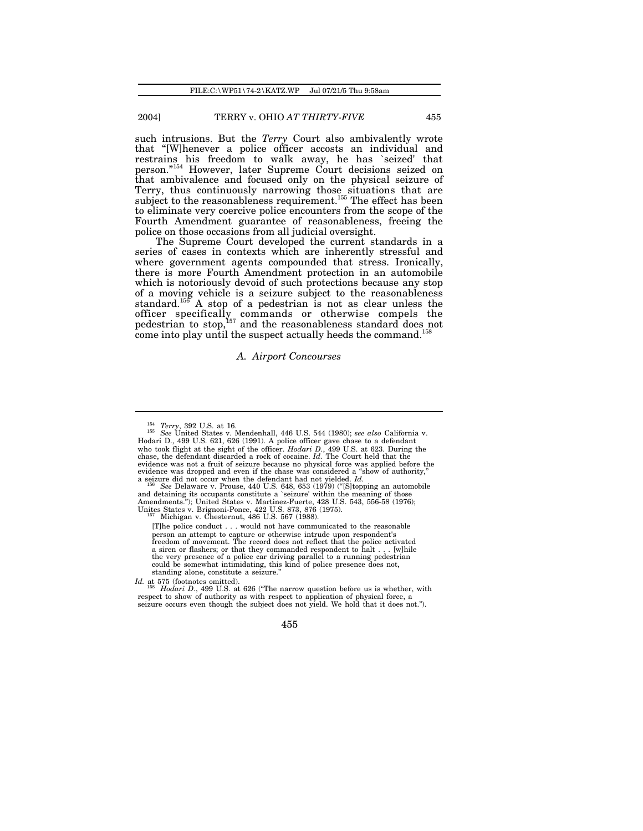such intrusions. But the *Terry* Court also ambivalently wrote that "[W]henever a police officer accosts an individual and restrains his freedom to walk away, he has `seized' that person."<sup>154</sup> However, later Supreme Court decisions seized on that ambivalence and focused only on the physical seizure of Terry, thus continuously narrowing those situations that are subject to the reasonableness requirement.<sup>155</sup> The effect has been to eliminate very coercive police encounters from the scope of the Fourth Amendment guarantee of reasonableness, freeing the police on those occasions from all judicial oversight.

The Supreme Court developed the current standards in a series of cases in contexts which are inherently stressful and where government agents compounded that stress. Ironically, there is more Fourth Amendment protection in an automobile which is notoriously devoid of such protections because any stop of a moving vehicle is a seizure subject to the reasonableness standard.<sup>156</sup> A stop of a pedestrian is not as clear unless the officer specifically commands or otherwise compels the pedestrian to stop,<sup>157</sup> and the reasonableness standard does not come into play until the suspect actually heeds the command.<sup>158</sup>

### *A. Airport Concourses*

[T]he police conduct . . . would not have communicated to the reasonable person an attempt to capture or otherwise intrude upon respondent's freedom of movement. The record does not reflect that the police activated a siren or flashers; or that they commanded respondent to halt . . . [w]hile the very presence of a police car driving parallel to a running pedestrian could be somewhat intimidating, this kind of police presence does not, standing alone, constitute a seizure."

*Id.* at 575 (footnotes omitted).

<sup>&</sup>lt;sup>154</sup> *Terry*, 392 U.S. at 16.<br><sup>155</sup> *See* United States v. Mendenhall, 446 U.S. 544 (1980); *see also* California v.<br>Hodari D., 499 U.S. 621, 621, 626 (1991). A police officer gave chase to a defendant<br>who took flight at evidence was not a fruit of seizure because no physical force was applied before the evidence was dropped and even if the chase was considered a "show of authority,"<br>a seizure did not occur when the defendant had not yielded. *Id.*<br><sup>156</sup> *See* Delaware v. Prouse, 440 U.S. 648, 653 (1979) ("[S]topping an au

and detaining its occupants constitute a `seizure' within the meaning of those Amendments."); United States v. Martinez-Fuerte, 428 U.S. 543, 556-58 (1976); Unites States v. Brignoni-Ponce, 422 U.S. 873, 876 (1975). <sup>157</sup> Michigan v. Chesternut, 486 U.S. 567 (1988).

Hodari D., 499 U.S. at 626 ("The narrow question before us is whether, with respect to show of authority as with respect to application of physical force, a seizure occurs even though the subject does not yield. We hold that it does not.").

<sup>455</sup>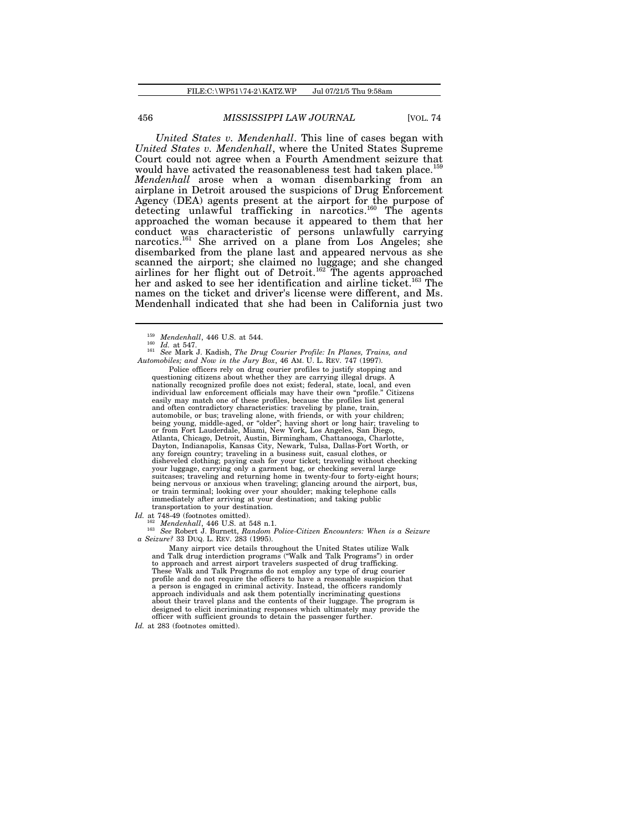*United States v. Mendenhall*. This line of cases began with *United States v. Mendenhall*, where the United States Supreme Court could not agree when a Fourth Amendment seizure that would have activated the reasonableness test had taken place.<sup>1</sup> *Mendenhall* arose when a woman disembarking from an airplane in Detroit aroused the suspicions of Drug Enforcement Agency (DEA) agents present at the airport for the purpose of detecting unlawful trafficking in narcotics.<sup>160</sup> The agents approached the woman because it appeared to them that her conduct was characteristic of persons unlawfully carrying narcotics.<sup>161</sup> She arrived on a plane from Los Angeles; she disembarked from the plane last and appeared nervous as she scanned the airport; she claimed no luggage; and she changed airlines for her flight out of Detroit.<sup>162</sup> The agents approached her and asked to see her identification and airline ticket.<sup>163</sup> The names on the ticket and driver's license were different, and Ms. Mendenhall indicated that she had been in California just two

Police officers rely on drug courier profiles to justify stopping and questioning citizens about whether they are carrying illegal drugs. A nationally recognized profile does not exist; federal, state, local, and even individual law enforcement officials may have their own "profile." Citizens easily may match one of these profiles, because the profiles list general and often contradictory characteristics: traveling by plane, train,<br>automobile, or bus; traveling alone, with friends, or with your children;<br>being young, middle-aged, or "older"; having short or long hair; traveling to<br>or Atlanta, Chicago, Detroit, Austin, Birmingham, Chattanooga, Charlotte, Dayton, Indianapolis, Kansas City, Newark, Tulsa, Dallas-Fort Worth, or any foreign country; traveling in a business suit, casual clothes, or disheveled clothing; paying cash for your ticket; traveling without checking your luggage, carrying only a garment bag, or checking several large suitcases; traveling and returning home in twenty-four to forty-eight hours; being nervous or anxious when traveling; glancing around the airport, bus, or train terminal; looking over your shoulder; making telephone calls immediately after arriving at your destination; and taking public transportation to your destination.

<sup>162</sup> *Mendenhall*, 446 U.S. at 548 n.1.

<sup>163</sup> *See* Robert J. Burnett, *Random Police-Citizen Encounters: When is a Seizure a Seizure?* 33 DUQ. L. REV. 283 (1995).

Many airport vice details throughout the United States utilize Walk and Talk drug interdiction programs ("Walk and Talk Programs") in order to approach and arrest airport travelers suspected of drug trafficking. These Walk and Talk Programs do not employ any type of drug courier profile and do not require the officers to have a reasonable suspicion that a person is engaged in criminal activity. Instead, the officers randomly approach individuals and ask them potentially incriminating questions about their travel plans and the contents of their luggage. The program is designed to elicit incriminating responses which ultimately may provide the officer with sufficient grounds to detain the passenger further.

*Id.* at 283 (footnotes omitted).

 $\frac{159}{160}$  *Mendenhall*, 446 U.S. at 544.

<sup>160</sup> *Id.* at 547. <sup>161</sup> *See* Mark J. Kadish, *The Drug Courier Profile: In Planes, Trains, and Automobiles; and Now in the Jury Box*, 46 AM. U. L. REV. 747 (1997).

*Id.* at 748-49 (footnotes omitted).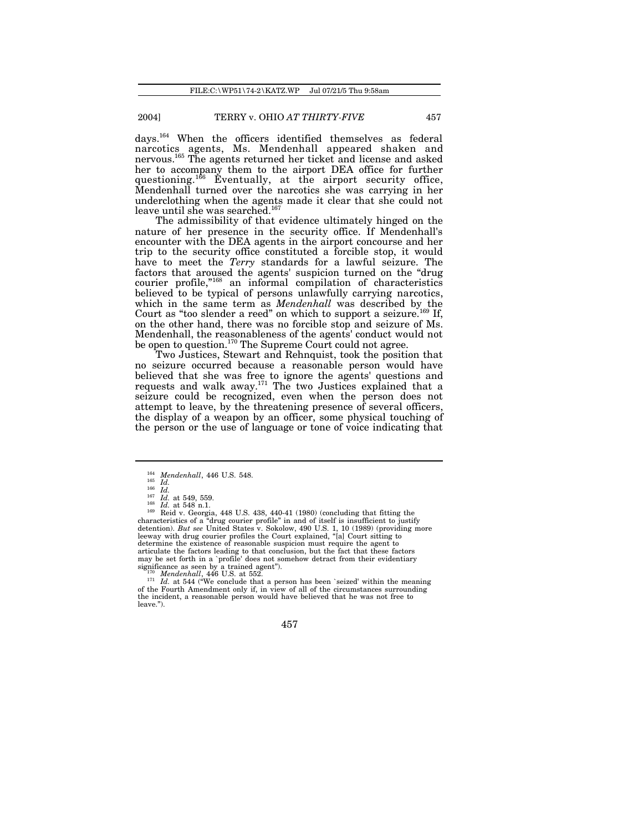days.<sup>164</sup> When the officers identified themselves as federal narcotics agents, Ms. Mendenhall appeared shaken and nervous.<sup>165</sup> The agents returned her ticket and license and asked her to accompany them to the airport DEA office for further questioning.<sup>166</sup> Eventually, at the airport security office, Mendenhall turned over the narcotics she was carrying in her underclothing when the agents made it clear that she could not leave until she was searched.<sup>167</sup>

The admissibility of that evidence ultimately hinged on the nature of her presence in the security office. If Mendenhall's encounter with the DEA agents in the airport concourse and her trip to the security office constituted a forcible stop, it would have to meet the *Terry* standards for a lawful seizure. The factors that aroused the agents' suspicion turned on the "drug courier profile,"<sup>168</sup> an informal compilation of characteristics believed to be typical of persons unlawfully carrying narcotics, which in the same term as *Mendenhall* was described by the Court as "too slender a reed" on which to support a seizure.<sup>169</sup> If, on the other hand, there was no forcible stop and seizure of Ms. Mendenhall, the reasonableness of the agents' conduct would not be open to question.<sup>170</sup> The Supreme Court could not agree.

Two Justices, Stewart and Rehnquist, took the position that no seizure occurred because a reasonable person would have believed that she was free to ignore the agents' questions and requests and walk away.<sup>171</sup> The two Justices explained that a seizure could be recognized, even when the person does not attempt to leave, by the threatening presence of several officers, the display of a weapon by an officer, some physical touching of the person or the use of language or tone of voice indicating that

<sup>169</sup> Reid v. Georgia, 448 U.S. 438, 440-41 (1980) (concluding that fitting the characteristics of a "drug courier profile" in and of itself is insufficient to justify detention). *But see* United States v. Sokolow, 490 U.S. 1, 10 (1989) (providing more<br>leeway with drug courier profiles the Court explained, "[a] Court sitting to<br>determine the existence of reasonable suspicion must requir articulate the factors leading to that conclusion, but the fact that these factors may be set forth in a `profile' does not somehow detract from their evidentiary significance as seen by a trained agent"). <sup>170</sup> *Mendenhall*, 446 U.S. at 552.

<sup>171</sup> *Id.* at 544 ("We conclude that a person has been `seized' within the meaning of the Fourth Amendment only if, in view of all of the circumstances surrounding the incident, a reasonable person would have believed that he was not free to leave.").

<sup>&</sup>lt;sup>164</sup> *Mendenhall*, 446 U.S. 548.<br><sup>165</sup> *Id.* 

<sup>165</sup> *Id.* <sup>166</sup> *Id.*

 $\frac{167}{168}$  *Id.* at 549, 559.

*Id.* at 548 n.1.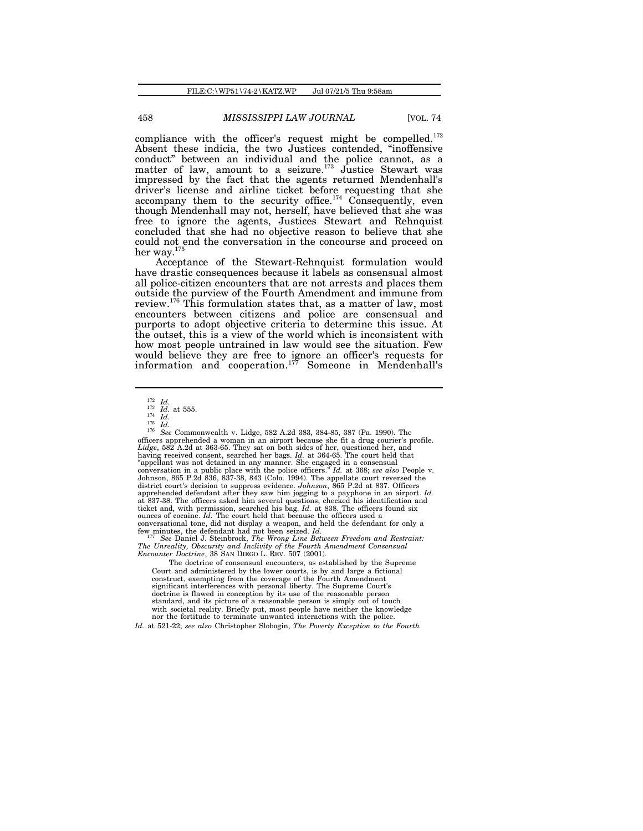compliance with the officer's request might be compelled.<sup>172</sup> Absent these indicia, the two Justices contended, "inoffensive conduct" between an individual and the police cannot, as a matter of law, amount to a seizure.<sup>173</sup> Justice Stewart was impressed by the fact that the agents returned Mendenhall's driver's license and airline ticket before requesting that she accompany them to the security office.<sup>174</sup> Consequently, even though Mendenhall may not, herself, have believed that she was free to ignore the agents, Justices Stewart and Rehnquist concluded that she had no objective reason to believe that she could not end the conversation in the concourse and proceed on her way.<sup>175</sup>

Acceptance of the Stewart-Rehnquist formulation would have drastic consequences because it labels as consensual almost all police-citizen encounters that are not arrests and places them outside the purview of the Fourth Amendment and immune from review.<sup>176</sup> This formulation states that, as a matter of law, most encounters between citizens and police are consensual and purports to adopt objective criteria to determine this issue. At the outset, this is a view of the world which is inconsistent with how most people untrained in law would see the situation. Few would believe they are free to ignore an officer's requests for information and cooperation.<sup>177</sup> Someone in Mendenhall's

<sup>176</sup> *See* Commonwealth v. Lidge, 582 A.2d 383, 384-85, 387 (Pa. 1990). The officers apprehended a woman in an airport because she fit a drug courier's profile. Lidge, 582 A.2d at 363-65. They sat on both sides of her, questioned her, and having received consent, searched her bags. Id. at 364-65. The court held that "appellant was not detained in any manner. She engaged in a conse conversation in a public place with the police officers." *Id.* at 368; *see also* People v. Johnson, 865 P.2d 836, 837-38, 843 (Colo. 1994). The appellate court reversed the district court's decision to suppress evidence. Johnson, 865 P.2d at 837. Officers<br>apprehended defendant after they saw him jogging to a pay at 837-38. The officers asked him several questions, checked his identification and ticket and, with permission, searched his bag. *Id.* at 838. The officers found six

ounces of cocaine. *Id.* The court held that because the officers used a conversational tone, did not display a weapon, and held the defendant for only a few minutes, the defendant had not been seized. *Id.* <sup>177</sup> *See* Daniel J. Steinbrock, *The Wrong Line Between Freedom and Restraint: The Unreality, Obscurity and Inclivity of the Fourth Amendment Consensual Encounter Doctrine*, 38 SAN DIEGO L. REV. 507 (2001).

The doctrine of consensual encounters, as established by the Supreme Court and administered by the lower courts, is by and large a fictional construct, exempting from the coverage of the Fourth Amendment significant interferences with personal liberty. The Supreme Court's doctrine is flawed in conception by its use of the reasonable person standard, and its picture of a reasonable person is simply out of touch with societal reality. Briefly put, most people have neither the knowledge nor the fortitude to terminate unwanted interactions with the police.

<sup>172</sup> *Id.*

 $^{173}$  *Id.* at 555. <sup>174</sup> *Id.*

<sup>175</sup> *Id.*

*Id.* at 521-22; *see also* Christopher Slobogin, *The Poverty Exception to the Fourth*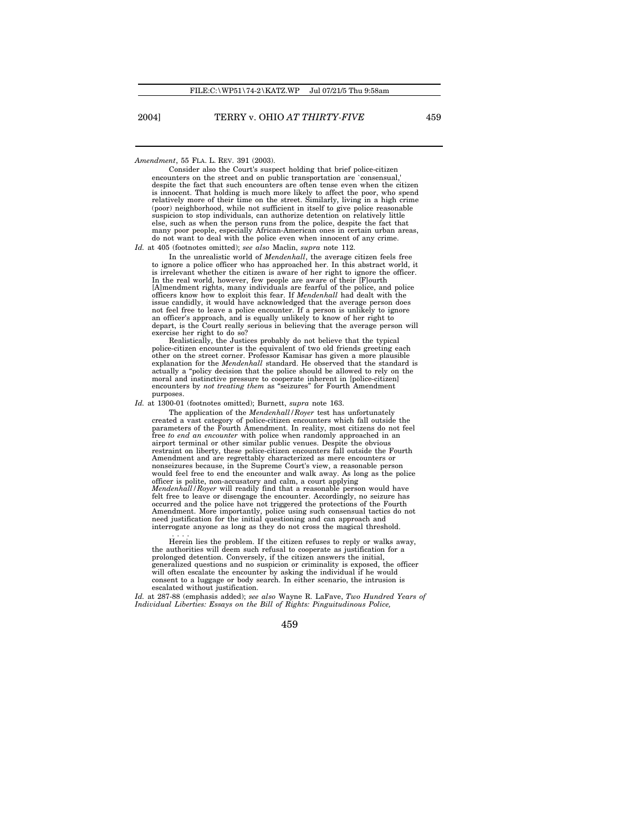*Amendment*, 55 FLA. L. REV. 391 (2003).

Consider also the Court's suspect holding that brief police-citizen encounters on the street and on public transportation are `consensual, despite the fact that such encounters are often tense even when the citizen is innocent. That holding is much more likely to affect the poor, who spend relatively more of their time on the street. Similarly, living in a high crime (poor) neighborhood, while not sufficient in itself to give police reasonable suspicion to stop individuals, can authorize detention on relatively little else, such as when the person runs from the police, despite the fact that many poor people, especially African-American ones in certain urban areas, do not want to deal with the police even when innocent of any crime. *Id.* at 405 (footnotes omitted); *see also* Maclin, *supra* note 112.

In the unrealistic world of *Mendenhall*, the average citizen feels free to ignore a police officer who has approached her. In this abstract world, it is irrelevant whether the citizen is aware of her right to ignore the officer. In the real world, however, few people are aware of their [F]ourth [A]mendment rights, many individuals are fearful of the police, and police officers know how to exploit this fear. If *Mendenhall* had dealt with the issue candidly, it would have acknowledged that the average person does depart, is the Court really serious in believing that the average person will

exercise her right to do so? Realistically, the Justices probably do not believe that the typical police-citizen encounter is the equivalent of two old friends greeting each other on the street corner. Professor Kamisar has given a more plausible explanation for the *Mendenhall* standard. He observed that the standard is actually a "policy decision that the police should be allowed to rely on the moral and instinctive pressure to cooperate inherent in [police-citizen] encounters by *not treating them* as "seizures" for Fourth Amendment purposes.

*Id.* at 1300-01 (footnotes omitted); Burnett, *supra* note 163.

The application of the *Mendenhall/Royer* test has unfortunately created a vast category of police-citizen encounters which fall outside the parameters of the Fourth Amendment. In reality, most citizens do not feel free *to end an encounter* with police when randomly approached in an airport terminal or other similar public venues. Despite the obvious restraint on liberty, these police-citizen encounters fall outside the Fourth Amendment and are regrettably characterized as mere encounters or nonseizures because, in the Supreme Court's view, a reasonable person would feel free to end the encounter and walk away. As long as the police officer is polite, non-accusatory and calm, a court applying *Mendenhall/Royer* will readily find that a reasonable person would have felt free to leave or disengage the encounter. Accordingly, no seizure has occurred and the police have not triggered the protections of the Fourth Amendment. More importantly, police using such consensual tactics do not need justification for the initial questioning and can approach and interrogate anyone as long as they do not cross the magical threshold.

. . . . Herein lies the problem. If the citizen refuses to reply or walks away, the authorities will deem such refusal to cooperate as justification for a prolonged detention. Conversely, if the citizen answers the initial, generalized questions and no suspicion or criminality is exposed, the officer will often escalate the encounter by asking the individual if he would consent to a luggage or body search. In either scenario, the intrusion is escalated without justification.

Id. at 287-88 (emphasis added); see also Wayne R. LaFave, *Two Hundred Years of*<br>Individual Liberties: Essays on the Bill of Rights: Pinguitudinous Police,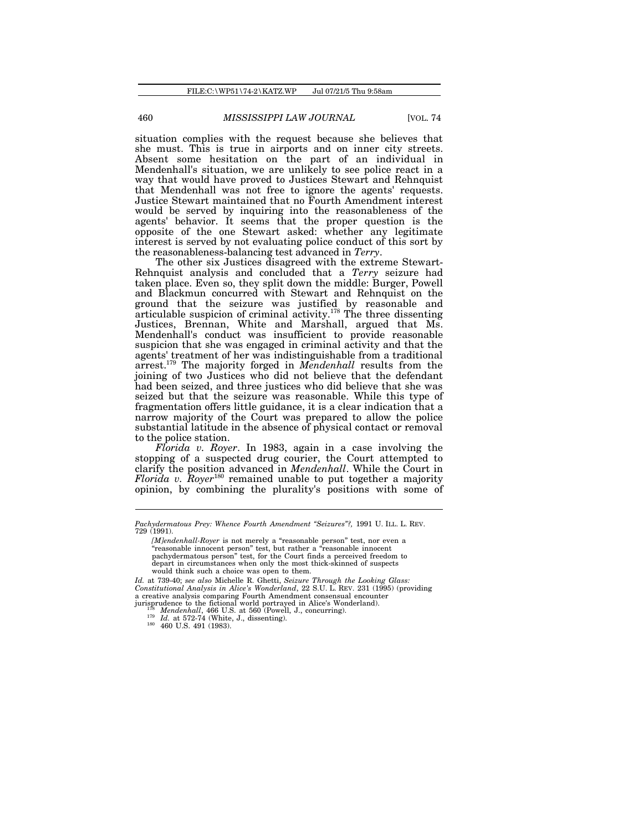situation complies with the request because she believes that she must. This is true in airports and on inner city streets. Absent some hesitation on the part of an individual in Mendenhall's situation, we are unlikely to see police react in a way that would have proved to Justices Stewart and Rehnquist that Mendenhall was not free to ignore the agents' requests. Justice Stewart maintained that no Fourth Amendment interest would be served by inquiring into the reasonableness of the agents' behavior. It seems that the proper question is the opposite of the one Stewart asked: whether any legitimate interest is served by not evaluating police conduct of this sort by the reasonableness-balancing test advanced in *Terry*.

The other six Justices disagreed with the extreme Stewart-Rehnquist analysis and concluded that a *Terry* seizure had taken place. Even so, they split down the middle: Burger, Powell and Blackmun concurred with Stewart and Rehnquist on the ground that the seizure was justified by reasonable and articulable suspicion of criminal activity.<sup>178</sup> The three dissenting Justices, Brennan, White and Marshall, argued that Ms. Mendenhall's conduct was insufficient to provide reasonable suspicion that she was engaged in criminal activity and that the agents' treatment of her was indistinguishable from a traditional arrest.<sup>179</sup> The majority forged in *Mendenhall* results from the joining of two Justices who did not believe that the defendant had been seized, and three justices who did believe that she was seized but that the seizure was reasonable. While this type of fragmentation offers little guidance, it is a clear indication that a narrow majority of the Court was prepared to allow the police substantial latitude in the absence of physical contact or removal to the police station.

*Florida v. Royer*. In 1983, again in a case involving the stopping of a suspected drug courier, the Court attempted to clarify the position advanced in *Mendenhall*. While the Court in *Florida v. Royer*<sup>180</sup> remained unable to put together a majority opinion, by combining the plurality's positions with some of

*Id.* at 739-40; *see also* Michelle R. Ghetti, *Seizure Through the Looking Glass: Constitutional Analysis in Alice's Wonderland*, 22 S.U. L. REV. 231 (1995) (providing a creative analysis comparing Fourth Amendment consensual encounter jurisprudence to the fictional world portrayed in Alice's Wonderland).<br>
<sup>178</sup> *Mendenhall*, 466 U.S. at 560 (Powell, J., concurring).<br>
<sup>179</sup> *Id.* at 572-74 (White, J., dissenting).<br>
<sup>180</sup> 460 U.S. 491 (1983).

*Pachydermatous Prey: Whence Fourth Amendment "Seizures"?,* 1991 U. ILL. L. REV. 729 (1991).

*<sup>[</sup>M]endenhall-Royer* is not merely a "reasonable person" test, nor even a "reasonable innocent person" test, but rather a "reasonable innocent pachydermatous person" test, for the Court finds a perceived freedom to depart in circumstances when only the most thick-skinned of suspects would think such a choice was open to them.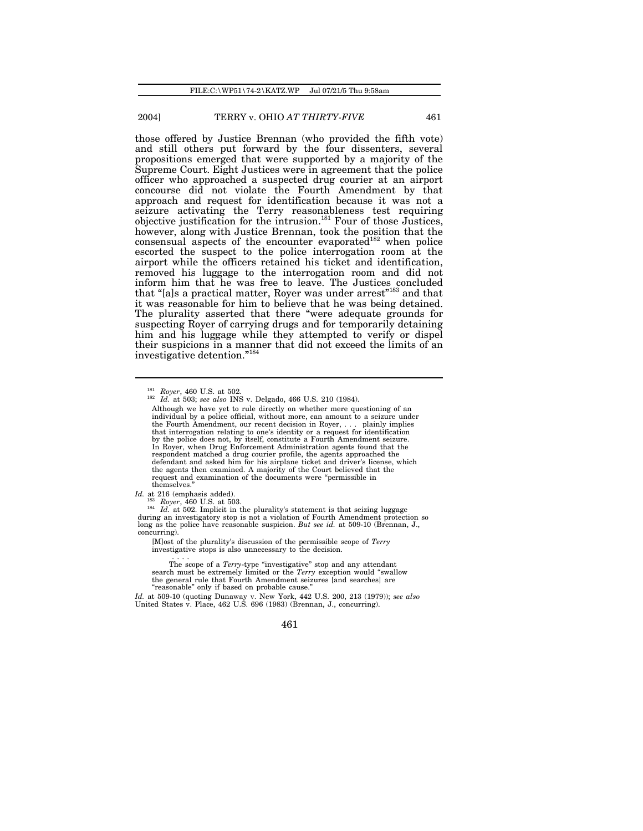those offered by Justice Brennan (who provided the fifth vote) and still others put forward by the four dissenters, several propositions emerged that were supported by a majority of the Supreme Court. Eight Justices were in agreement that the police officer who approached a suspected drug courier at an airport concourse did not violate the Fourth Amendment by that approach and request for identification because it was not a seizure activating the Terry reasonableness test requiring objective justification for the intrusion.<sup>181</sup> Four of those Justices, however, along with Justice Brennan, took the position that the consensual aspects of the encounter evaporated $182$  when police escorted the suspect to the police interrogation room at the airport while the officers retained his ticket and identification, removed his luggage to the interrogation room and did not inform him that he was free to leave. The Justices concluded that "[a]s a practical matter, Royer was under arrest"<sup>183</sup> and that it was reasonable for him to believe that he was being detained. The plurality asserted that there "were adequate grounds for suspecting Royer of carrying drugs and for temporarily detaining him and his luggage while they attempted to verify or dispel their suspicions in a manner that did not exceed the limits of an investigative detention."<sup>18</sup>

<sup>184</sup> *Id.* at 502. Implicit in the plurality's statement is that seizing luggage during an investigatory stop is not a violation of Fourth Amendment protection so long as the police have reasonable suspicion. *But see id.* at 509-10 (Brennan, J., concurring).

[M]ost of the plurality's discussion of the permissible scope of *Terry* investigative stops is also unnecessary to the decision.

. . . . The scope of a *Terry*-type "investigative" stop and any attendant search must be extremely limited or the *Terry* exception would "swallow the general rule that Fourth Amendment seizures [and searches] are "reasonable" only if based on probable cause."

*Id.* at 509-10 (quoting Dunaway v. New York, 442 U.S. 200, 213 (1979)); *see also* United States v. Place, 462 U.S. 696 (1983) (Brennan, J., concurring).

<sup>181</sup> *Royer*, 460 U.S. at 502.

<sup>182</sup> *Id.* at 503; *see also* INS v. Delgado, 466 U.S. 210 (1984).

Although we have yet to rule directly on whether mere questioning of an individual by a police official, without more, can amount to a seizure under the Fourth Amendment, our recent decision in Royer, . . . plainly implies that interrogation relating to one's identity or a request for identification by the police does not, by itself, constitute a Fourth Amendment seizure. In Royer, when Drug Enforcement Administration agents found that the respondent matched a drug courier profile, the agents approached the defendant and asked him for his airplane ticket and driver's license, which the agents then examined. A majority of the Court believed that the request and examination of the documents were "permissible in themselves."

*Id.* at 216 (emphasis added).

<sup>183</sup> *Royer*, 460 U.S. at 503.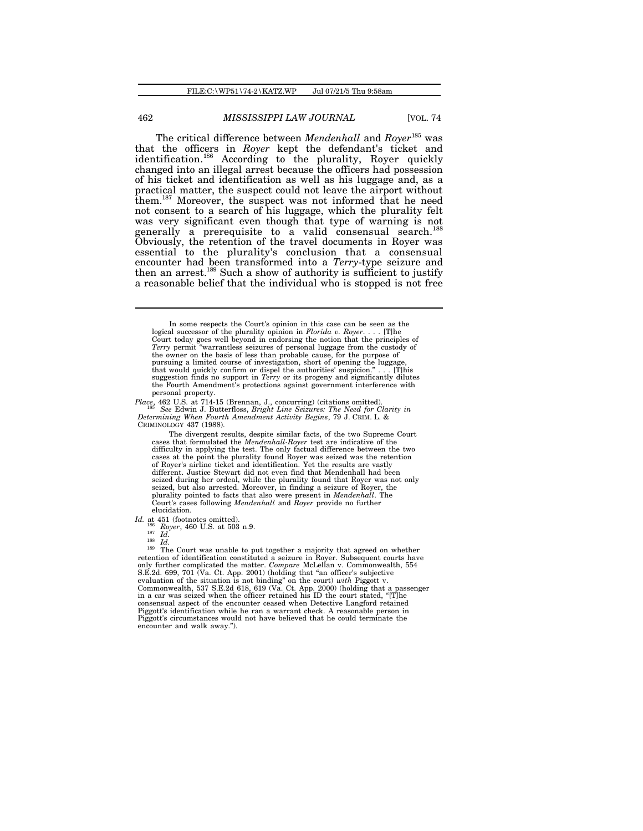The critical difference between *Mendenhall* and *Royer*<sup>185</sup> was that the officers in *Royer* kept the defendant's ticket and identification.<sup>186</sup> According to the plurality, Royer quickly changed into an illegal arrest because the officers had possession of his ticket and identification as well as his luggage and, as a practical matter, the suspect could not leave the airport without them.<sup>187</sup> Moreover, the suspect was not informed that he need not consent to a search of his luggage, which the plurality felt was very significant even though that type of warning is not generally a prerequisite to a valid consensual search.<sup>188</sup> Obviously, the retention of the travel documents in Royer was essential to the plurality's conclusion that a consensual encounter had been transformed into a *Terry*-type seizure and then an arrest.<sup>189</sup> Such a show of authority is sufficient to justify a reasonable belief that the individual who is stopped is not free

*Place*, 462 U.S. at 714-15 (Brennan, J., concurring) (citations omitted). <sup>185</sup> See Edwin J. Butterfloss, Bright Line Seizures: The Need for Clarity in Determining When Fourth Amendment Activity Begins, 79 J. CRIM. L. & CRIMINOLOGY 437 (1988).

The divergent results, despite similar facts, of the two Supreme Court cases that formulated the *Mendenhall-Royer* test are indicative of the difficulty in applying the test. The only factual difference between the two cases at the point the plurality found Royer was seized was the retention of Royer's airline ticket and identification. Yet the results are vastly different. Justice Stewart did not even find that Mendenhall had been seized during her ordeal, while the plurality found that Royer was not only seized, but also arrested. Moreover, in finding a seizure of Royer, the<br>plurality pointed to facts that also were present in *Mendenhall*. The<br>Court's cases following *Mendenhall* and *Royer* provide no further elucidation.

*Id.* at 451 (footnotes omitted). <sup>186</sup> *Royer*, 460 U.S. at 503 n.9.

 $187 \frac{1}{16}$ .

<sup>188</sup> *Id.*

<sup>189</sup> The Court was unable to put together a majority that agreed on whether retention of identification constituted a seizure in Royer. Subsequent courts have only further complicated the matter. *Compare* McLellan v. Commonwealth, 554 S.E.2d. 699, 701 (Va. Ct. App. 2001) (holding that "an officer's subjective evaluation of the situation is not binding" on the court) with Piggott v.<br>Commonwealth, 537 S.E.2d 618, 619 (Va. Ct. App. 2000) (holding that a passenger<br>in a car was seized when the officer retained his ID the court state consensual aspect of the encounter ceased when Detective Langford retained Piggott's identification while he ran a warrant check. A reasonable person in Piggott's circumstances would not have believed that he could terminate the encounter and walk away.").

In some respects the Court's opinion in this case can be seen as the logical successor of the plurality opinion in *Florida v. Royer*. . . . [T]he Court today goes well beyond in endorsing the notion that the principles of *Terry* permit "warrantless seizures of personal luggage from the custody of the owner on the basis of less than probable cause, for the purpose of pursuing a limited course of investigation, short of opening the luggage, that would quickly confirm or dispel the authorities' suspicion." . . . [T]his suggestion finds no support in *Terry* or its progeny and significantly dilutes the Fourth Amendment's protections against government interference with personal property.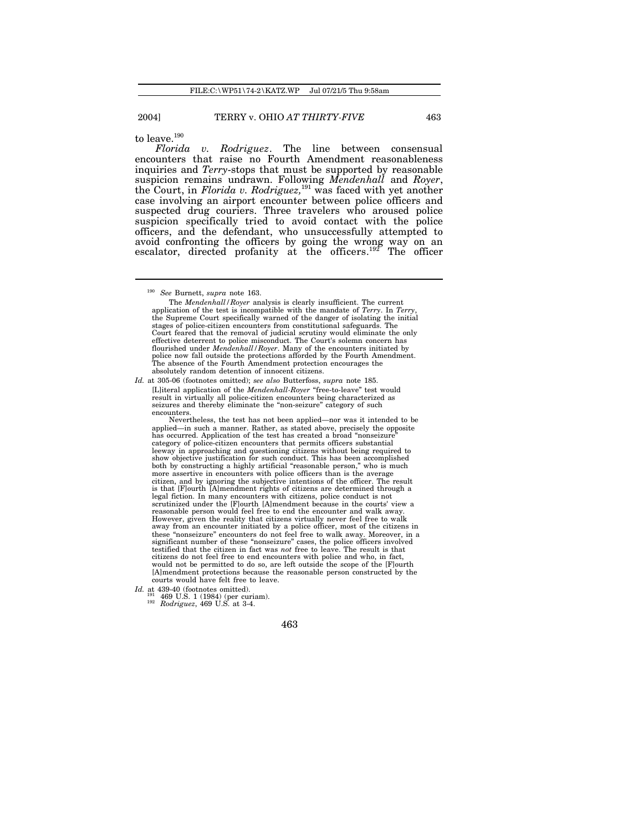to leave.  $^{\rm 190}$ 

*Florida v. Rodriguez*. The line between consensual encounters that raise no Fourth Amendment reasonableness inquiries and *Terry*-stops that must be supported by reasonable suspicion remains undrawn. Following *Mendenhall* and *Royer*, the Court, in *Florida v. Rodriguez,*<sup>191</sup> was faced with yet another case involving an airport encounter between police officers and suspected drug couriers. Three travelers who aroused police suspicion specifically tried to avoid contact with the police officers, and the defendant, who unsuccessfully attempted to avoid confronting the officers by going the wrong way on an escalator, directed profanity at the officers.<sup>192</sup> The officer

*Id.* at 305-06 (footnotes omitted); *see also* Butterfoss, *supra* note 185. [L]iteral application of the *Mendenhall-Royer* "free-to-leave" test would result in virtually all police-citizen encounters being characterized as seizures and thereby eliminate the "non-seizure" category of such encounters.

Nevertheless, the test has not been applied—nor was it intended to be applied—in such a manner. Rather, as stated above, precisely the opposite has occurred. Application of the test has created a broad "nonseizure" category of police-citizen encounters that permits officers substantial leeway in approaching and questioning citizens without being required to show objective justification for such conduct. This has been accomplished both by constructing a highly artificial "reasonable person," who is much more assertive in encounters with police officers than is the average citizen, and by ignoring the subjective intentions of the officer. The result is that [F]ourth [A]mendment rights of citizens are determined through a legal fiction. In many encounters with citizens, police conduct is not scrutinized under the [F]ourth [A]mendment because in the courts' view a reasonable person would feel free to end the encounter and walk away. However, given the reality that citizens virtually never feel free to walk away from an encounter initiated by a police officer, most of the citizens in these "nonseizure" encounters do not feel free to walk away. Moreover, in a significant number of these "nonseizure" cases, the police officers involved<br>testified that the citizen in fact was *not* free to leave. The result is that<br>citizens do not feel free to end encounters with police and who, i would not be permitted to do so, are left outside the scope of the [F]ourth [A]mendment protections because the reasonable person constructed by the courts would have felt free to leave.

*Id.* at 439-40 (footnotes omitted).<br><sup>191</sup> 469 U.S. 1 (1984) (per curiam).

<sup>192</sup> *Rodriguez*, 469 U.S. at 3-4.

<sup>190</sup> *See* Burnett, *supra* note 163.

The *Mendenhall/Royer* analysis is clearly insufficient. The current application of the test is incompatible with the mandate of *Terry*. In *Terry*, the Supreme Court specifically warned of the danger of isolating the initial stages of police-citizen encounters from constitutional safeguards. The Court feared that the removal of judicial scrutiny would eliminate the only effective deterrent to police misconduct. The Court's solemn concern has flourished under *Mendenhall/Royer*. Many of the encounters initiated by police now fall outside the protections afforded by the Fourth Amendment. The absence of the Fourth Amendment protection encourages the absolutely random detention of innocent citizens.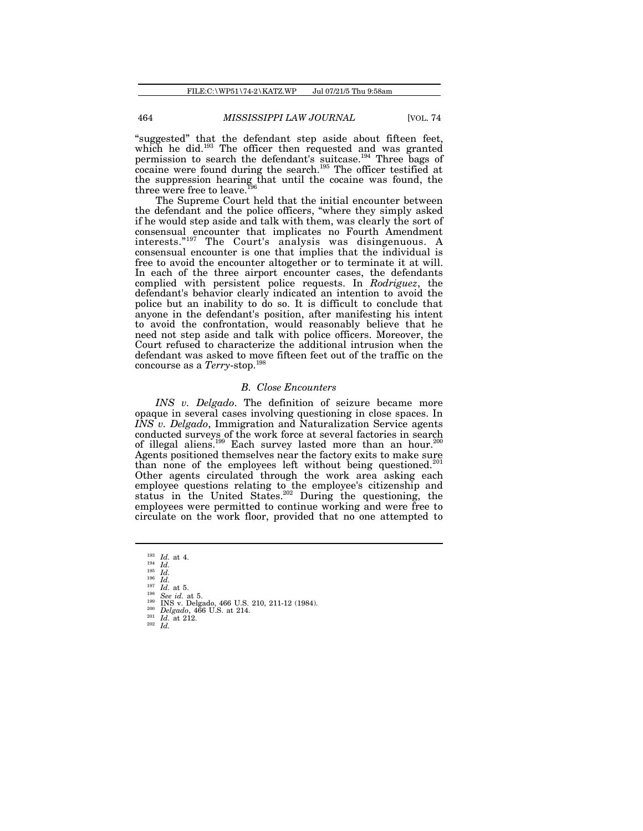"suggested" that the defendant step aside about fifteen feet, which he did.<sup>193</sup> The officer then requested and was granted permission to search the defendant's suitcase.<sup>194</sup> Three bags of cocaine were found during the search.<sup>195</sup> The officer testified at the suppression hearing that until the cocaine was found, the three were free to leave.<sup>196</sup>

The Supreme Court held that the initial encounter between the defendant and the police officers, "where they simply asked if he would step aside and talk with them, was clearly the sort of consensual encounter that implicates no Fourth Amendment interests."<sup>197</sup> The Court's analysis was disingenuous. A consensual encounter is one that implies that the individual is free to avoid the encounter altogether or to terminate it at will. In each of the three airport encounter cases, the defendants complied with persistent police requests. In *Rodriguez*, the defendant's behavior clearly indicated an intention to avoid the police but an inability to do so. It is difficult to conclude that anyone in the defendant's position, after manifesting his intent to avoid the confrontation, would reasonably believe that he need not step aside and talk with police officers. Moreover, the Court refused to characterize the additional intrusion when the defendant was asked to move fifteen feet out of the traffic on the concourse as a *Terry*-stop.<sup>198</sup>

### *B. Close Encounters*

*INS v. Delgado*. The definition of seizure became more opaque in several cases involving questioning in close spaces. In *INS v. Delgado*, Immigration and Naturalization Service agents conducted surveys of the work force at several factories in search of illegal aliens.<sup>199</sup> Each survey lasted more than an hour.<sup>200</sup> Agents positioned themselves near the factory exits to make sure than none of the employees left without being questioned.<sup>201</sup> Other agents circulated through the work area asking each employee questions relating to the employee's citizenship and status in the United States.<sup>202</sup> During the questioning, the employees were permitted to continue working and were free to circulate on the work floor, provided that no one attempted to

<sup>195</sup> *Id.* <sup>196</sup> *Id.*

 $^{198}_{199}$  *See id.* at 5.

<sup>193</sup> *Id.* at 4. <sup>194</sup> *Id.*

 $\frac{197}{198}$  *Id.* at 5.

<sup>199</sup> INS v. Delgado, 466 U.S. 210, 211-12 (1984). <sup>200</sup> *Delgado*, 466 U.S. at 214. <sup>201</sup> *Id.* at 212.

<sup>202</sup> *Id.*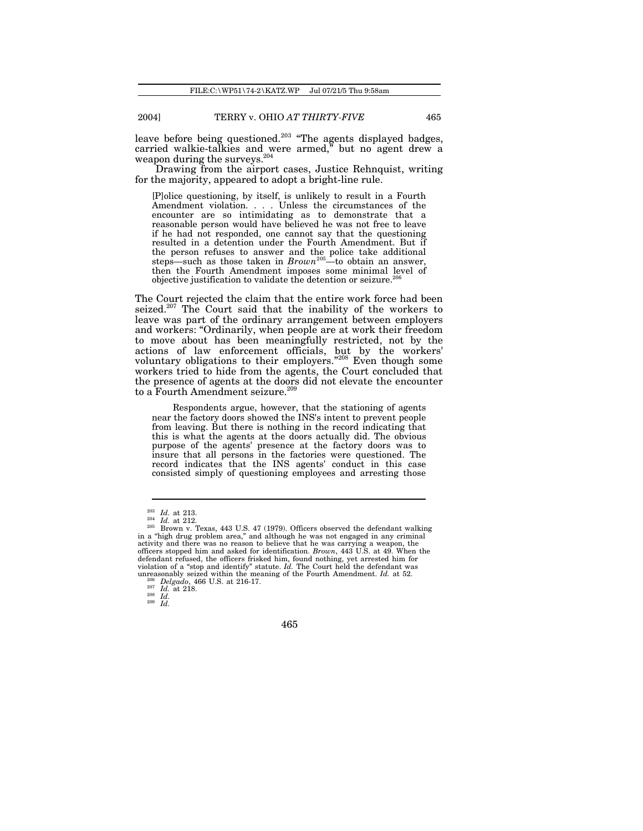leave before being questioned.<sup>203</sup> "The agents displayed badges, carried walkie-talkies and were armed," but no agent drew a weapon during the surveys.<sup>204</sup>

Drawing from the airport cases, Justice Rehnquist, writing for the majority, appeared to adopt a bright-line rule.

[P]olice questioning, by itself, is unlikely to result in a Fourth Amendment violation. . . . Unless the circumstances of the encounter are so intimidating as to demonstrate that a reasonable person would have believed he was not free to leave if he had not responded, one cannot say that the questioning resulted in a detention under the Fourth Amendment. But if the person refuses to answer and the police take additional steps—such as those taken in *Brown*<sup>205</sup>—to obtain an answer, then the Fourth Amendment imposes some minimal level of objective justification to validate the detention or seizure.<sup>206</sup>

The Court rejected the claim that the entire work force had been seized.<sup>207</sup> The Court said that the inability of the workers to leave was part of the ordinary arrangement between employers and workers: "Ordinarily, when people are at work their freedom to move about has been meaningfully restricted, not by the actions of law enforcement officials, but by the workers' voluntary obligations to their employers."<sup>208</sup> Even though some workers tried to hide from the agents, the Court concluded that the presence of agents at the doors did not elevate the encounter to a Fourth Amendment seizure.<sup>209</sup>

Respondents argue, however, that the stationing of agents near the factory doors showed the INS's intent to prevent people from leaving. But there is nothing in the record indicating that this is what the agents at the doors actually did. The obvious purpose of the agents' presence at the factory doors was to insure that all persons in the factories were questioned. The record indicates that the INS agents' conduct in this case consisted simply of questioning employees and arresting those

<sup>209</sup> *Id.*

<sup>203</sup> *Id.* at 213.

 $\frac{10}{204}$  *Id.* at 212.

 $^{205}$  Brown v. Texas, 443 U.S. 47 (1979). Officers observed the defendant walking in a "high drug problem area," and although he was not engaged in any criminal activity and there was no reason to believe that he was ca officers stopped him and asked for identification. *Brown*, 443 U.S. at 49. When the defendant refused, the officers frisked him, found nothing, yet arrested him for violation of a "stop and identify" statute. Id. The Court held the defendant was unreasonably seized within the meaning of the Fourth Amendme

<sup>206</sup> *Delgado*, 466 U.S. at 216-17.

<sup>207</sup> *Id.* at 218. <sup>208</sup> *Id.*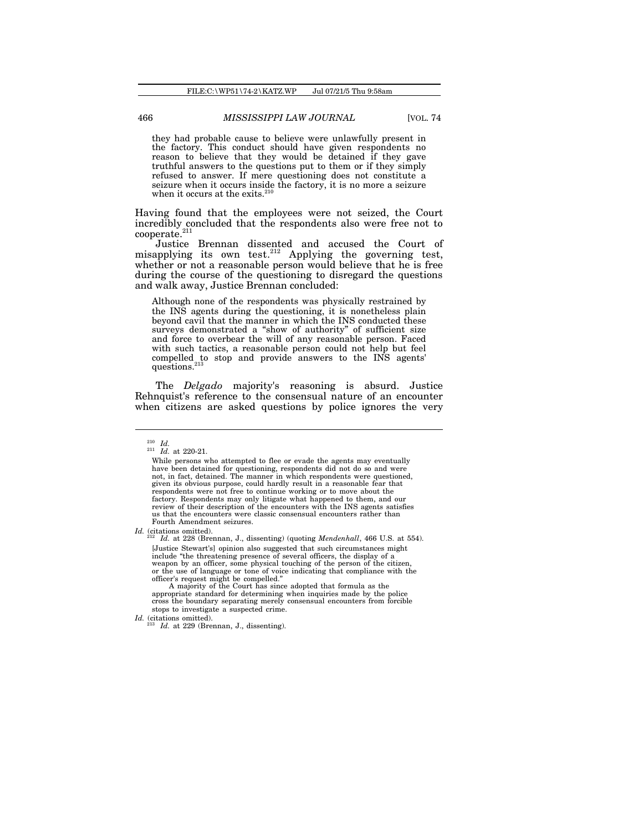they had probable cause to believe were unlawfully present in the factory. This conduct should have given respondents no reason to believe that they would be detained if they gave truthful answers to the questions put to them or if they simply refused to answer. If mere questioning does not constitute a seizure when it occurs inside the factory, it is no more a seizure when it occurs at the exits.<sup>210</sup>

Having found that the employees were not seized, the Court incredibly concluded that the respondents also were free not to cooperate.<sup>211</sup>

Justice Brennan dissented and accused the Court of misapplying its own test.<sup>212</sup> Applying the governing test, whether or not a reasonable person would believe that he is free during the course of the questioning to disregard the questions and walk away, Justice Brennan concluded:

Although none of the respondents was physically restrained by the INS agents during the questioning, it is nonetheless plain beyond cavil that the manner in which the INS conducted these surveys demonstrated a "show of authority" of sufficient size and force to overbear the will of any reasonable person. Faced with such tactics, a reasonable person could not help but feel compelled to stop and provide answers to the INS agents' questions.<sup>3</sup>

The *Delgado* majority's reasoning is absurd. Justice Rehnquist's reference to the consensual nature of an encounter when citizens are asked questions by police ignores the very

*Id.* (citations omitted).

<sup>212</sup> *Id.* at 228 (Brennan, J., dissenting) (quoting *Mendenhall*, 466 U.S. at 554). [Justice Stewart's] opinion also suggested that such circumstances might include "the threatening presence of several officers, the display of a weapon by an officer, some physical touching of the person of the citizen, or the use of language or tone of voice indicating that compliance with the officer's request might be compelled."

A majority of the Court has since adopted that formula as the appropriate standard for determining when inquiries made by the police cross the boundary separating merely consensual encounters from forcible stops to investigate a suspected crime.

*Id.* (citations omitted).

<sup>210</sup> *Id.*

 $\frac{10}{10}$ . at 220-21.

While persons who attempted to flee or evade the agents may eventually have been detained for questioning, respondents did not do so and were not, in fact, detained. The manner in which respondents were questioned, given its obvious purpose, could hardly result in a reasonable fear that respondents were not free to continue working or to move about the factory. Respondents may only litigate what happened to them, and our review of their description of the encounters with the INS agents satisfies us that the encounters were classic consensual encounters rather than Fourth Amendment seizures.

*Id.* at 229 (Brennan, J., dissenting).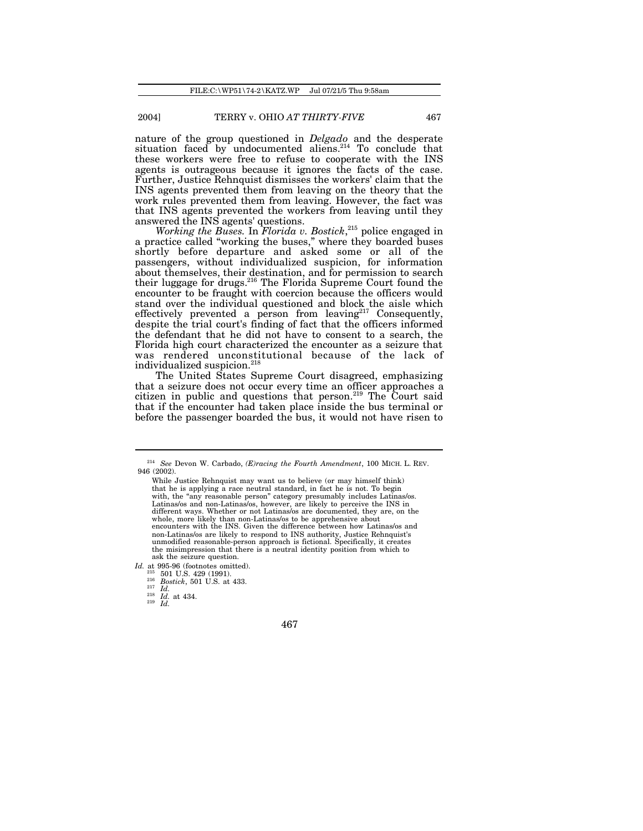nature of the group questioned in *Delgado* and the desperate situation faced by undocumented aliens.<sup>214</sup> To conclude that these workers were free to refuse to cooperate with the INS agents is outrageous because it ignores the facts of the case. Further, Justice Rehnquist dismisses the workers' claim that the INS agents prevented them from leaving on the theory that the work rules prevented them from leaving. However, the fact was that INS agents prevented the workers from leaving until they answered the INS agents' questions.

*Working the Buses.* In *Florida v. Bostick*, 215 police engaged in a practice called "working the buses," where they boarded buses shortly before departure and asked some or all of the passengers, without individualized suspicion, for information about themselves, their destination, and for permission to search their luggage for drugs.<sup>216</sup> The Florida Supreme Court found the encounter to be fraught with coercion because the officers would stand over the individual questioned and block the aisle which effectively prevented a person from leaving  $2^{17}$  Consequently, despite the trial court's finding of fact that the officers informed the defendant that he did not have to consent to a search, the Florida high court characterized the encounter as a seizure that was rendered unconstitutional because of the lack of individualized suspicion.<sup>218</sup>

The United States Supreme Court disagreed, emphasizing that a seizure does not occur every time an officer approaches a citizen in public and questions that person.<sup>219</sup> The Court said that if the encounter had taken place inside the bus terminal or before the passenger boarded the bus, it would not have risen to

*Id.* at 995-96 (footnotes omitted).<br><sup>215</sup> 501 U.S. 429 (1991).

<sup>216</sup> *Bostick*, 501 U.S. at 433.

<sup>217</sup> *Id.* <sup>218</sup> *Id.* at 434.

 $219$  *Id.* 

<sup>214</sup> *See* Devon W. Carbado, *(E)racing the Fourth Amendment*, 100 MICH. L. REV. 946 (2002).

While Justice Rehnquist may want us to believe (or may himself think) that he is applying a race neutral standard, in fact he is not. To begin with, the "any reasonable person" category presumably includes Latinas/os. Latinas/os and non-Latinas/os, however, are likely to perceive the INS in different ways. Whether or not Latinas/os are documented, they are, on the whole, more likely than non-Latinas/os to be apprehensive about encounters with the INS. Given the difference between how Latinas/os and non-Latinas/os are likely to respond to INS authority, Justice Rehnquist's unmodified reasonable-person approach is fictional. Specifically, it creates the misimpression that there is a neutral identity position from which to ask the seizure question.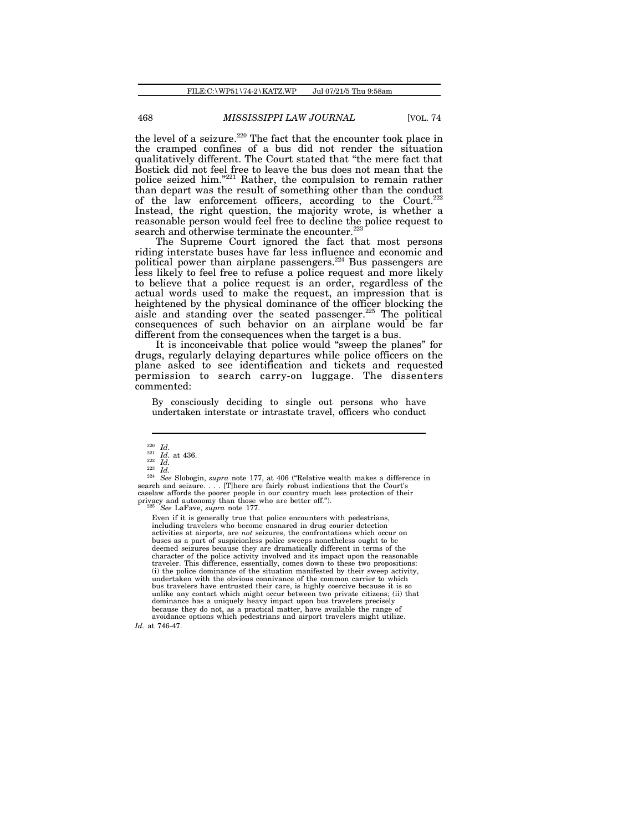the level of a seizure.<sup>220</sup> The fact that the encounter took place in the cramped confines of a bus did not render the situation qualitatively different. The Court stated that "the mere fact that Bostick did not feel free to leave the bus does not mean that the police seized him."<sup>221</sup> Rather, the compulsion to remain rather than depart was the result of something other than the conduct of the law enforcement officers, according to the Court.<sup>22</sup> Instead, the right question, the majority wrote, is whether a reasonable person would feel free to decline the police request to search and otherwise terminate the encounter.<sup>223</sup>

The Supreme Court ignored the fact that most persons riding interstate buses have far less influence and economic and political power than airplane passengers.<sup>224</sup> Bus passengers are less likely to feel free to refuse a police request and more likely to believe that a police request is an order, regardless of the actual words used to make the request, an impression that is heightened by the physical dominance of the officer blocking the aisle and standing over the seated passenger.<sup>225</sup> The political consequences of such behavior on an airplane would be far different from the consequences when the target is a bus.

It is inconceivable that police would "sweep the planes" for drugs, regularly delaying departures while police officers on the plane asked to see identification and tickets and requested permission to search carry-on luggage. The dissenters commented:

By consciously deciding to single out persons who have undertaken interstate or intrastate travel, officers who conduct

<sup>224</sup> *See* Slobogin, *supra* note 177, at 406 ("Relative wealth makes a difference in search and seizure. . . . [T]here are fairly robust indications that the Court's caselaw affords the poorer people in our country much less protection of their privacy and autonomy than those who are better off."). <sup>225</sup> *See* LaFave, *supra* note 177.

Even if it is generally true that police encounters with pedestrians, including travelers who become ensnared in drug courier detection activities at airports, are *not* seizures, the confrontations which occur on buses as a part of suspicionless police sweeps nonetheless ought to be deemed seizures because they are dramatically different in terms of the character of the police activity involved and its impact upon the reasonable traveler. This difference, essentially, comes down to these two propositions: (i) the police dominance of the situation manifested by their sweep activity, undertaken with the obvious connivance of the common carrier to which bus travelers have entrusted their care, is highly coercive because it is so unlike any contact which might occur between two private citizens; (ii) that dominance has a uniquely heavy impact upon bus travelers precisely because they do not, as a practical matter, have available the range of avoidance options which pedestrians and airport travelers might utilize. *Id.* at 746-47.

<sup>220</sup> *Id.*

<sup>221</sup> *Id.* at 436. <sup>222</sup> *Id.*

<sup>223</sup> *Id.*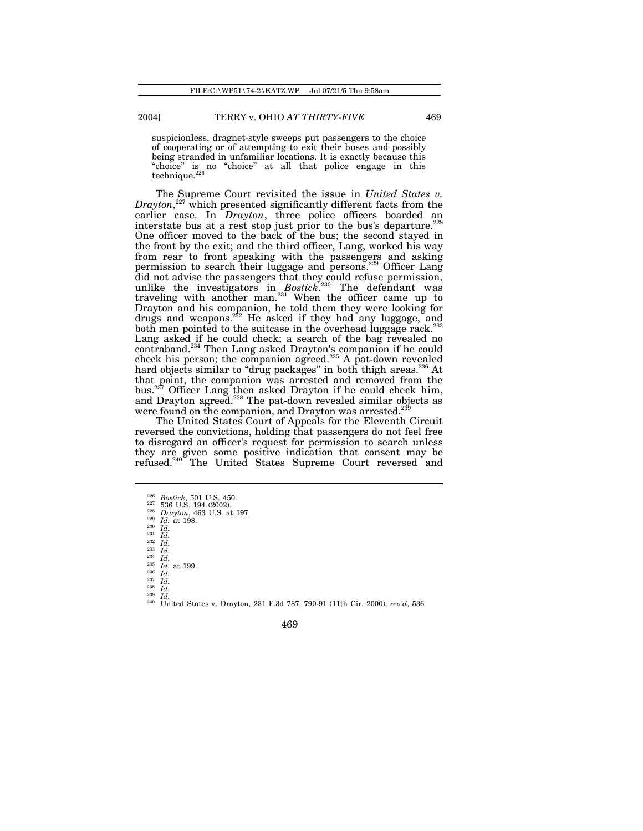suspicionless, dragnet-style sweeps put passengers to the choice of cooperating or of attempting to exit their buses and possibly being stranded in unfamiliar locations. It is exactly because this "choice" is no "choice" at all that police engage in this  $technique.<sup>226</sup>$ 

The Supreme Court revisited the issue in *United States v. Drayton*, <sup>227</sup> which presented significantly different facts from the earlier case. In *Drayton*, three police officers boarded an interstate bus at a rest stop just prior to the bus's departure.<sup>228</sup> One officer moved to the back of the bus; the second stayed in the front by the exit; and the third officer, Lang, worked his way from rear to front speaking with the passengers and asking permission to search their luggage and persons.<sup>229</sup> Officer Lang did not advise the passengers that they could refuse permission, unlike the investigators in *Bostick*. 230 The defendant was traveling with another man.<sup>231</sup> When the officer came up to Drayton and his companion, he told them they were looking for drugs and weapons.<sup>232</sup> He asked if they had any luggage, and both men pointed to the suitcase in the overhead luggage rack. $^{22}$ Lang asked if he could check; a search of the bag revealed no contraband.<sup>234</sup> Then Lang asked Drayton's companion if he could check his person; the companion agreed.<sup>235</sup> A pat-down revealed hard objects similar to "drug packages" in both thigh areas.<sup>236</sup> At that point, the companion was arrested and removed from the bus.<sup>237</sup> Officer Lang then asked Drayton if he could check him, and Drayton agreed.<sup>238</sup> The pat-down revealed similar objects as were found on the companion, and Drayton was arrested.

The United States Court of Appeals for the Eleventh Circuit reversed the convictions, holding that passengers do not feel free to disregard an officer's request for permission to search unless they are given some positive indication that consent may be refused.<sup>240</sup> The United States Supreme Court reversed and

<sup>230</sup> *Id.* <sup>231</sup> *Id.* <sup>232</sup> *Id.* <sup>233</sup> *Id.*

<sup>234</sup> *Id.* <sup>235</sup> *Id.* at 199. <sup>236</sup> *Id.*

 $\frac{237}{238}$   $\frac{1}{1}$ <br> $\frac{1}{1}$  $\frac{238}{239}$  *Id.* 

 $\frac{239}{240}$  *Id.* <sup>240</sup> United States v. Drayton, 231 F.3d 787, 790-91 (11th Cir. 2000); *rev'd*, 536

<sup>226</sup> *Bostick*, 501 U.S. 450. <sup>227</sup> 536 U.S. 194 (2002).

 $\frac{228}{229}$  *Drayton*, 463 U.S. at 197.

 $\frac{229}{230}$  *Id.* at 198.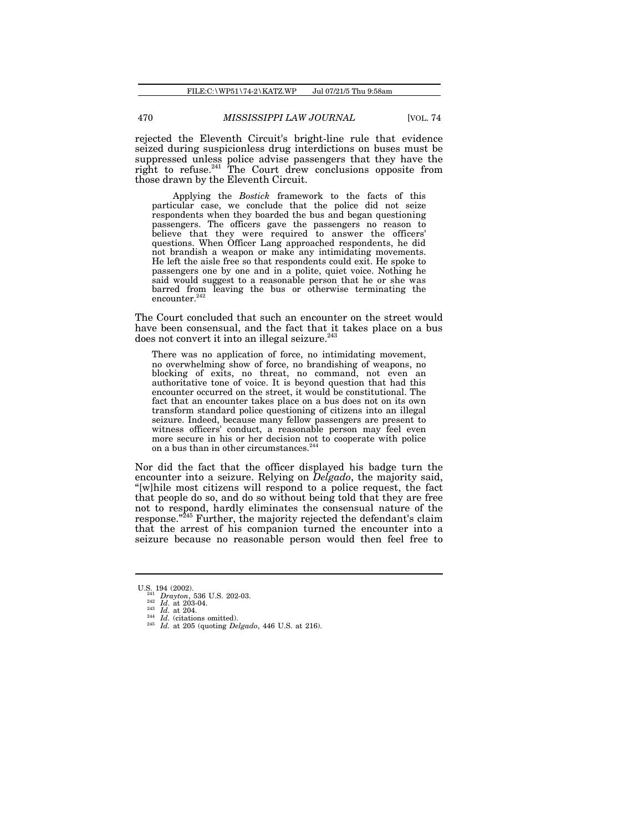rejected the Eleventh Circuit's bright-line rule that evidence seized during suspicionless drug interdictions on buses must be suppressed unless police advise passengers that they have the right to refuse. $241$  The Court drew conclusions opposite from those drawn by the Eleventh Circuit.

Applying the *Bostick* framework to the facts of this particular case, we conclude that the police did not seize respondents when they boarded the bus and began questioning passengers. The officers gave the passengers no reason to believe that they were required to answer the officers' questions. When Officer Lang approached respondents, he did not brandish a weapon or make any intimidating movements. He left the aisle free so that respondents could exit. He spoke to passengers one by one and in a polite, quiet voice. Nothing he said would suggest to a reasonable person that he or she was barred from leaving the bus or otherwise terminating the encounter.<sup>24</sup>

The Court concluded that such an encounter on the street would have been consensual, and the fact that it takes place on a bus does not convert it into an illegal seizure.<sup>243</sup>

There was no application of force, no intimidating movement, no overwhelming show of force, no brandishing of weapons, no blocking of exits, no threat, no command, not even an authoritative tone of voice. It is beyond question that had this encounter occurred on the street, it would be constitutional. The fact that an encounter takes place on a bus does not on its own transform standard police questioning of citizens into an illegal seizure. Indeed, because many fellow passengers are present to witness officers' conduct, a reasonable person may feel even more secure in his or her decision not to cooperate with police on a bus than in other circumstances.<sup>244</sup>

Nor did the fact that the officer displayed his badge turn the encounter into a seizure. Relying on *Delgado*, the majority said, "[w]hile most citizens will respond to a police request, the fact that people do so, and do so without being told that they are free not to respond, hardly eliminates the consensual nature of the response."<sup>245</sup> Further, the majority rejected the defendant's claim that the arrest of his companion turned the encounter into a seizure because no reasonable person would then feel free to

U.S. 194 (2002).<br>
<sup>242</sup> *Drayton*, 536 U.S. 202-03.<br>
<sup>242</sup> *Id.* at 203-04.<br>
<sup>243</sup> *Id.* at 204.<br>
<sup>244</sup> *Id.* (citations omitted).

<sup>245</sup> *Id.* at 205 (quoting *Delgado*, 446 U.S. at 216).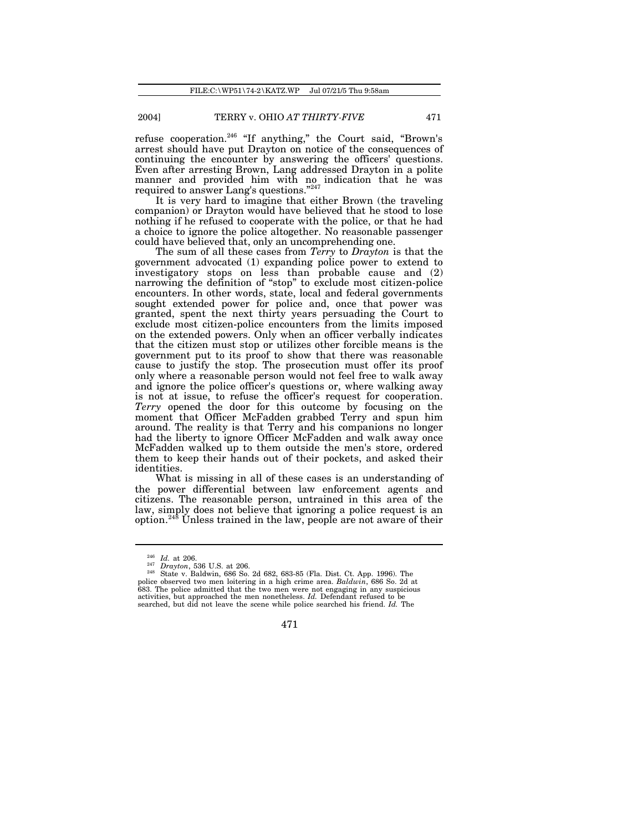refuse cooperation.<sup>246</sup> "If anything," the Court said, "Brown's arrest should have put Drayton on notice of the consequences of continuing the encounter by answering the officers' questions. Even after arresting Brown, Lang addressed Drayton in a polite manner and provided him with no indication that he was required to answer Lang's questions."<sup>247</sup>

It is very hard to imagine that either Brown (the traveling companion) or Drayton would have believed that he stood to lose nothing if he refused to cooperate with the police, or that he had a choice to ignore the police altogether. No reasonable passenger could have believed that, only an uncomprehending one.

The sum of all these cases from *Terry* to *Drayton* is that the government advocated (1) expanding police power to extend to investigatory stops on less than probable cause and (2) narrowing the definition of "stop" to exclude most citizen-police encounters. In other words, state, local and federal governments sought extended power for police and, once that power was granted, spent the next thirty years persuading the Court to exclude most citizen-police encounters from the limits imposed on the extended powers. Only when an officer verbally indicates that the citizen must stop or utilizes other forcible means is the government put to its proof to show that there was reasonable cause to justify the stop. The prosecution must offer its proof only where a reasonable person would not feel free to walk away and ignore the police officer's questions or, where walking away is not at issue, to refuse the officer's request for cooperation. *Terry* opened the door for this outcome by focusing on the moment that Officer McFadden grabbed Terry and spun him around. The reality is that Terry and his companions no longer had the liberty to ignore Officer McFadden and walk away once McFadden walked up to them outside the men's store, ordered them to keep their hands out of their pockets, and asked their identities.

What is missing in all of these cases is an understanding of the power differential between law enforcement agents and citizens. The reasonable person, untrained in this area of the law, simply does not believe that ignoring a police request is an  $\frac{248}{100}$  Unless trained in the law, people are not aware of their

<sup>246</sup> *Id.* at 206.

<sup>247</sup> *Drayton*, 536 U.S. at 206. <sup>248</sup> State v. Baldwin, 686 So. 2d 682, 683-85 (Fla. Dist. Ct. App. 1996). The police observed two men loitering in a high crime area. *Baldwin*, 686 So. 2d at 683. The police admitted that the two men were not engaging in any suspicious activities, but approached the men nonetheless. *Id.* Defendant refused to be searched, but did not leave the scene while police searched his friend. *Id.* The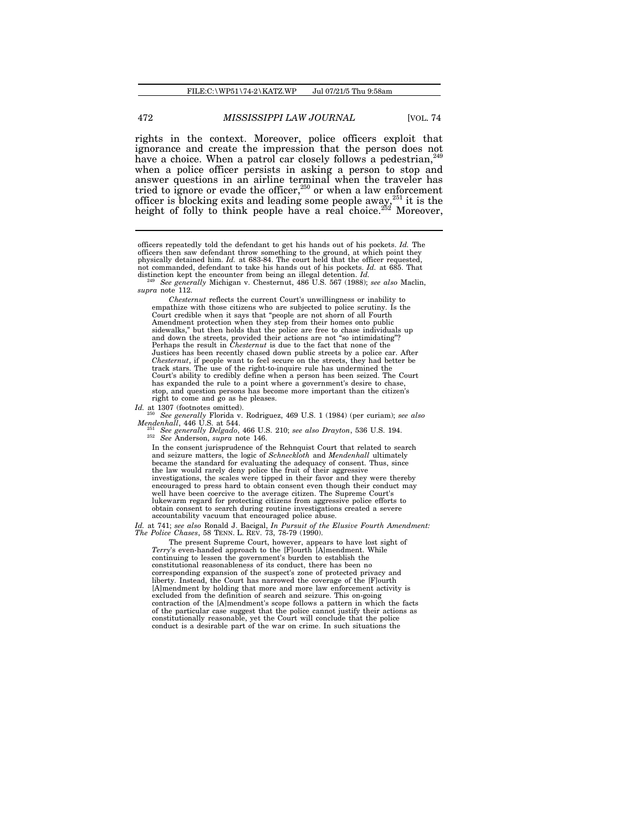rights in the context. Moreover, police officers exploit that ignorance and create the impression that the person does not have a choice. When a patrol car closely follows a pedestrian, when a police officer persists in asking a person to stop and answer questions in an airline terminal when the traveler has tried to ignore or evade the officer, $250$  or when a law enforcement officer is blocking exits and leading some people away, <sup>251</sup> it is the height of folly to think people have a real choice.<sup>252</sup> Moreover,

*Id.* at 1307 (footnotes omitted).

<sup>251</sup> *See generally Delgado*, 466 U.S. 210; *see also Drayton*, 536 U.S. 194. <sup>252</sup> *See* Anderson, *supra* note 146.

In the consent jurisprudence of the Rehnquist Court that related to search and seizure matters, the logic of *Schneckloth* and *Mendenhall* ultimately became the standard for evaluating the adequacy of consent. Thus, since the law would rarely deny police the fruit of their aggressive investigations, the scales were tipped in their favor and they were thereby encouraged to press hard to obtain consent even though their conduct may well have been coercive to the average citizen. The Supreme Court's lukewarm regard for protecting citizens from aggressive police efforts to obtain consent to search during routine investigations created a severe accountability vacuum that encouraged police abuse.

*Id.* at 741; *see also* Ronald J. Bacigal, *In Pursuit of the Elusive Fourth Amendment: The Police Chases*, 58 TENN. L. REV. 73, 78-79 (1990).

The present Supreme Court, however, appears to have lost sight of *Terry*'s even-handed approach to the [F]ourth [A]mendment. While continuing to lessen the government's burden to establish the constitutional reasonableness of its conduct, there has been no corresponding expansion of the suspect's zone of protected privacy and liberty. Instead, the Court has narrowed the coverage of the [F]ourth [A]mendment by holding that more and more law enforcement activity is excluded from the definition of search and seizure. This on-going contraction of the [A]mendment's scope follows a pattern in which the facts of the particular case suggest that the police cannot justify their actions as constitutionally reasonable, yet the Court will conclude that the police conduct is a desirable part of the war on crime. In such situations the

officers repeatedly told the defendant to get his hands out of his pockets. *Id.* The officers then saw defendant throw something to the ground, at which point they physically detained him. *Id.* at 683-84. The court held that the officer requested, not commanded, defendant to take his hands out of his pockets. *Id.* at 685. That distinction kept the encounter from being an illegal detention. *Id.*  $^{249}$  *See generally* Michigan v. Chesternut, 486 U.S. 567 (1988);

*supra* note 112. *Chesternut* reflects the current Court's unwillingness or inability to empathize with those citizens who are subjected to police scrutiny. Is the

Court credible when it says that "people are not shorn of all Fourth Amendment protection when they step from their homes onto public sidewalks," but then holds that the police are free to chase individuals up and down the streets, provided their actions are not "so intimidating"? Perhaps the result in *Chesternut* is due to the fact that none of the Justices has been recently chased down public streets by a police car. After *Chesternut*, if people want to feel secure on the streets, they had better be track stars. The use of the right-to-inquire rule has undermined the Court's ability to credibly define when a person has been seized. The Court has expanded the rule to a point where a government's desire to chase, stop, and question persons has become more important than the citizen's right to come and go as he pleases.

<sup>250</sup> *See generally* Florida v. Rodriguez, 469 U.S. 1 (1984) (per curiam); *see also Mendenhall*, 446 U.S. at 544.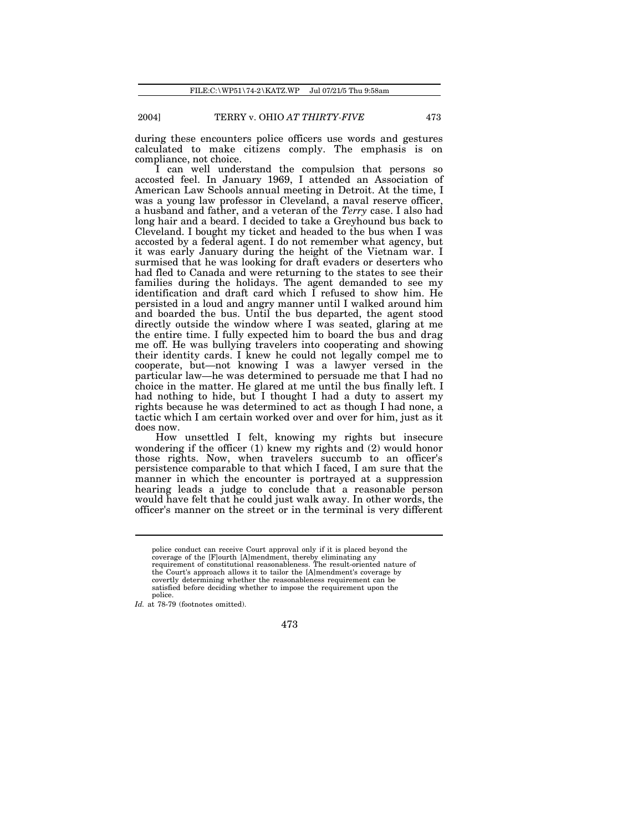during these encounters police officers use words and gestures calculated to make citizens comply. The emphasis is on compliance, not choice.

I can well understand the compulsion that persons so accosted feel. In January 1969, I attended an Association of American Law Schools annual meeting in Detroit. At the time, I was a young law professor in Cleveland, a naval reserve officer, a husband and father, and a veteran of the *Terry* case. I also had long hair and a beard. I decided to take a Greyhound bus back to Cleveland. I bought my ticket and headed to the bus when I was accosted by a federal agent. I do not remember what agency, but it was early January during the height of the Vietnam war. I surmised that he was looking for draft evaders or deserters who had fled to Canada and were returning to the states to see their families during the holidays. The agent demanded to see my identification and draft card which I refused to show him. He persisted in a loud and angry manner until I walked around him and boarded the bus. Until the bus departed, the agent stood directly outside the window where I was seated, glaring at me the entire time. I fully expected him to board the bus and drag me off. He was bullying travelers into cooperating and showing their identity cards. I knew he could not legally compel me to cooperate, but—not knowing I was a lawyer versed in the particular law—he was determined to persuade me that I had no choice in the matter. He glared at me until the bus finally left. I had nothing to hide, but I thought I had a duty to assert my rights because he was determined to act as though I had none, a tactic which I am certain worked over and over for him, just as it does now.

How unsettled I felt, knowing my rights but insecure wondering if the officer (1) knew my rights and (2) would honor those rights. Now, when travelers succumb to an officer's persistence comparable to that which I faced, I am sure that the manner in which the encounter is portrayed at a suppression hearing leads a judge to conclude that a reasonable person would have felt that he could just walk away. In other words, the officer's manner on the street or in the terminal is very different

police conduct can receive Court approval only if it is placed beyond the coverage of the [F]ourth [A]mendment, thereby eliminating any requirement of constitutional reasonableness. The result-oriented nature of the Court's approach allows it to tailor the [A]mendment's coverage by covertly determining whether the reasonableness requirement can be satisfied before deciding whether to impose the requirement upon the police.

*Id.* at 78-79 (footnotes omitted).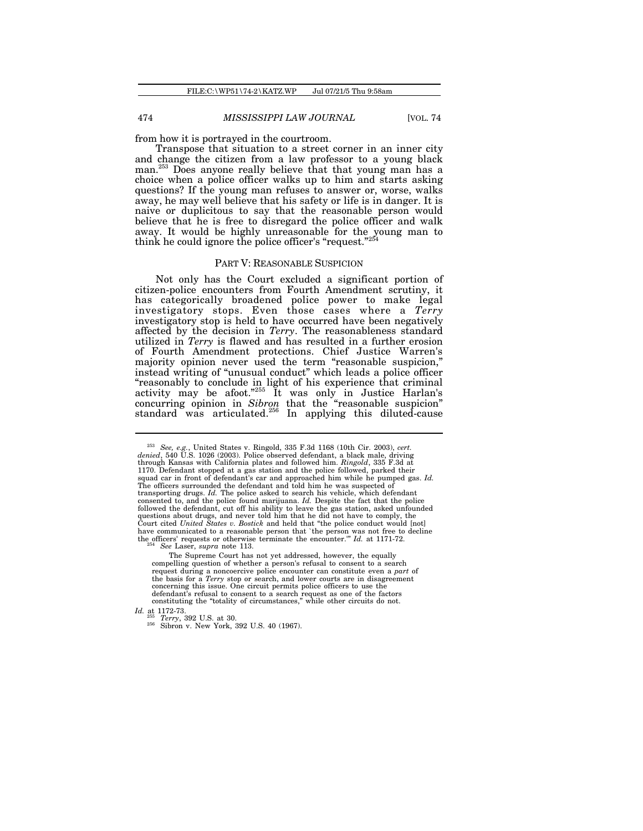from how it is portrayed in the courtroom.

Transpose that situation to a street corner in an inner city and change the citizen from a law professor to a young black man.<sup>253</sup> Does anyone really believe that that young man has a choice when a police officer walks up to him and starts asking questions? If the young man refuses to answer or, worse, walks away, he may well believe that his safety or life is in danger. It is naive or duplicitous to say that the reasonable person would believe that he is free to disregard the police officer and walk away. It would be highly unreasonable for the young man to think he could ignore the police officer's "request."<sup>254</sup>

### PART V: REASONABLE SUSPICION

Not only has the Court excluded a significant portion of citizen-police encounters from Fourth Amendment scrutiny, it has categorically broadened police power to make legal investigatory stops. Even those cases where a *Terry* investigatory stop is held to have occurred have been negatively affected by the decision in *Terry*. The reasonableness standard utilized in *Terry* is flawed and has resulted in a further erosion of Fourth Amendment protections. Chief Justice Warren's majority opinion never used the term "reasonable suspicion," instead writing of "unusual conduct" which leads a police officer "reasonably to conclude in light of his experience that criminal activity may be afoot." <sup>255</sup> It was only in Justice Harlan's concurring opinion in *Sibron* that the "reasonable suspicion" standard was articulated.<sup>256</sup> In applying this diluted-cause

*Id.* at 1172-73. <sup>255</sup> *Terry*, 392 U.S. at 30.

<sup>&</sup>lt;sup>253</sup> See, e.g., United States v. Ringold, 335 F.3d 1168 (10th Cir. 2003), cert.<br>denied, 540 U.S. 1026 (2003). Police observed defendant, a black male, driving<br>through Kansas with California plates and followed him. *Ring* 1170. Defendant stopped at a gas station and the police followed, parked their squad car in front of defendant's car and approached him while he pumped gas. *Id.* The officers surrounded the defendant and told him he was suspected of transporting drugs. *Id.* The police asked to search his vehicle, which defendant consented to, and the police found marijuana. *Id.* Despite the fact that the police followed the defendant, cut off his ability to leave the gas station, asked unfounded questions about drugs, and never told him that he did not have to comply, the Court cited *United States v. Bostick* and held that "the police conduct would [not] have communicated to a reasonable person that `the person was not free to decline<br>the officers' requests or otherwise terminate the encounter.'" *Id.* at 1171-72.<br><sup>254</sup> *See* Laser, *supra* note 113.

The Supreme Court has not yet addressed, however, the equally compelling question of whether a person's refusal to consent to a search request during a noncoercive police encounter can constitute even a *part* of the basis for a *Terry* stop or search, and lower courts are in disagreement concerning this issue. One circuit permits police officers to use the defendant's refusal to consent to a search request as one of the factors constituting the "totality of circumstances," while other circuits do not.

<sup>&</sup>lt;sup>256</sup> Sibron v. New York, 392 U.S. 40 (1967).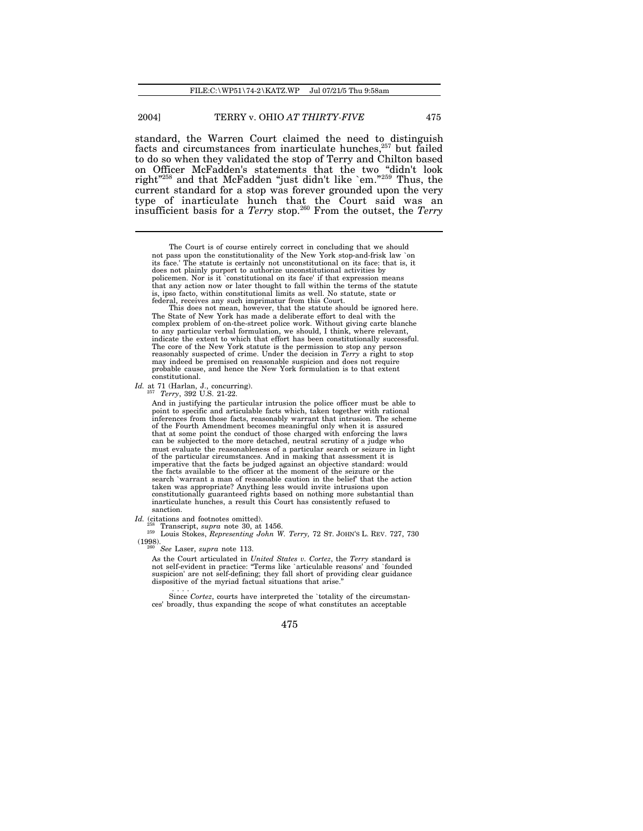standard, the Warren Court claimed the need to distinguish facts and circumstances from inarticulate hunches,<sup>257</sup> but failed to do so when they validated the stop of Terry and Chilton based on Officer McFadden's statements that the two "didn't look right<sup>"258</sup> and that McFadden "just didn't like `em."<sup>259</sup> Thus, the current standard for a stop was forever grounded upon the very type of inarticulate hunch that the Court said was an insufficient basis for a *Terry* stop.<sup>260</sup> From the outset, the *Terry*

This does not mean, however, that the statute should be ignored here. The State of New York has made a deliberate effort to deal with the complex problem of on-the-street police work. Without giving carte blanche to any particular verbal formulation, we should, I think, where relevant, indicate the extent to which that effort has been constitutionally successful. The core of the New York statute is the permission to stop any person reasonably suspected of crime. Under the decision in *Terry* a right to stop may indeed be premised on reasonable suspicion and does not require probable cause, and hence the New York formulation is to that extent constitutional.

*Id.* at 71 (Harlan, J., concurring). <sup>257</sup> *Terry*, 392 U.S. 21-22.

And in justifying the particular intrusion the police officer must be able to point to specific and articulable facts which, taken together with rational inferences from those facts, reasonably warrant that intrusion. The scheme of the Fourth Amendment becomes meaningful only when it is assured that at some point the conduct of those charged with enforcing the laws can be subjected to the more detached, neutral scrutiny of a judge who must evaluate the reasonableness of a particular search or seizure in light of the particular circumstances. And in making that assessment it is imperative that the facts be judged against an objective standard: would the facts available to the officer at the moment of the seizure or the search `warrant a man of reasonable caution in the belief' that the action taken was appropriate? Anything less would invite intrusions upon constitutionally guaranteed rights based on nothing more substantial than inarticulate hunches, a result this Court has consistently refused to sanction.

*Id.* (citations and footnotes omitted).

<sup>258</sup> Transcript, *supra* note 30, at 1456.

<sup>259</sup> Louis Stokes, *Representing John W. Terry,* 72 ST. JOHN'S L. REV. 727, 730  $(1998)$ .

<sup>260</sup> *See* Laser, *supra* note 113.

As the Court articulated in *United States v. Cortez*, the *Terry* standard is not self-evident in practice: "Terms like `articulable reasons' and `founded suspicion' are not self-defining; they fall short of providing clear guidance dispositive of the myriad factual situations that arise."

. . . . Since *Cortez*, courts have interpreted the `totality of the circumstances' broadly, thus expanding the scope of what constitutes an acceptable

The Court is of course entirely correct in concluding that we should not pass upon the constitutionality of the New York stop-and-frisk law `on its face.' The statute is certainly not unconstitutional on its face: that is, it does not plainly purport to authorize unconstitutional activities by policemen. Nor is it `constitutional on its face' if that expression means that any action now or later thought to fall within the terms of the statute is, ipso facto, within constitutional limits as well. No statute, state or federal, receives any such imprimatur from this Court.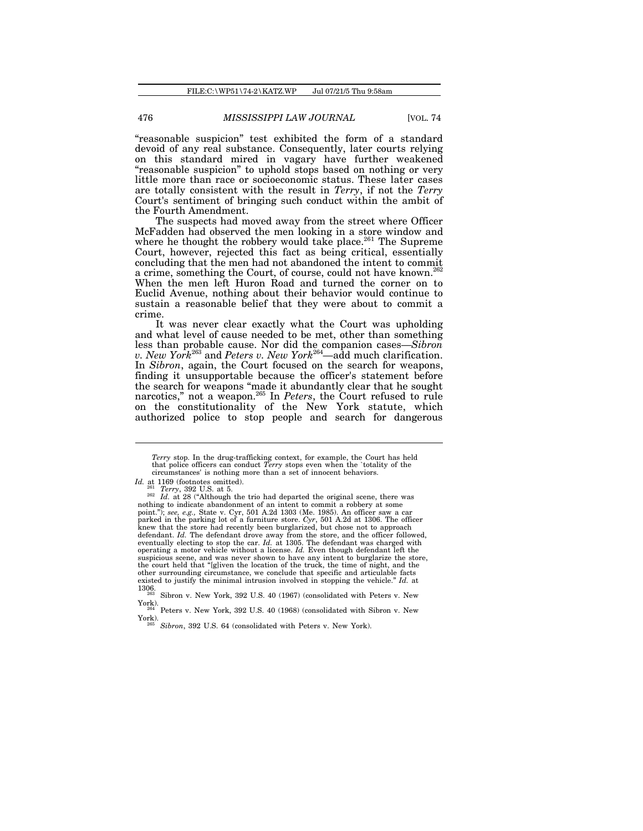"reasonable suspicion" test exhibited the form of a standard devoid of any real substance. Consequently, later courts relying on this standard mired in vagary have further weakened "reasonable suspicion" to uphold stops based on nothing or very little more than race or socioeconomic status. These later cases are totally consistent with the result in *Terry*, if not the *Terry* Court's sentiment of bringing such conduct within the ambit of the Fourth Amendment.

The suspects had moved away from the street where Officer McFadden had observed the men looking in a store window and where he thought the robbery would take place.<sup>261</sup> The Supreme Court, however, rejected this fact as being critical, essentially concluding that the men had not abandoned the intent to commit a crime, something the Court, of course, could not have known.<sup>262</sup> When the men left Huron Road and turned the corner on to Euclid Avenue, nothing about their behavior would continue to sustain a reasonable belief that they were about to commit a crime.

It was never clear exactly what the Court was upholding and what level of cause needed to be met, other than something less than probable cause. Nor did the companion cases—*Sibron v. New York*<sup>263</sup> and *Peters v. New York*<sup>264</sup>—add much clarification. In *Sibron*, again, the Court focused on the search for weapons, finding it unsupportable because the officer's statement before the search for weapons "made it abundantly clear that he sought narcotics," not a weapon.<sup>265</sup> In *Peters*, the Court refused to rule on the constitutionality of the New York statute, which authorized police to stop people and search for dangerous

*Terry* stop. In the drug-trafficking context, for example, the Court has held that police officers can conduct *Terry* stops even when the `totality of the circumstances' is nothing more than a set of innocent behaviors.

*Id.* at 1169 (footnotes omitted).

<sup>&</sup>lt;sup>261</sup> *Terry*, 392 U.S. at 5.<br><sup>262</sup> *Id.* at 28 ("Although the trio had departed the original scene, there was nothing to indicate abandonment of an intent to commit a robbery at some point."); *see, e.g.,* State v. Cyr, 501 A.2d 1303 (Me. 1985). An officer saw a car parked in the parking lot of a furniture store. Cyr, 501 A.2d at 1306. The officer<br>knew that the store had recently been burglarized, but chose not to approach<br>defendant. Id. The defendant drove away from the store, and th eventually electing to stop the car. *Id.* at 1305. The defendant was charged with operating a motor vehicle without a license. *Id.* Even though defendant left the suspicious scene, and was never shown to have any intent to burglarize the store. the court held that "[g]iven the location of the truck, the time of night, and the other surrounding circumstance, we conclude that specific and articulable facts existed to justify the minimal intrusion involved in stopping the vehicle." *Id.* at 1306.

Sibron v. New York, 392 U.S. 40 (1967) (consolidated with Peters v. New York).

Peters v. New York, 392 U.S. 40 (1968) (consolidated with Sibron v. New  $\text{York}$ ).

Sibron, 392 U.S. 64 (consolidated with Peters v. New York).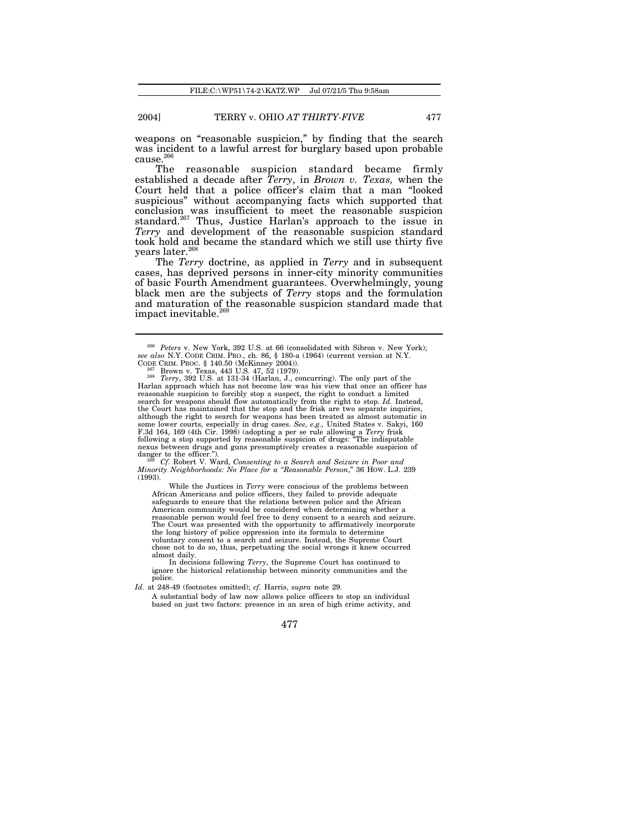weapons on "reasonable suspicion," by finding that the search was incident to a lawful arrest for burglary based upon probable cause.<sup>266</sup>

The reasonable suspicion standard became firmly established a decade after *Terry*, in *Brown v. Texas,* when the Court held that a police officer's claim that a man "looked suspicious" without accompanying facts which supported that conclusion was insufficient to meet the reasonable suspicion standard.<sup>267</sup> Thus, Justice Harlan's approach to the issue in *Terry* and development of the reasonable suspicion standard took hold and became the standard which we still use thirty five years later.<sup>26</sup>

The *Terry* doctrine, as applied in *Terry* and in subsequent cases, has deprived persons in inner-city minority communities of basic Fourth Amendment guarantees. Overwhelmingly, young black men are the subjects of *Terry* stops and the formulation and maturation of the reasonable suspicion standard made that impact inevitable. $269$ 

*Minority Neighborhoods: No Place for a "Reasonable Person*," 36 HOW. L.J. 239  $(1993)$ .

While the Justices in *Terry* were conscious of the problems between African Americans and police officers, they failed to provide adequate safeguards to ensure that the relations between police and the African American community would be considered when determining whether a reasonable person would feel free to deny consent to a search and seizure. The Court was presented with the opportunity to affirmatively incorporate the long history of police oppression into its formula to determine voluntary consent to a search and seizure. Instead, the Supreme Court chose not to do so, thus, perpetuating the social wrongs it knew occurred almost daily. In decisions following *Terry*, the Supreme Court has continued to

ignore the historical relationship between minority communities and the police.

*Id.* at 248-49 (footnotes omitted); *cf.* Harris, *supra* note 29.

A substantial body of law now allows police officers to stop an individual based on just two factors: presence in an area of high crime activity, and

<sup>266</sup> *Peters* v. New York, 392 U.S. at 66 (consolidated with Sibron v. New York); *see also* N.Y. CODE CRIM. PRO., ch. 86, § 180-a (1964) (current version at N.Y. CODE CRIM. PROC. § 140.50 (McKinney 2004)).

<sup>267</sup> Brown v. Texas, 443 U.S. 47, 52 (1979). <sup>268</sup> *Terry*, 392 U.S. at 131-34 (Harlan, J., concurring). The only part of the Harlan approach which has not become law was his view that once an officer has reasonable suspicion to forcibly stop a suspect, the right to conduct a limited search for weapons should flow automatically from the right to stop. *Id.* Instead, the Court has maintained that the stop and the frisk are two separate inquiries, although the right to search for weapons has been treated as almost automatic in some lower courts, especially in drug cases. See, e.g., United States v. Sakyi, 160 F.3d 164, 169 (4th Cir. 1998) (adopting a per se rule all following a stop supported by reasonable suspicion of drugs: "The indisputable nexus between drugs and guns presumptively creates a reasonable suspicion of danger to the officer."). <sup>269</sup> *Cf.* Robert V. Ward, *Consenting to a Search and Seizure in Poor and*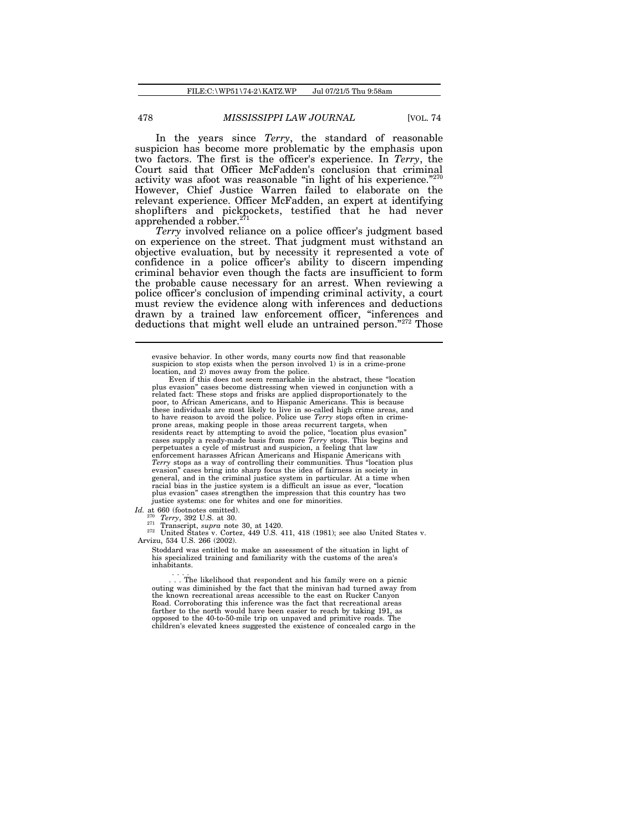In the years since *Terry*, the standard of reasonable suspicion has become more problematic by the emphasis upon two factors. The first is the officer's experience. In *Terry*, the Court said that Officer McFadden's conclusion that criminal activity was afoot was reasonable "in light of his experience."<sup>270</sup> However, Chief Justice Warren failed to elaborate on the relevant experience. Officer McFadden, an expert at identifying shoplifters and pickpockets, testified that he had never apprehended a robber.<sup>271</sup>

*Terry* involved reliance on a police officer's judgment based on experience on the street. That judgment must withstand an objective evaluation, but by necessity it represented a vote of confidence in a police officer's ability to discern impending criminal behavior even though the facts are insufficient to form the probable cause necessary for an arrest. When reviewing a police officer's conclusion of impending criminal activity, a court must review the evidence along with inferences and deductions drawn by a trained law enforcement officer, "inferences and deductions that might well elude an untrained person."<sup>272</sup> Those

*Id.* at 660 (footnotes omitted).

<sup>270</sup> *Terry*, 392 U.S. at 30.

<sup>271</sup> Transcript, *supra* note 30, at 1420. <sup>272</sup> United States v. Cortez, 449 U.S. 411, 418 (1981); see also United States v. Arvizu, 534 U.S. 266 (2002).

Stoddard was entitled to make an assessment of the situation in light of his specialized training and familiarity with the customs of the area's inhabitants.

. . . . . . . The likelihood that respondent and his family were on a picnic outing was diminished by the fact that the minivan had turned away from the known recreational areas accessible to the east on Rucker Canyon Road. Corroborating this inference was the fact that recreational areas farther to the north would have been easier to reach by taking 191, as opposed to the 40-to-50-mile trip on unpaved and primitive roads. The children's elevated knees suggested the existence of concealed cargo in the

evasive behavior. In other words, many courts now find that reasonable suspicion to stop exists when the person involved 1) is in a crime-prone

location, and 2) moves away from the police. Even if this does not seem remarkable in the abstract, these "location plus evasion" cases become distressing when viewed in conjunction with a related fact: These stops and frisks are applied disproportionately to the poor, to African Americans, and to Hispanic Americans. This is because these individuals are most likely to live in so-called high crime areas, and to have reason to avoid the police. Police use *Terry* stops often in crimeprone areas, making people in those areas recurrent targets, when residents react by attempting to avoid the police, "location plus evasion" cases supply a ready-made basis from more *Terry* stops. This begins and perpetuates a cycle of mistrust and suspicion, a feeling that law enforcement harasses African Americans and Hispanic Americans with *Terry* stops as a way of controlling their communities. Thus "location plus evasion" cases bring into sharp focus the idea of fairness in society in general, and in the criminal justice system in particular. At a time when racial bias in the justice system is a difficult an issue as ever, "location plus evasion" cases strengthen the impression that this country has two justice systems: one for whites and one for minorities.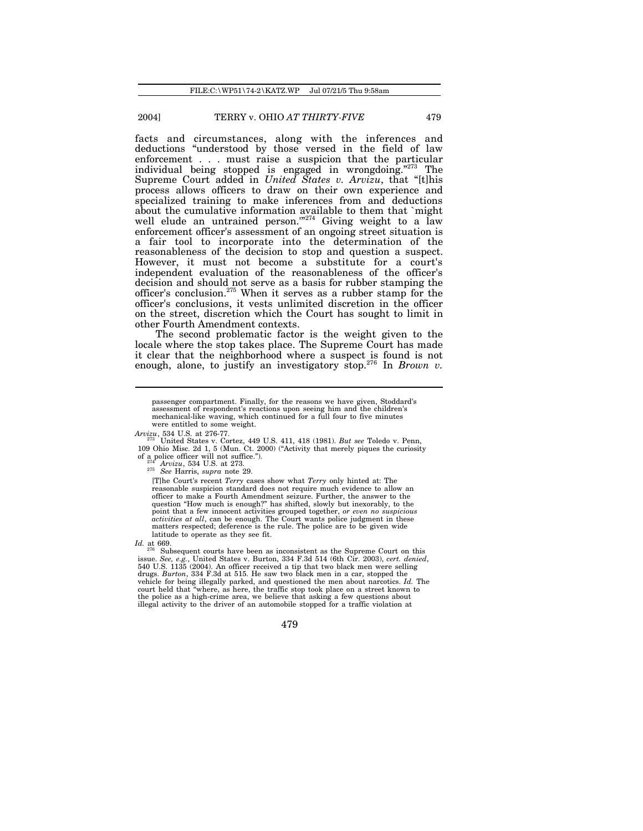facts and circumstances, along with the inferences and deductions "understood by those versed in the field of law enforcement . . . must raise a suspicion that the particular individual being stopped is engaged in wrongdoing."<sup>273</sup> The Supreme Court added in *United States v. Arvizu*, that "[t]his process allows officers to draw on their own experience and specialized training to make inferences from and deductions about the cumulative information available to them that `might well elude an untrained person."<sup>274</sup> Giving weight to a law enforcement officer's assessment of an ongoing street situation is a fair tool to incorporate into the determination of the reasonableness of the decision to stop and question a suspect. However, it must not become a substitute for a court's independent evaluation of the reasonableness of the officer's decision and should not serve as a basis for rubber stamping the officer's conclusion.<sup>275</sup> When it serves as a rubber stamp for the officer's conclusions, it vests unlimited discretion in the officer on the street, discretion which the Court has sought to limit in other Fourth Amendment contexts.

The second problematic factor is the weight given to the locale where the stop takes place. The Supreme Court has made it clear that the neighborhood where a suspect is found is not enough, alone, to justify an investigatory stop.<sup>276</sup> In *Brown v.*

passenger compartment. Finally, for the reasons we have given, Stoddard's assessment of respondent's reactions upon seeing him and the children's mechanical-like waving, which continued for a full four to five minutes were entitled to some weight.

*Arvizu*, 534 U.S. at 276-77. <sup>273</sup> United States v. Cortez, 449 U.S. 411, 418 (1981). *But see* Toledo v. Penn, 109 Ohio Misc. 2d 1, 5 (Mun. Ct. 2000) ("Activity that merely piques the curiosity of a police officer will not suffice.").

<sup>274</sup> *Arvizu*, 534 U.S. at 273.

<sup>275</sup> *See* Harris, *supra* note 29.

[T]he Court's recent *Terry* cases show what *Terry* only hinted at: The reasonable suspicion standard does not require much evidence to allow an officer to make a Fourth Amendment seizure. Further, the answer to the question "How much is enough?" has shifted, slowly but inexorably, to the point that a few innocent activities grouped together, *or even no suspicious activities at all*, can be enough. The Court wants police judgment in these matters respected; deference is the rule. The police are to be given wide latitude to operate as they see fit.

*Id.* at 669.

Subsequent courts have been as inconsistent as the Supreme Court on this issue. See, e.g., United States v. Burton, 334 F.3d 514 (6th Cir. 2003), cert. denied, 540 U.S. 1135 (2004). An officer received a tip that two black men were selling drugs. *Burton*, 334 F.3d at 515. He saw two black men vehicle for being illegally parked, and questioned the men about narcotics. *Id.* The court held that "where, as here, the traffic stop took place on a street known to the police as a high-crime area, we believe that asking a few questions about illegal activity to the driver of an automobile stopped for a traffic violation at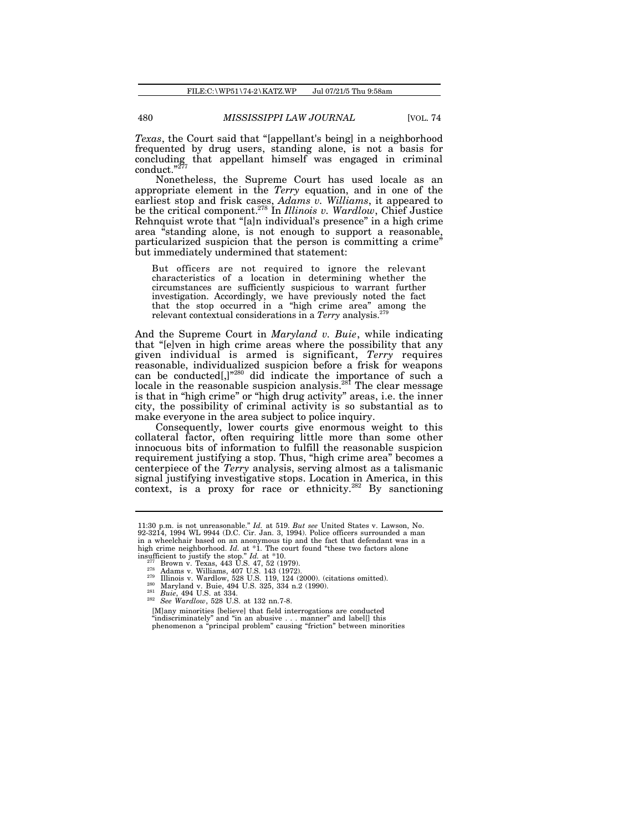*Texas*, the Court said that "[appellant's being] in a neighborhood frequented by drug users, standing alone, is not a basis for concluding that appellant himself was engaged in criminal  $\text{conduct."}^{27}$ 

Nonetheless, the Supreme Court has used locale as an appropriate element in the *Terry* equation, and in one of the earliest stop and frisk cases, *Adams v. Williams*, it appeared to be the critical component.<sup>278</sup> In *Illinois v. Wardlow*, Chief Justice Rehnquist wrote that "[a]n individual's presence" in a high crime area "standing alone, is not enough to support a reasonable, particularized suspicion that the person is committing a crime<sup>\*</sup> but immediately undermined that statement:

But officers are not required to ignore the relevant characteristics of a location in determining whether the circumstances are sufficiently suspicious to warrant further investigation. Accordingly, we have previously noted the fact that the stop occurred in a "high crime area" among the relevant contextual considerations in a *Terry* analysis.<sup>279</sup>

And the Supreme Court in *Maryland v. Buie*, while indicating that "[e]ven in high crime areas where the possibility that any given individual is armed is significant, *Terry* requires reasonable, individualized suspicion before a frisk for weapons can be conducted[,]"<sup>280</sup> did indicate the importance of such a locale in the reasonable suspicion analysis.<sup>281</sup> The clear message is that in "high crime" or "high drug activity" areas, i.e. the inner city, the possibility of criminal activity is so substantial as to make everyone in the area subject to police inquiry.

Consequently, lower courts give enormous weight to this collateral factor, often requiring little more than some other innocuous bits of information to fulfill the reasonable suspicion requirement justifying a stop. Thus, "high crime area" becomes a centerpiece of the *Terry* analysis, serving almost as a talismanic signal justifying investigative stops. Location in America, in this context, is a proxy for race or ethnicity.<sup>282</sup> By sanctioning

[M]any minorities [believe] that field interrogations are conducted "indiscriminately" and "in an abusive . . . manner" and label[] this phenomenon a "principal problem" causing "friction" between minorities

<sup>11:30</sup> p.m. is not unreasonable." *Id.* at 519. *But see* United States v. Lawson, No.<br>92-3214, 1994 WL 9944 (D.C. Cir. Jan. 3, 1994). Police officers surrounded a man<br>in a wheelchair based on an anonymous tip and the fact high crime neighborhood. *Id.* at \*1. The court found "these two factors alone insufficient to justify the stop." *Id.* at \*10.<br>
<sup>277</sup> Brown v. Texas, 443 U.S. 47, 52 (1979).<br>
<sup>278</sup> Adams v. Williams, 407 U.S. 143 (1972).<br>
<sup>279</sup> Illinois v. Wardlow, 528 U.S. 119, 124 (2000). (citations omitted).

<sup>280</sup> Maryland v. Buie, 494 U.S. 325, 334 n.2 (1990). <sup>281</sup> *Buie*, 494 U.S. at 334.

<sup>282</sup> *See Wardlow*, 528 U.S. at 132 nn.7-8.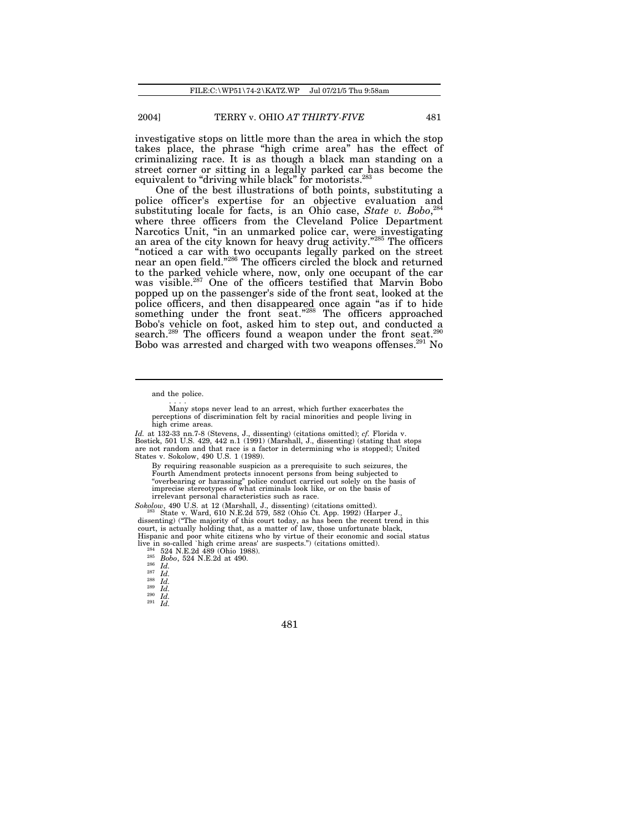investigative stops on little more than the area in which the stop takes place, the phrase "high crime area" has the effect of criminalizing race. It is as though a black man standing on a street corner or sitting in a legally parked car has become the equivalent to "driving while black" for motorists.<sup>283</sup>

One of the best illustrations of both points, substituting a police officer's expertise for an objective evaluation and substituting locale for facts, is an Ohio case, *State v. Bobo*, 284 where three officers from the Cleveland Police Department Narcotics Unit, "in an unmarked police car, were investigating an area of the city known for heavy drug activity."<sup>285</sup> The officers "noticed a car with two occupants legally parked on the street near an open field."<sup>286</sup> The officers circled the block and returned to the parked vehicle where, now, only one occupant of the car was visible.<sup>287</sup> One of the officers testified that Marvin Bobo popped up on the passenger's side of the front seat, looked at the police officers, and then disappeared once again "as if to hide something under the front seat."<sup>288</sup> The officers approached Bobo's vehicle on foot, asked him to step out, and conducted a search.<sup>289</sup> The officers found a weapon under the front seat.<sup>290</sup> Bobo was arrested and charged with two weapons offenses.<sup>291</sup> No

and the police. . . . .

Many stops never lead to an arrest, which further exacerbates the perceptions of discrimination felt by racial minorities and people living in high crime areas.

*Id.* at 132-33 nn.7-8 (Stevens, J., dissenting) (citations omitted); *cf.* Florida v. Bostick, 501 U.S. 429, 442 n.1 (1991) (Marshall, J., dissenting) (stating that stops are not random and that race is a factor in determining who is stopped); United States v. Sokolow, 490 U.S. 1 (1989).

By requiring reasonable suspicion as a prerequisite to such seizures, the Fourth Amendment protects innocent persons from being subjected to "overbearing or harassing" police conduct carried out solely on the basis of imprecise stereotypes of what criminals look like, or on the basis of irrelevant personal characteristics such as race.

*Sokolow*, 490 U.S. at 12 (Marshall, J., dissenting) (citations omitted). <sup>283</sup> State v. Ward, 610 N.E.2d 579, 582 (Ohio Ct. App. 1992) (Harper J., dissenting) ("The majority of this court today, as has been the recent trend in this court, is actually holding that, as a matter of law, those unfortunate black, Hispanic and poor white citizens who by virtue of their economic and social status live in so-called `high crime areas' are suspects.") (citations omitted). <sup>284</sup> 524 N.E.2d 489 (Ohio 1988).

<sup>285</sup> *Bobo*, 524 N.E.2d at 490.

<sup>286</sup> *Id.* <sup>287</sup> *Id.*

 $\frac{288}{289}$   $\frac{1}{d}$ 

<sup>289</sup> *Id.* <sup>290</sup> *Id.*

<sup>291</sup> *Id.*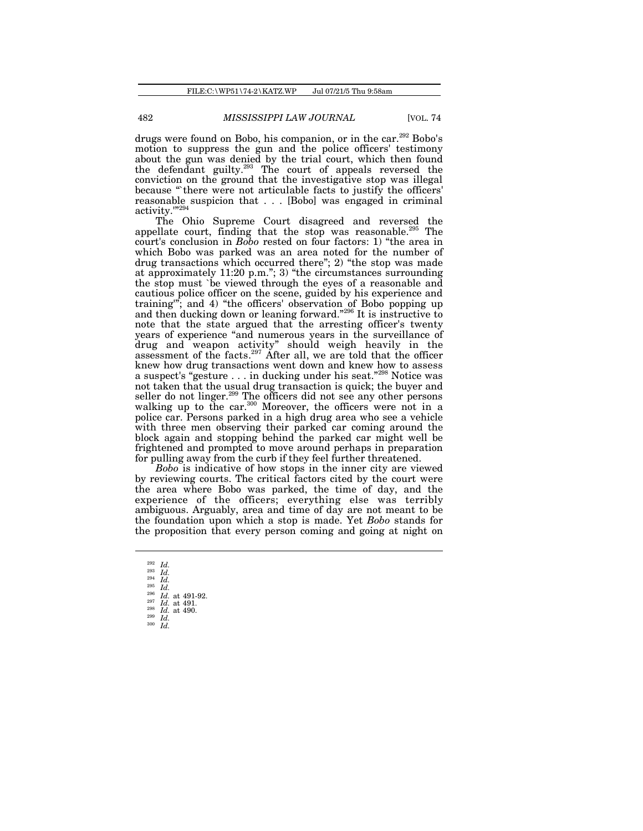drugs were found on Bobo, his companion, or in the car.<sup>292</sup> Bobo's motion to suppress the gun and the police officers' testimony about the gun was denied by the trial court, which then found the defendant guilty.<sup>293</sup> The court of appeals reversed the conviction on the ground that the investigative stop was illegal because "there were not articulable facts to justify the officers' reasonable suspicion that . . . [Bobo] was engaged in criminal activity.'"<sup>294</sup>

The Ohio Supreme Court disagreed and reversed the appellate court, finding that the stop was reasonable.<sup>295</sup> The court's conclusion in *Bobo* rested on four factors: 1) "the area in which Bobo was parked was an area noted for the number of drug transactions which occurred there"; 2) "the stop was made at approximately 11:20 p.m."; 3) "the circumstances surrounding the stop must `be viewed through the eyes of a reasonable and cautious police officer on the scene, guided by his experience and training'"; and 4) "the officers' observation of Bobo popping up and then ducking down or leaning forward."<sup>296</sup> It is instructive to note that the state argued that the arresting officer's twenty years of experience "and numerous years in the surveillance of drug and weapon activity" should weigh heavily in the assessment of the facts.<sup>297</sup> After all, we are told that the officer knew how drug transactions went down and knew how to assess a suspect's "gesture . . . in ducking under his seat."<sup>298</sup> Notice was not taken that the usual drug transaction is quick; the buyer and seller do not linger.<sup>299</sup> The officers did not see any other persons walking up to the car.<sup>300</sup> Moreover, the officers were not in a police car. Persons parked in a high drug area who see a vehicle with three men observing their parked car coming around the block again and stopping behind the parked car might well be frightened and prompted to move around perhaps in preparation for pulling away from the curb if they feel further threatened.

*Bobo* is indicative of how stops in the inner city are viewed by reviewing courts. The critical factors cited by the court were the area where Bobo was parked, the time of day, and the experience of the officers; everything else was terribly ambiguous. Arguably, area and time of day are not meant to be the foundation upon which a stop is made. Yet *Bobo* stands for the proposition that every person coming and going at night on

 $\frac{^{292}}{^{293}}$  *Id.* <sup>293</sup> *Id.* <sup>294</sup> *Id.*  $\begin{array}{c} \text{294} \ \text{295} \ \text{10.} \ \text{296} \ \text{10.} \ \text{296} \ \text{10.} \ \text{11.} \end{array}$  $\frac{296}{297}$  *Id.* at 491-92. <sup>297</sup> *Id.* at 491. <sup>298</sup> *Id.* at 490. <sup>299</sup> *Id.* <sup>300</sup> *Id.*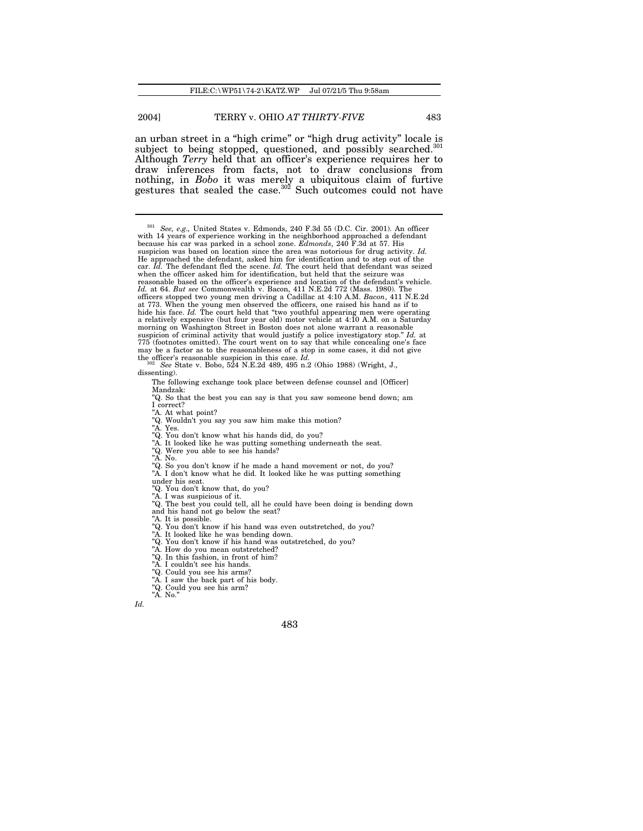an urban street in a "high crime" or "high drug activity" locale is subject to being stopped, questioned, and possibly searched.<sup>301</sup> Although *Terry* held that an officer's experience requires her to draw inferences from facts, not to draw conclusions from nothing, in *Bobo* it was merely a ubiquitous claim of furtive gestures that sealed the case.<sup>302</sup> Such outcomes could not have

<sup>301</sup> *See, e.g.,* United States v. Edmonds, 240 F.3d 55 (D.C. Cir. 2001). An officer with 14 years of experience working in the neighborhood approached a defendant because his car was parked in a school zone. *Edmonds*, 240 F.3d at 57. His suspicion was based on location since the area was notorious for drug activity. *Id.* He approached the defendant, asked him for identification and to step out of the car. *Id.* The defendant fled the scene. *Id.* The court held that defendant was seized when the officer asked him for identification, but held that the seizure was reasonable based on the officer's experience and location of the defendant's vehicle.<br>Id. at 64. But see Commonwealth v. Bacon, 411 N.E.2d 772 (Mass. 1980). The<br>officers stopped two young men driving a Cadillac at 4:10 A. a relatively expensive (but four year old) motor vehicle at 4:10 A.M. on a Saturday morning on Washington Street in Boston does not alone warrant a reasonable suspicion of criminal activity that would justify a police investigatory stop." *Id.* at 775 (footnotes omitted). The court went on to say that while concealing one's face may be a factor as to the reasonableness of a stop in some cases, it did not give

- "A. Yes.
- "Q. You don't know what his hands did, do you? "A. It looked like he was putting something underneath the seat.
- "Q. Were you able to see his hands?
- 
- "A. No. "Q. So you don't know if he made a hand movement or not, do you?
- "A. I don't know what he did. It looked like he was putting something

under his seat. "Q. You don't know that, do you? "A. I was suspicious of it.

- 
- "Q. The best you could tell, all he could have been doing is bending down

and his hand not go below the seat?

"A. It is possible. "Q. You don't know if his hand was even outstretched, do you?

"A. It looked like he was bending down.

- "Q. You don't know if his hand was outstretched, do you? "A. How do you mean outstretched? "Q. In this fashion, in front of him?
- 
- 
- 
- "A. I couldn't see his hands. "Q. Could you see his arms? "A. I saw the back part of his body.
- 
- "Q. Could you see his arm? "A. No."

*Id.*

the officer's reasonable suspicion in this case. *Id.* <sup>302</sup> *See* State v. Bobo, 524 N.E.2d 489, 495 n.2 (Ohio 1988) (Wright, J., dissenting).

The following exchange took place between defense counsel and [Officer] Mandzak:

<sup>&</sup>quot;Q. So that the best you can say is that you saw someone bend down; am I correct?

<sup>&</sup>quot;A. At what point? "Q. Wouldn't you say you saw him make this motion?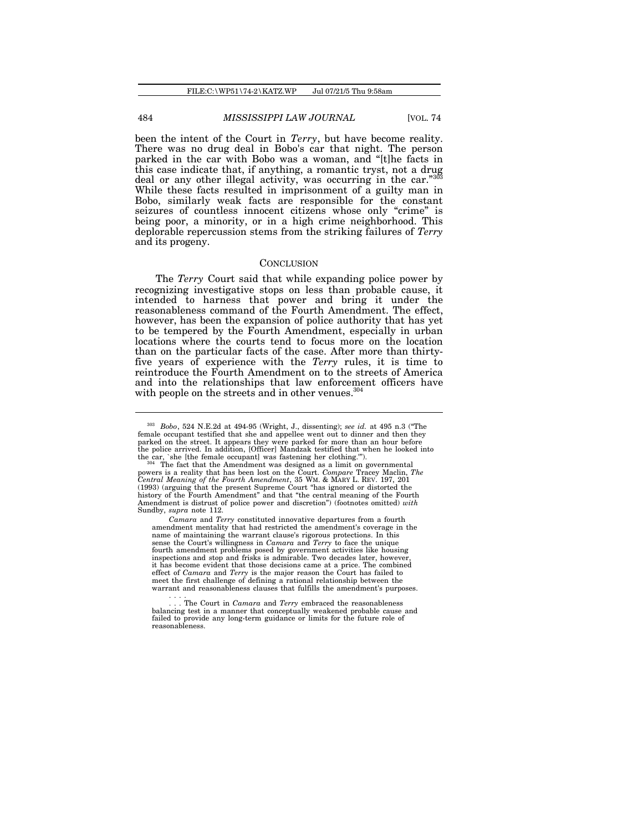been the intent of the Court in *Terry*, but have become reality. There was no drug deal in Bobo's car that night. The person parked in the car with Bobo was a woman, and "[t]he facts in parked in the car with boxy with a romantic tryst, not a drug<br>this case indicate that, if anything, a romantic tryst, not a drug deal or any other illegal activity, was occurring in the car."<sup>30</sup> While these facts resulted in imprisonment of a guilty man in Bobo, similarly weak facts are responsible for the constant seizures of countless innocent citizens whose only "crime" is being poor, a minority, or in a high crime neighborhood. This deplorable repercussion stems from the striking failures of *Terry* and its progeny.

### **CONCLUSION**

The *Terry* Court said that while expanding police power by recognizing investigative stops on less than probable cause, it intended to harness that power and bring it under the reasonableness command of the Fourth Amendment. The effect, however, has been the expansion of police authority that has yet to be tempered by the Fourth Amendment, especially in urban locations where the courts tend to focus more on the location than on the particular facts of the case. After more than thirtyfive years of experience with the *Terry* rules, it is time to reintroduce the Fourth Amendment on to the streets of America and into the relationships that law enforcement officers have with people on the streets and in other venues.<sup>304</sup>

*Camara* and *Terry* constituted innovative departures from a fourth amendment mentality that had restricted the amendment's coverage in the name of maintaining the warrant clause's rigorous protections. In this sense the Court's willingness in *Camara* and *Terry* to face the unique fourth amendment problems posed by government activities like housing inspections and stop and frisks is admirable. Two decades later, however it has become evident that those decisions came at a price. The combined effect of *Camara* and *Terry* is the major reason the Court has failed to meet the first challenge of defining a rational relationship between the warrant and reasonableness clauses that fulfills the amendment's purposes. . . . .

<sup>303</sup> *Bobo*, 524 N.E.2d at 494-95 (Wright, J., dissenting); *see id.* at 495 n.3 ("The female occupant testified that she and appellee went out to dinner and then they parked on the street. It appears they were parked for more than an hour before the police arrived. In addition, [Officer] Mandzak testified that when he looked into the car, `she [the female occupant] was fastening her clothing.'"). <sup>304</sup> The fact that the Amendment was designed as a limit on governmental

powers is a reality that has been lost on the Court. *Compare* Tracey Maclin, *The Central Meaning of the Fourth Amendment*, 35 WM. & MARY L. REV. 197, 201 (1993) (arguing that the present Supreme Court "has ignored or distorted the history of the Fourth Amendment" and that "the central meaning of the Fourth Amendment is distrust of police power and discretion") (footnotes omitted) *with* Sundby, *supra* note 112.

<sup>.</sup> The Court in *Camara* and *Terry* embraced the reasonableness balancing test in a manner that conceptually weakened probable cause and failed to provide any long-term guidance or limits for the future role of reasonableness.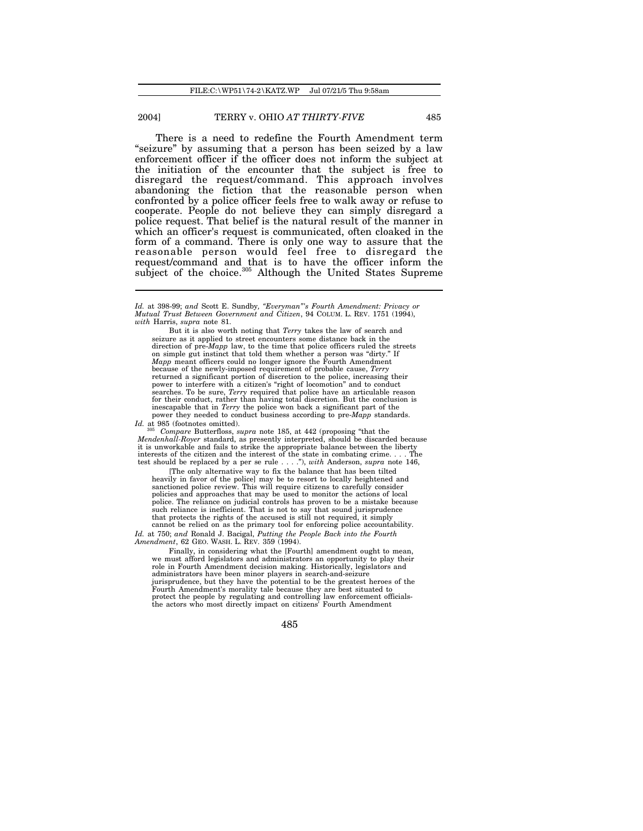There is a need to redefine the Fourth Amendment term "seizure" by assuming that a person has been seized by a law enforcement officer if the officer does not inform the subject at the initiation of the encounter that the subject is free to disregard the request/command. This approach involves abandoning the fiction that the reasonable person when confronted by a police officer feels free to walk away or refuse to cooperate. People do not believe they can simply disregard a police request. That belief is the natural result of the manner in which an officer's request is communicated, often cloaked in the form of a command. There is only one way to assure that the reasonable person would feel free to disregard the request/command and that is to have the officer inform the subject of the choice.<sup>305</sup> Although the United States Supreme

But it is also worth noting that *Terry* takes the law of search and seizure as it applied to street encounters some distance back in the direction of pre-*Mapp* law, to the time that police officers ruled the streets on simple gut instinct that told them whether a person was "dirty." *Mapp* meant officers could no longer ignore the Fourth Amendment because of the newly-imposed requirement of probable cause, *Terry* returned a significant portion of discretion to the police, increasing their power to interfere with a citizen's "right of locomotion" and to conduct<br>searches. To be sure, *Terry* required that police have an articulable reason<br>for their conduct, rather than having total discretion. But the conclus inescapable that in *Terry* the police won back a significant part of the power they needed to conduct business according to pre-*Mapp* standards.

*Id.* at 985 (footnotes omitted).

<sup>305</sup> *Compare* Butterfloss, *supra* note 185, at 442 (proposing "that the *Mendenhall-Royer* standard, as presently interpreted, should be discarded because it is unworkable and fails to strike the appropriate balance between the liberty interests of the citizen and the interest of the state in combating crime. . . . The test should be replaced by a per se rule . . . ."), *with* Anderson, *supra* note 146,

[The only alternative way to fix the balance that has been tilted heavily in favor of the police] may be to resort to locally heightened and sanctioned police review. This will require citizens to carefully consider policies and approaches that may be used to monitor the actions of local police. The reliance on judicial controls has proven to be a mistake because such reliance is inefficient. That is not to say that sound jurisprudence that protects the rights of the accused is still not required, it simply cannot be relied on as the primary tool for enforcing police accountability.

*Id.* at 750; *and* Ronald J. Bacigal, *Putting the People Back into the Fourth Amendment*, 62 GEO. WASH. L. REV. 359 (1994).

Finally, in considering what the [Fourth] amendment ought to mean, we must afford legislators and administrators an opportunity to play their role in Fourth Amendment decision making. Historically, legislators and administrators have been minor players in search-and-seizure jurisprudence, but they have the potential to be the greatest heroes of the Fourth Amendment's morality tale because they are best situated to protect the people by regulating and controlling law enforcement officials-the actors who most directly impact on citizens' Fourth Amendment

*Id.* at 398-99; *and* Scott E. Sundby*, "Everyman"'s Fourth Amendment: Privacy or Mutual Trust Between Government and Citizen*, 94 COLUM. L. REV. 1751 (1994), *with* Harris, *supra* note 81.